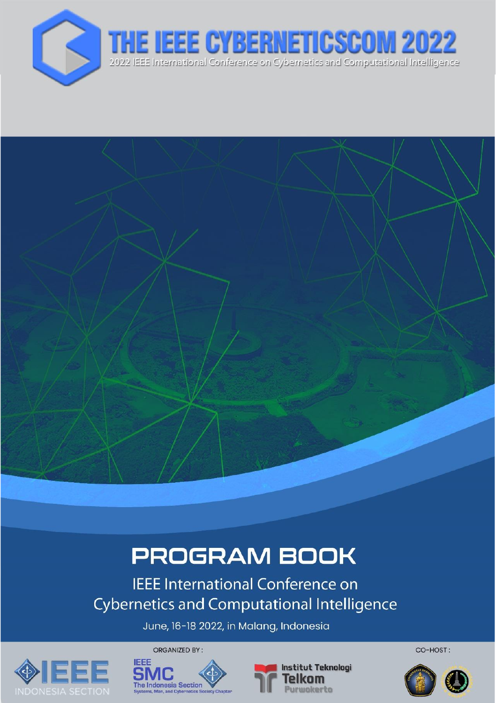

# **PROGRAM BOOK**

**IEEE International Conference on Cybernetics and Computational Intelligence** 

June, 16-18 2022, in Malang, Indonesia







CO-HOST:

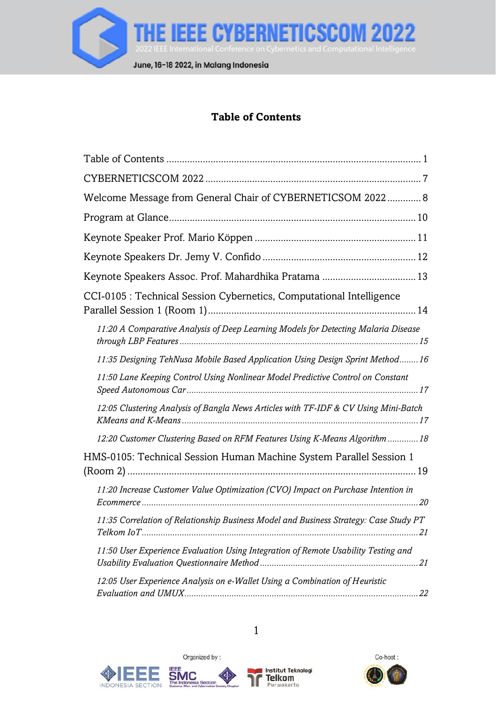

# **Table of Contents**

<span id="page-1-0"></span>

| Welcome Message from General Chair of CYBERNETICSOM 2022 8                            |
|---------------------------------------------------------------------------------------|
|                                                                                       |
|                                                                                       |
|                                                                                       |
|                                                                                       |
| CCI-0105 : Technical Session Cybernetics, Computational Intelligence                  |
| 11:20 A Comparative Analysis of Deep Learning Models for Detecting Malaria Disease    |
| 11:35 Designing TehNusa Mobile Based Application Using Design Sprint Method 16        |
| 11:50 Lane Keeping Control Using Nonlinear Model Predictive Control on Constant       |
| 12:05 Clustering Analysis of Bangla News Articles with TF-IDF & CV Using Mini-Batch   |
| 12:20 Customer Clustering Based on RFM Features Using K-Means Algorithm  18           |
| HMS-0105: Technical Session Human Machine System Parallel Session 1                   |
| 11:20 Increase Customer Value Optimization (CVO) Impact on Purchase Intention in      |
| 11:35 Correlation of Relationship Business Model and Business Strategy: Case Study PT |
| 11:50 User Experience Evaluation Using Integration of Remote Usability Testing and    |
| 12:05 User Experience Analysis on e-Wallet Using a Combination of Heuristic           |







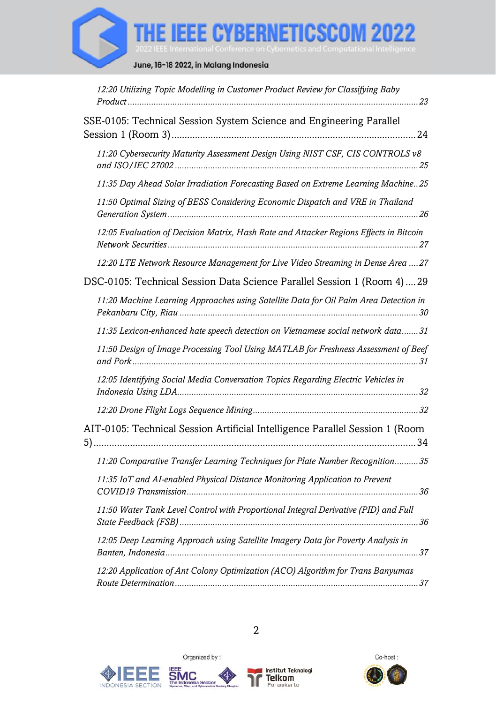

| 12:20 Utilizing Topic Modelling in Customer Product Review for Classifying Baby        |
|----------------------------------------------------------------------------------------|
| SSE-0105: Technical Session System Science and Engineering Parallel                    |
| 11:20 Cybersecurity Maturity Assessment Design Using NIST CSF, CIS CONTROLS v8         |
| 11:35 Day Ahead Solar Irradiation Forecasting Based on Extreme Learning Machine25      |
| 11:50 Optimal Sizing of BESS Considering Economic Dispatch and VRE in Thailand         |
| 12:05 Evaluation of Decision Matrix, Hash Rate and Attacker Regions Effects in Bitcoin |
| 12:20 LTE Network Resource Management for Live Video Streaming in Dense Area  27       |
| DSC-0105: Technical Session Data Science Parallel Session 1 (Room 4) 29                |
| 11:20 Machine Learning Approaches using Satellite Data for Oil Palm Area Detection in  |
| 11:35 Lexicon-enhanced hate speech detection on Vietnamese social network data31       |
| 11:50 Design of Image Processing Tool Using MATLAB for Freshness Assessment of Beef    |
| 12:05 Identifying Social Media Conversation Topics Regarding Electric Vehicles in      |
|                                                                                        |
| AIT-0105: Technical Session Artificial Intelligence Parallel Session 1 (Room           |
| 11:20 Comparative Transfer Learning Techniques for Plate Number Recognition35          |
| 11:35 IoT and AI-enabled Physical Distance Monitoring Application to Prevent           |
| 11:50 Water Tank Level Control with Proportional Integral Derivative (PID) and Full    |
| 12:05 Deep Learning Approach using Satellite Imagery Data for Poverty Analysis in      |
| 12:20 Application of Ant Colony Optimization (ACO) Algorithm for Trans Banyumas        |







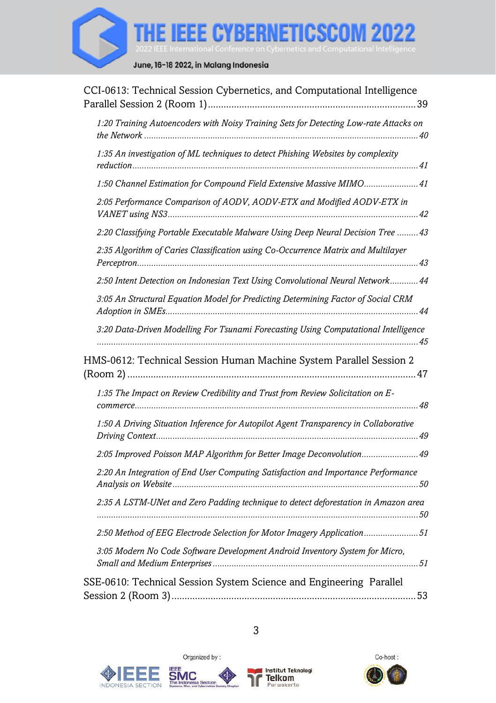

| CCI-0613: Technical Session Cybernetics, and Computational Intelligence               |
|---------------------------------------------------------------------------------------|
| 1:20 Training Autoencoders with Noisy Training Sets for Detecting Low-rate Attacks on |
| 1:35 An investigation of ML techniques to detect Phishing Websites by complexity      |
| 1:50 Channel Estimation for Compound Field Extensive Massive MIMO 41                  |
| 2:05 Performance Comparison of AODV, AODV-ETX and Modified AODV-ETX in                |
| 2:20 Classifying Portable Executable Malware Using Deep Neural Decision Tree  43      |
| 2:35 Algorithm of Caries Classification using Co-Occurrence Matrix and Multilayer     |
| 2:50 Intent Detection on Indonesian Text Using Convolutional Neural Network 44        |
| 3:05 An Structural Equation Model for Predicting Determining Factor of Social CRM     |
| 3:20 Data-Driven Modelling For Tsunami Forecasting Using Computational Intelligence   |
| HMS-0612: Technical Session Human Machine System Parallel Session 2                   |
| 1:35 The Impact on Review Credibility and Trust from Review Solicitation on E-        |
| 1:50 A Driving Situation Inference for Autopilot Agent Transparency in Collaborative  |
| 2:05 Improved Poisson MAP Algorithm for Better Image Deconvolution 49                 |
| 2:20 An Integration of End User Computing Satisfaction and Importance Performance     |
| 2.35 A LSTM-UNet and Zero Padding technique to detect deforestation in Amazon area    |
| 2:50 Method of EEG Electrode Selection for Motor Imagery Application51                |
| 3:05 Modern No Code Software Development Android Inventory System for Micro,          |
| SSE-0610: Technical Session System Science and Engineering Parallel                   |







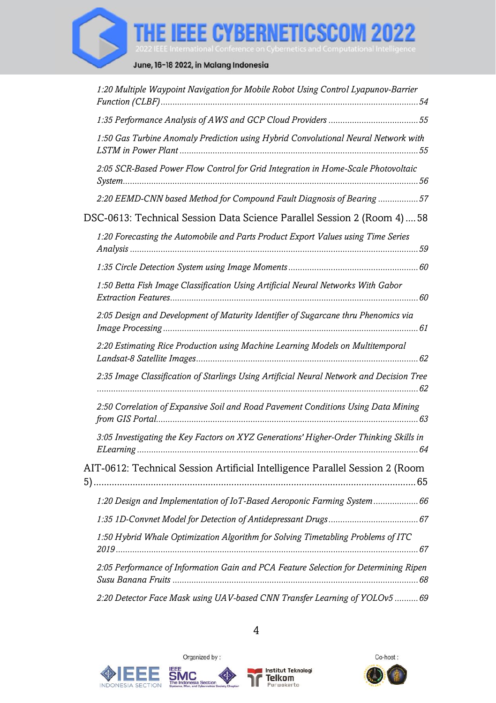

| 1:20 Multiple Waypoint Navigation for Mobile Robot Using Control Lyapunov-Barrier        |
|------------------------------------------------------------------------------------------|
| 1:35 Performance Analysis of AWS and GCP Cloud Providers 55                              |
| 1:50 Gas Turbine Anomaly Prediction using Hybrid Convolutional Neural Network with       |
| 2:05 SCR-Based Power Flow Control for Grid Integration in Home-Scale Photovoltaic        |
| 2:20 EEMD-CNN based Method for Compound Fault Diagnosis of Bearing 57                    |
| DSC-0613: Technical Session Data Science Parallel Session 2 (Room 4)58                   |
| 1:20 Forecasting the Automobile and Parts Product Export Values using Time Series        |
|                                                                                          |
| 1:50 Betta Fish Image Classification Using Artificial Neural Networks With Gabor         |
| 2:05 Design and Development of Maturity Identifier of Sugarcane thru Phenomics via       |
| 2:20 Estimating Rice Production using Machine Learning Models on Multitemporal           |
| 2:35 Image Classification of Starlings Using Artificial Neural Network and Decision Tree |
| 2.50 Correlation of Expansive Soil and Road Pavement Conditions Using Data Mining        |
| 3:05 Investigating the Key Factors on XYZ Generations' Higher-Order Thinking Skills in   |
| AIT-0612: Technical Session Artificial Intelligence Parallel Session 2 (Room             |
| 1:20 Design and Implementation of IoT-Based Aeroponic Farming System  66                 |
|                                                                                          |
| 1:50 Hybrid Whale Optimization Algorithm for Solving Timetabling Problems of ITC         |
| 2:05 Performance of Information Gain and PCA Feature Selection for Determining Ripen     |
| 2:20 Detector Face Mask using UAV-based CNN Transfer Learning of YOLOv5  69              |







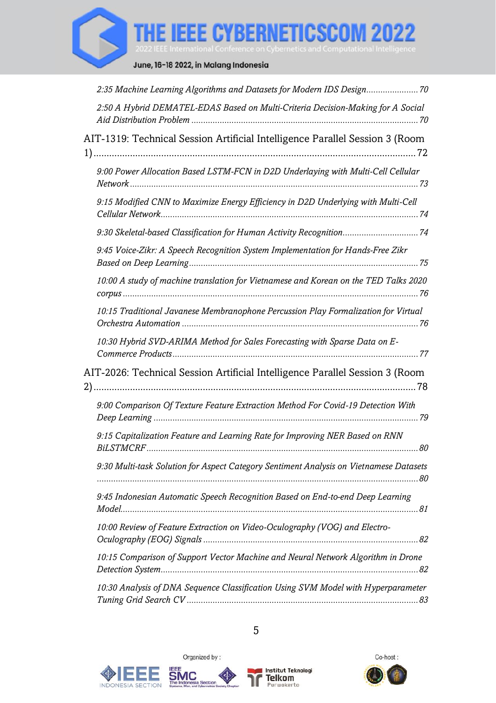

| 2:35 Machine Learning Algorithms and Datasets for Modern IDS Design 70                       |  |
|----------------------------------------------------------------------------------------------|--|
| 2:50 A Hybrid DEMATEL-EDAS Based on Multi-Criteria Decision-Making for A Social              |  |
| AIT-1319: Technical Session Artificial Intelligence Parallel Session 3 (Room                 |  |
| 9:00 Power Allocation Based LSTM-FCN in D2D Underlaying with Multi-Cell Cellular             |  |
| 9:15 Modified CNN to Maximize Energy Efficiency in D2D Underlying with Multi-Cell            |  |
|                                                                                              |  |
| 9:45 Voice-Zikr: A Speech Recognition System Implementation for Hands-Free Zikr              |  |
| 10:00 A study of machine translation for Vietnamese and Korean on the TED Talks 2020         |  |
| 10:15 Traditional Javanese Membranophone Percussion Play Formalization for Virtual           |  |
| 10:30 Hybrid SVD-ARIMA Method for Sales Forecasting with Sparse Data on E-                   |  |
| AIT-2026: Technical Session Artificial Intelligence Parallel Session 3 (Room                 |  |
| 9:00 Comparison Of Texture Feature Extraction Method For Covid-19 Detection With             |  |
| 9:15 Capitalization Feature and Learning Rate for Improving NER Based on RNN                 |  |
| 9:30 Multi-task Solution for Aspect Category Sentiment Analysis on Vietnamese Datasets       |  |
| 9:45 Indonesian Automatic Speech Recognition Based on End-to-end Deep Learning<br>Model. 281 |  |
| 10:00 Review of Feature Extraction on Video-Oculography (VOG) and Electro-                   |  |
| 10:15 Comparison of Support Vector Machine and Neural Network Algorithm in Drone             |  |
| 10:30 Analysis of DNA Sequence Classification Using SVM Model with Hyperparameter            |  |







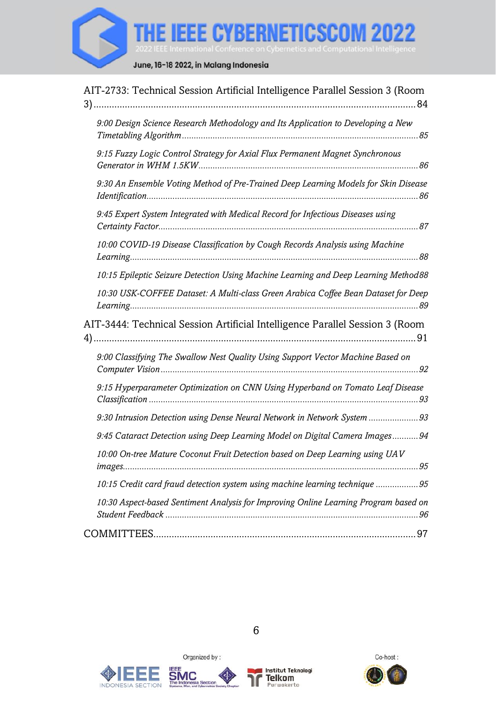

| AIT-2733: Technical Session Artificial Intelligence Parallel Session 3 (Room         |
|--------------------------------------------------------------------------------------|
| 9:00 Design Science Research Methodology and Its Application to Developing a New     |
| 9:15 Fuzzy Logic Control Strategy for Axial Flux Permanent Magnet Synchronous        |
| 9:30 An Ensemble Voting Method of Pre-Trained Deep Learning Models for Skin Disease  |
| 9:45 Expert System Integrated with Medical Record for Infectious Diseases using      |
| 10:00 COVID-19 Disease Classification by Cough Records Analysis using Machine        |
| 10:15 Epileptic Seizure Detection Using Machine Learning and Deep Learning Method88  |
| 10:30 USK-COFFEE Dataset: A Multi-class Green Arabica Coffee Bean Dataset for Deep   |
| AIT-3444: Technical Session Artificial Intelligence Parallel Session 3 (Room         |
| 9:00 Classifying The Swallow Nest Quality Using Support Vector Machine Based on      |
| 9:15 Hyperparameter Optimization on CNN Using Hyperband on Tomato Leaf Disease       |
| 9:30 Intrusion Detection using Dense Neural Network in Network System  93            |
| 9:45 Cataract Detection using Deep Learning Model on Digital Camera Images 94        |
| 10:00 On-tree Mature Coconut Fruit Detection based on Deep Learning using UAV        |
| 10:15 Credit card fraud detection system using machine learning technique 95         |
| 10:30 Aspect-based Sentiment Analysis for Improving Online Learning Program based on |
|                                                                                      |







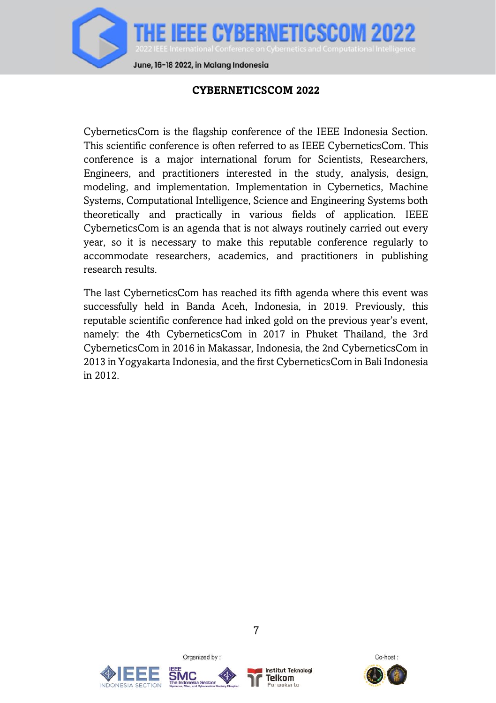

#### **CYBERNETICSCOM 2022**

<span id="page-7-0"></span>CyberneticsCom is the flagship conference of the IEEE Indonesia Section. This scientific conference is often referred to as IEEE CyberneticsCom. This conference is a major international forum for Scientists, Researchers, Engineers, and practitioners interested in the study, analysis, design, modeling, and implementation. Implementation in Cybernetics, Machine Systems, Computational Intelligence, Science and Engineering Systems both theoretically and practically in various fields of application. IEEE CyberneticsCom is an agenda that is not always routinely carried out every year, so it is necessary to make this reputable conference regularly to accommodate researchers, academics, and practitioners in publishing research results.

The last CyberneticsCom has reached its fifth agenda where this event was successfully held in Banda Aceh, Indonesia, in 2019. Previously, this reputable scientific conference had inked gold on the previous year's event, namely: the 4th CyberneticsCom in 2017 in Phuket Thailand, the 3rd CyberneticsCom in 2016 in Makassar, Indonesia, the 2nd CyberneticsCom in 2013 in Yogyakarta Indonesia, and the first CyberneticsCom in Bali Indonesia in 2012.







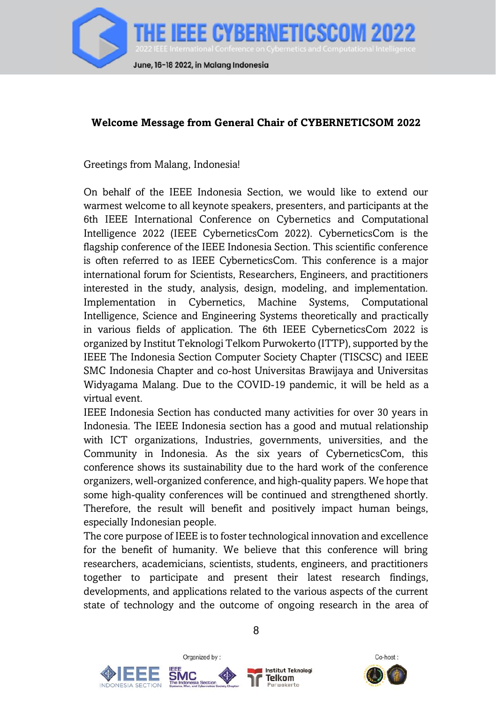

#### <span id="page-8-0"></span>**Welcome Message from General Chair of CYBERNETICSOM 2022**

Greetings from Malang, Indonesia!

On behalf of the IEEE Indonesia Section, we would like to extend our warmest welcome to all keynote speakers, presenters, and participants at the 6th IEEE International Conference on Cybernetics and Computational Intelligence 2022 (IEEE CyberneticsCom 2022). CyberneticsCom is the flagship conference of the IEEE Indonesia Section. This scientific conference is often referred to as IEEE CyberneticsCom. This conference is a major international forum for Scientists, Researchers, Engineers, and practitioners interested in the study, analysis, design, modeling, and implementation. Implementation in Cybernetics, Machine Systems, Computational Intelligence, Science and Engineering Systems theoretically and practically in various fields of application. The 6th IEEE CyberneticsCom 2022 is organized by Institut Teknologi Telkom Purwokerto (ITTP), supported by the IEEE The Indonesia Section Computer Society Chapter (TISCSC) and IEEE SMC Indonesia Chapter and co-host Universitas Brawijaya and Universitas Widyagama Malang. Due to the COVID-19 pandemic, it will be held as a virtual event.

IEEE Indonesia Section has conducted many activities for over 30 years in Indonesia. The IEEE Indonesia section has a good and mutual relationship with ICT organizations, Industries, governments, universities, and the Community in Indonesia. As the six years of CyberneticsCom, this conference shows its sustainability due to the hard work of the conference organizers, well-organized conference, and high-quality papers. We hope that some high-quality conferences will be continued and strengthened shortly. Therefore, the result will benefit and positively impact human beings, especially Indonesian people.

The core purpose of IEEE is to foster technological innovation and excellence for the benefit of humanity. We believe that this conference will bring researchers, academicians, scientists, students, engineers, and practitioners together to participate and present their latest research findings, developments, and applications related to the various aspects of the current state of technology and the outcome of ongoing research in the area of





Organized by:



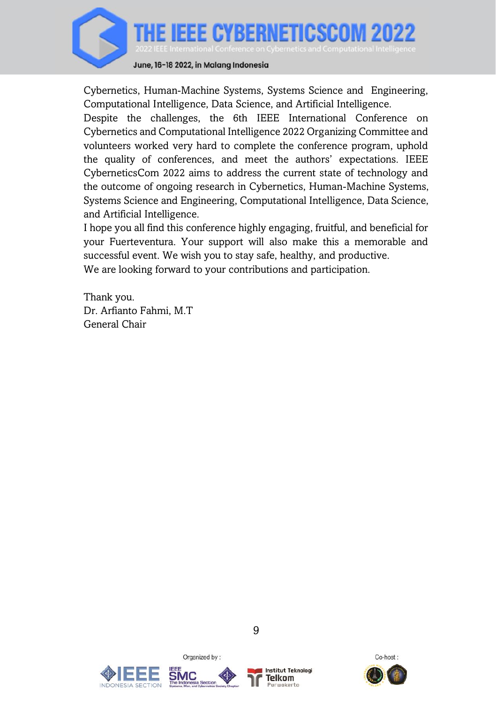

June, 16-18 2022, in Malang Indonesia

Cybernetics, Human-Machine Systems, Systems Science and Engineering, Computational Intelligence, Data Science, and Artificial Intelligence.

Despite the challenges, the 6th IEEE International Conference on Cybernetics and Computational Intelligence 2022 Organizing Committee and volunteers worked very hard to complete the conference program, uphold the quality of conferences, and meet the authors' expectations. IEEE CyberneticsCom 2022 aims to address the current state of technology and the outcome of ongoing research in Cybernetics, Human-Machine Systems, Systems Science and Engineering, Computational Intelligence, Data Science, and Artificial Intelligence.

I hope you all find this conference highly engaging, fruitful, and beneficial for your Fuerteventura. Your support will also make this a memorable and successful event. We wish you to stay safe, healthy, and productive. We are looking forward to your contributions and participation.

Thank you. Dr. Arfianto Fahmi, M.T General Chair







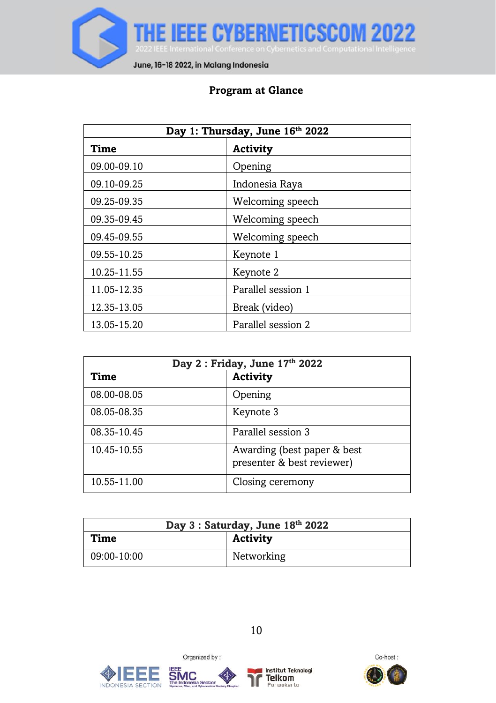

# **Program at Glance**

<span id="page-10-0"></span>

| Day 1: Thursday, June 16th 2022   |                    |  |
|-----------------------------------|--------------------|--|
| Time<br>Activity                  |                    |  |
| 09.00-09.10                       | Opening            |  |
| 09.10-09.25                       | Indonesia Raya     |  |
| 09.25-09.35                       | Welcoming speech   |  |
| 09.35-09.45                       | Welcoming speech   |  |
| 09.45-09.55                       | Welcoming speech   |  |
| 09.55-10.25                       | Keynote 1          |  |
| 10.25-11.55                       | Keynote 2          |  |
| 11.05-12.35                       | Parallel session 1 |  |
| 12.35-13.05                       | Break (video)      |  |
| Parallel session 2<br>13.05-15.20 |                    |  |

| Day 2: Friday, June 17th 2022 |                                                            |  |
|-------------------------------|------------------------------------------------------------|--|
| Time                          | Activity                                                   |  |
| 08.00-08.05                   | Opening                                                    |  |
| 08.05-08.35                   | Keynote 3                                                  |  |
| 08.35-10.45                   | Parallel session 3                                         |  |
| 10.45-10.55                   | Awarding (best paper & best)<br>presenter & best reviewer) |  |
| 10.55-11.00                   | Closing ceremony                                           |  |

| Day 3 : Saturday, June 18th 2022 |            |  |
|----------------------------------|------------|--|
| Time                             | Activity   |  |
| 09:00-10:00                      | Networking |  |







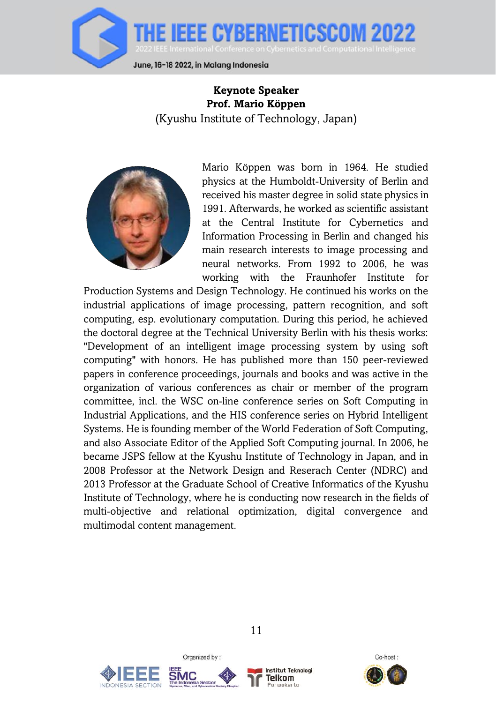

### <span id="page-11-0"></span>**Keynote Speaker Prof. Mario Köppen** (Kyushu Institute of Technology, Japan)



Mario Köppen was born in 1964. He studied physics at the Humboldt-University of Berlin and received his master degree in solid state physics in 1991. Afterwards, he worked as scientific assistant at the Central Institute for Cybernetics and Information Processing in Berlin and changed his main research interests to image processing and neural networks. From 1992 to 2006, he was working with the Fraunhofer Institute for

Production Systems and Design Technology. He continued his works on the industrial applications of image processing, pattern recognition, and soft computing, esp. evolutionary computation. During this period, he achieved the doctoral degree at the Technical University Berlin with his thesis works: "Development of an intelligent image processing system by using soft computing" with honors. He has published more than 150 peer-reviewed papers in conference proceedings, journals and books and was active in the organization of various conferences as chair or member of the program committee, incl. the WSC on-line conference series on Soft Computing in Industrial Applications, and the HIS conference series on Hybrid Intelligent Systems. He is founding member of the World Federation of Soft Computing, and also Associate Editor of the Applied Soft Computing journal. In 2006, he became JSPS fellow at the Kyushu Institute of Technology in Japan, and in 2008 Professor at the Network Design and Reserach Center (NDRC) and 2013 Professor at the Graduate School of Creative Informatics of the Kyushu Institute of Technology, where he is conducting now research in the fields of multi-objective and relational optimization, digital convergence and multimodal content management.





Organized by:



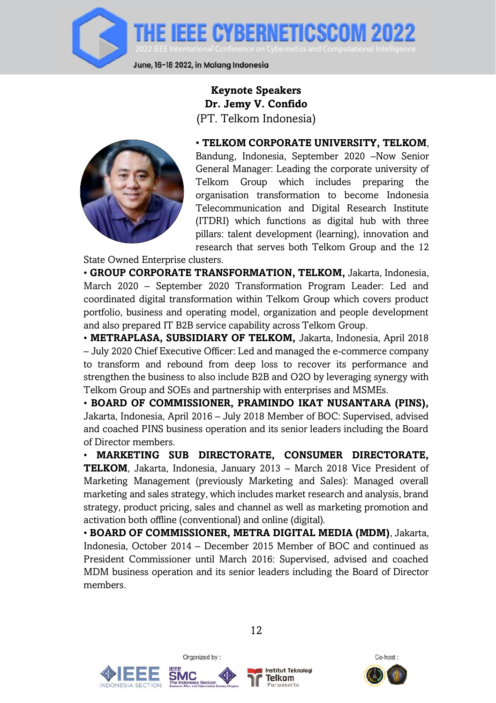

**Keynote Speakers Dr. Jemy V. Confido** (PT. Telkom Indonesia)

<span id="page-12-0"></span>

• **TELKOM CORPORATE UNIVERSITY, TELKOM**, Bandung, Indonesia, September 2020 –Now Senior General Manager: Leading the corporate university of Telkom Group which includes preparing the organisation transformation to become Indonesia Telecommunication and Digital Research Institute (ITDRI) which functions as digital hub with three pillars: talent development (learning), innovation and research that serves both Telkom Group and the 12

State Owned Enterprise clusters.

• **GROUP CORPORATE TRANSFORMATION, TELKOM,** Jakarta, Indonesia, March 2020 – September 2020 Transformation Program Leader: Led and coordinated digital transformation within Telkom Group which covers product portfolio, business and operating model, organization and people development and also prepared IT B2B service capability across Telkom Group.

• **METRAPLASA, SUBSIDIARY OF TELKOM,** Jakarta, Indonesia, April 2018 – July 2020 Chief Executive Officer: Led and managed the e-commerce company to transform and rebound from deep loss to recover its performance and strengthen the business to also include B2B and O2O by leveraging synergy with Telkom Group and SOEs and partnership with enterprises and MSMEs.

• **BOARD OF COMMISSIONER, PRAMINDO IKAT NUSANTARA (PINS),** Jakarta, Indonesia, April 2016 – July 2018 Member of BOC: Supervised, advised and coached PINS business operation and its senior leaders including the Board of Director members.

• **MARKETING SUB DIRECTORATE, CONSUMER DIRECTORATE, TELKOM**, Jakarta, Indonesia, January 2013 – March 2018 Vice President of Marketing Management (previously Marketing and Sales): Managed overall marketing and sales strategy, which includes market research and analysis, brand strategy, product pricing, sales and channel as well as marketing promotion and activation both offline (conventional) and online (digital).

• **BOARD OF COMMISSIONER, METRA DIGITAL MEDIA (MDM)**, Jakarta, Indonesia, October 2014 – December 2015 Member of BOC and continued as President Commissioner until March 2016: Supervised, advised and coached MDM business operation and its senior leaders including the Board of Director members.





Organized by:



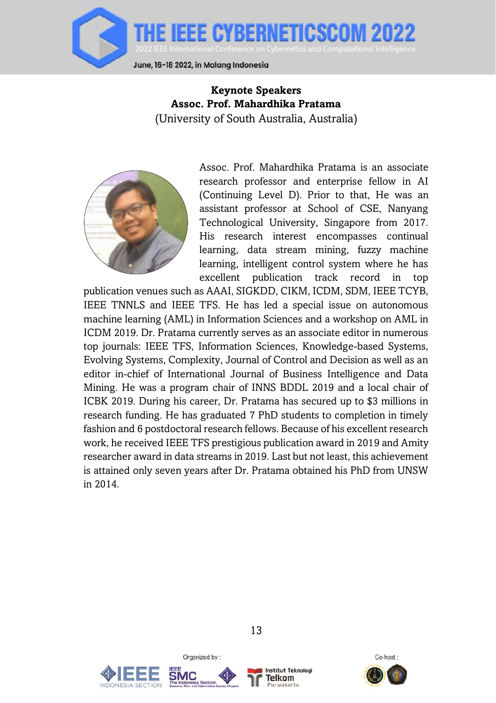

<span id="page-13-0"></span>**Keynote Speakers Assoc. Prof. Mahardhika Pratama** (University of South Australia, Australia)



Assoc. Prof. Mahardhika Pratama is an associate research professor and enterprise fellow in AI (Continuing Level D). Prior to that, He was an assistant professor at School of CSE, Nanyang Technological University, Singapore from 2017. His research interest encompasses continual learning, data stream mining, fuzzy machine learning, intelligent control system where he has excellent publication track record in top

publication venues such as AAAI, SIGKDD, CIKM, ICDM, SDM, IEEE TCYB, IEEE TNNLS and IEEE TFS. He has led a special issue on autonomous machine learning (AML) in Information Sciences and a workshop on AML in ICDM 2019. Dr. Pratama currently serves as an associate editor in numerous top journals: IEEE TFS, Information Sciences, Knowledge-based Systems, Evolving Systems, Complexity, Journal of Control and Decision as well as an editor in-chief of International Journal of Business Intelligence and Data Mining. He was a program chair of INNS BDDL 2019 and a local chair of ICBK 2019. During his career, Dr. Pratama has secured up to \$3 millions in research funding. He has graduated 7 PhD students to completion in timely fashion and 6 postdoctoral research fellows. Because of his excellent research work, he received IEEE TFS prestigious publication award in 2019 and Amity researcher award in data streams in 2019. Last but not least, this achievement is attained only seven years after Dr. Pratama obtained his PhD from UNSW in 2014.





Organized by:



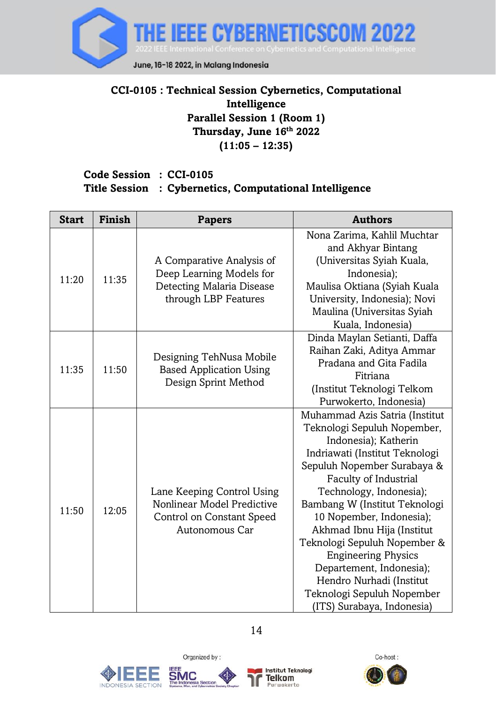

# <span id="page-14-0"></span>**CCI-0105 : Technical Session Cybernetics, Computational Intelligence Parallel Session 1 (Room 1) Thursday, June 16 th 2022 (11:05 – 12:35)**

## **Code Session : CCI-0105 Title Session : Cybernetics, Computational Intelligence**

| <b>Start</b> | Finish | <b>Papers</b>                                                                                              | <b>Authors</b>                                                                                                                                                                                                                                                                                                                                                                                                                                                                          |
|--------------|--------|------------------------------------------------------------------------------------------------------------|-----------------------------------------------------------------------------------------------------------------------------------------------------------------------------------------------------------------------------------------------------------------------------------------------------------------------------------------------------------------------------------------------------------------------------------------------------------------------------------------|
| 11:20        | 11:35  | A Comparative Analysis of<br>Deep Learning Models for<br>Detecting Malaria Disease<br>through LBP Features | Nona Zarima, Kahlil Muchtar<br>and Akhyar Bintang<br>(Universitas Syiah Kuala,<br>Indonesia);<br>Maulisa Oktiana (Syiah Kuala<br>University, Indonesia); Novi<br>Maulina (Universitas Syiah<br>Kuala, Indonesia)                                                                                                                                                                                                                                                                        |
| 11:35        | 11:50  | Designing TehNusa Mobile<br><b>Based Application Using</b><br>Design Sprint Method                         | Dinda Maylan Setianti, Daffa<br>Raihan Zaki, Aditya Ammar<br>Pradana and Gita Fadila<br>Fitriana<br>(Institut Teknologi Telkom<br>Purwokerto, Indonesia)                                                                                                                                                                                                                                                                                                                                |
| 11:50        | 12:05  | Lane Keeping Control Using<br>Nonlinear Model Predictive<br>Control on Constant Speed<br>Autonomous Car    | Muhammad Azis Satria (Institut<br>Teknologi Sepuluh Nopember,<br>Indonesia); Katherin<br>Indriawati (Institut Teknologi<br>Sepuluh Nopember Surabaya &<br>Faculty of Industrial<br>Technology, Indonesia);<br>Bambang W (Institut Teknologi<br>10 Nopember, Indonesia);<br>Akhmad Ibnu Hija (Institut<br>Teknologi Sepuluh Nopember &<br><b>Engineering Physics</b><br>Departement, Indonesia);<br>Hendro Nurhadi (Institut<br>Teknologi Sepuluh Nopember<br>(ITS) Surabaya, Indonesia) |





Organized by:



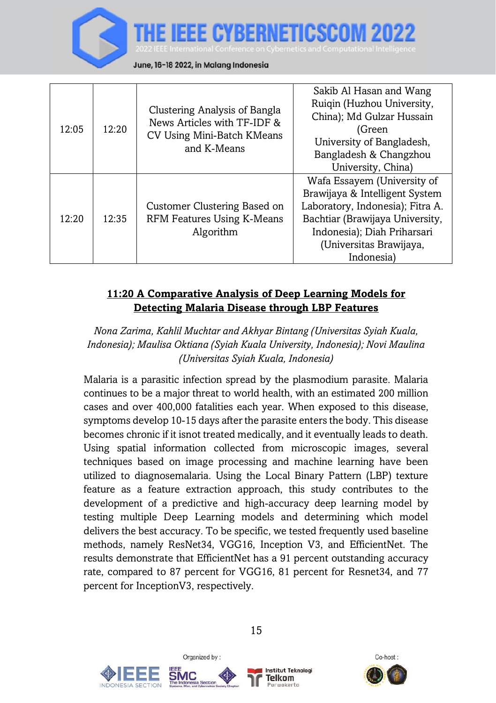

| 12:05 | 12:20 | Clustering Analysis of Bangla<br>News Articles with TF-IDF &<br>CV Using Mini-Batch KMeans<br>and K-Means | Sakib Al Hasan and Wang<br>Ruiqin (Huzhou University,<br>China); Md Gulzar Hussain<br>(Green<br>University of Bangladesh,<br>Bangladesh & Changzhou<br>University, China)                                    |
|-------|-------|-----------------------------------------------------------------------------------------------------------|--------------------------------------------------------------------------------------------------------------------------------------------------------------------------------------------------------------|
| 12:20 | 12:35 | Customer Clustering Based on<br>RFM Features Using K-Means<br>Algorithm                                   | Wafa Essayem (University of<br>Brawijaya & Intelligent System<br>Laboratory, Indonesia); Fitra A.<br>Bachtiar (Brawijaya University,<br>Indonesia); Diah Priharsari<br>(Universitas Brawijaya,<br>Indonesia) |

## <span id="page-15-0"></span>**11:20 A Comparative Analysis of Deep Learning Models for Detecting Malaria Disease through LBP Features**

*Nona Zarima, Kahlil Muchtar and Akhyar Bintang (Universitas Syiah Kuala, Indonesia); Maulisa Oktiana (Syiah Kuala University, Indonesia); Novi Maulina (Universitas Syiah Kuala, Indonesia)*

Malaria is a parasitic infection spread by the plasmodium parasite. Malaria continues to be a major threat to world health, with an estimated 200 million cases and over 400,000 fatalities each year. When exposed to this disease, symptoms develop 10-15 days after the parasite enters the body. This disease becomes chronic if it isnot treated medically, and it eventually leads to death. Using spatial information collected from microscopic images, several techniques based on image processing and machine learning have been utilized to diagnosemalaria. Using the Local Binary Pattern (LBP) texture feature as a feature extraction approach, this study contributes to the development of a predictive and high-accuracy deep learning model by testing multiple Deep Learning models and determining which model delivers the best accuracy. To be specific, we tested frequently used baseline methods, namely ResNet34, VGG16, Inception V3, and EfficientNet. The results demonstrate that EfficientNet has a 91 percent outstanding accuracy rate, compared to 87 percent for VGG16, 81 percent for Resnet34, and 77 percent for InceptionV3, respectively.





Organized by:



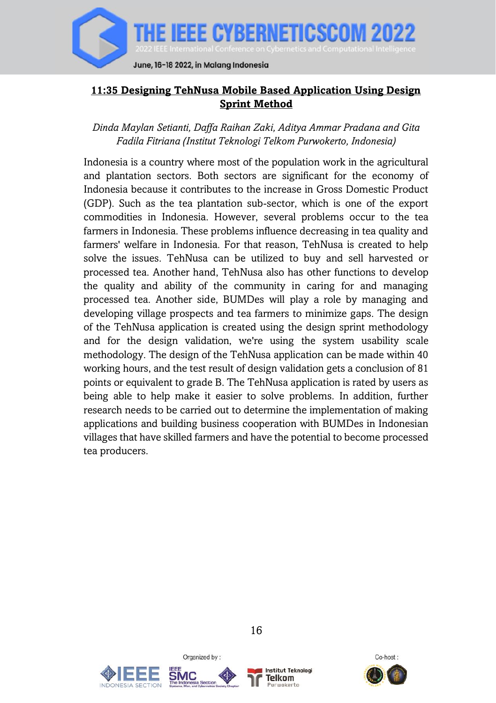

## <span id="page-16-0"></span>**11:35 Designing TehNusa Mobile Based Application Using Design Sprint Method**

*Dinda Maylan Setianti, Daffa Raihan Zaki, Aditya Ammar Pradana and Gita Fadila Fitriana (Institut Teknologi Telkom Purwokerto, Indonesia)*

Indonesia is a country where most of the population work in the agricultural and plantation sectors. Both sectors are significant for the economy of Indonesia because it contributes to the increase in Gross Domestic Product (GDP). Such as the tea plantation sub-sector, which is one of the export commodities in Indonesia. However, several problems occur to the tea farmers in Indonesia. These problems influence decreasing in tea quality and farmers' welfare in Indonesia. For that reason, TehNusa is created to help solve the issues. TehNusa can be utilized to buy and sell harvested or processed tea. Another hand, TehNusa also has other functions to develop the quality and ability of the community in caring for and managing processed tea. Another side, BUMDes will play a role by managing and developing village prospects and tea farmers to minimize gaps. The design of the TehNusa application is created using the design sprint methodology and for the design validation, we're using the system usability scale methodology. The design of the TehNusa application can be made within 40 working hours, and the test result of design validation gets a conclusion of 81 points or equivalent to grade B. The TehNusa application is rated by users as being able to help make it easier to solve problems. In addition, further research needs to be carried out to determine the implementation of making applications and building business cooperation with BUMDes in Indonesian villages that have skilled farmers and have the potential to become processed tea producers.





Organized by:



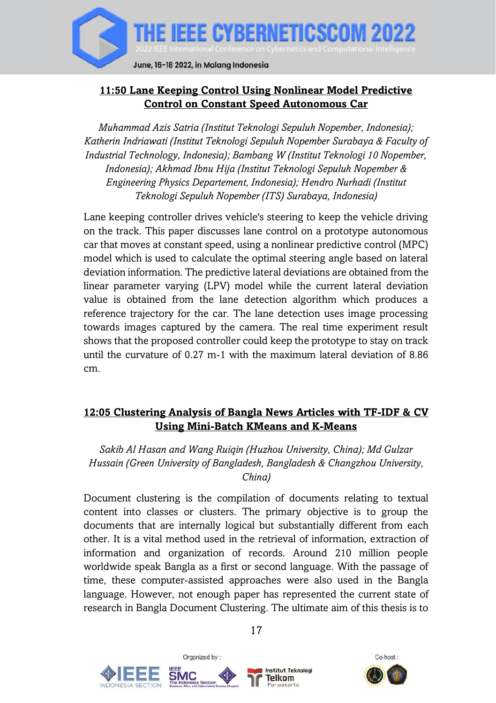

# <span id="page-17-0"></span>**11:50 Lane Keeping Control Using Nonlinear Model Predictive Control on Constant Speed Autonomous Car**

*Muhammad Azis Satria (Institut Teknologi Sepuluh Nopember, Indonesia); Katherin Indriawati (Institut Teknologi Sepuluh Nopember Surabaya & Faculty of Industrial Technology, Indonesia); Bambang W (Institut Teknologi 10 Nopember, Indonesia); Akhmad Ibnu Hija (Institut Teknologi Sepuluh Nopember & Engineering Physics Departement, Indonesia); Hendro Nurhadi (Institut Teknologi Sepuluh Nopember (ITS) Surabaya, Indonesia)*

Lane keeping controller drives vehicle's steering to keep the vehicle driving on the track. This paper discusses lane control on a prototype autonomous car that moves at constant speed, using a nonlinear predictive control (MPC) model which is used to calculate the optimal steering angle based on lateral deviation information. The predictive lateral deviations are obtained from the linear parameter varying (LPV) model while the current lateral deviation value is obtained from the lane detection algorithm which produces a reference trajectory for the car. The lane detection uses image processing towards images captured by the camera. The real time experiment result shows that the proposed controller could keep the prototype to stay on track until the curvature of 0.27 m-1 with the maximum lateral deviation of 8.86 cm.

## <span id="page-17-1"></span>**12:05 Clustering Analysis of Bangla News Articles with TF-IDF & CV Using Mini-Batch KMeans and K-Means**

*Sakib Al Hasan and Wang Ruiqin (Huzhou University, China); Md Gulzar Hussain (Green University of Bangladesh, Bangladesh & Changzhou University, China)*

Document clustering is the compilation of documents relating to textual content into classes or clusters. The primary objective is to group the documents that are internally logical but substantially different from each other. It is a vital method used in the retrieval of information, extraction of information and organization of records. Around 210 million people worldwide speak Bangla as a first or second language. With the passage of time, these computer-assisted approaches were also used in the Bangla language. However, not enough paper has represented the current state of research in Bangla Document Clustering. The ultimate aim of this thesis is to







17

**Institut Teknologi** Telkom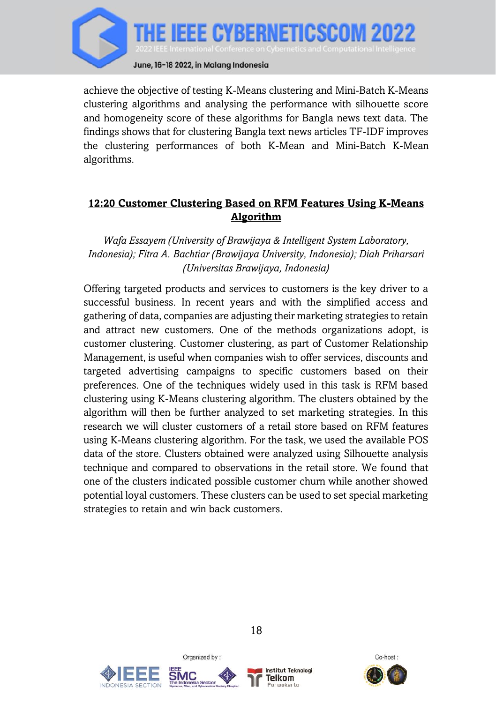

achieve the objective of testing K-Means clustering and Mini-Batch K-Means clustering algorithms and analysing the performance with silhouette score and homogeneity score of these algorithms for Bangla news text data. The findings shows that for clustering Bangla text news articles TF-IDF improves the clustering performances of both K-Mean and Mini-Batch K-Mean algorithms.

# <span id="page-18-0"></span>**12:20 Customer Clustering Based on RFM Features Using K-Means Algorithm**

*Wafa Essayem (University of Brawijaya & Intelligent System Laboratory, Indonesia); Fitra A. Bachtiar (Brawijaya University, Indonesia); Diah Priharsari (Universitas Brawijaya, Indonesia)*

Offering targeted products and services to customers is the key driver to a successful business. In recent years and with the simplified access and gathering of data, companies are adjusting their marketing strategies to retain and attract new customers. One of the methods organizations adopt, is customer clustering. Customer clustering, as part of Customer Relationship Management, is useful when companies wish to offer services, discounts and targeted advertising campaigns to specific customers based on their preferences. One of the techniques widely used in this task is RFM based clustering using K-Means clustering algorithm. The clusters obtained by the algorithm will then be further analyzed to set marketing strategies. In this research we will cluster customers of a retail store based on RFM features using K-Means clustering algorithm. For the task, we used the available POS data of the store. Clusters obtained were analyzed using Silhouette analysis technique and compared to observations in the retail store. We found that one of the clusters indicated possible customer churn while another showed potential loyal customers. These clusters can be used to set special marketing strategies to retain and win back customers.





Organized by:



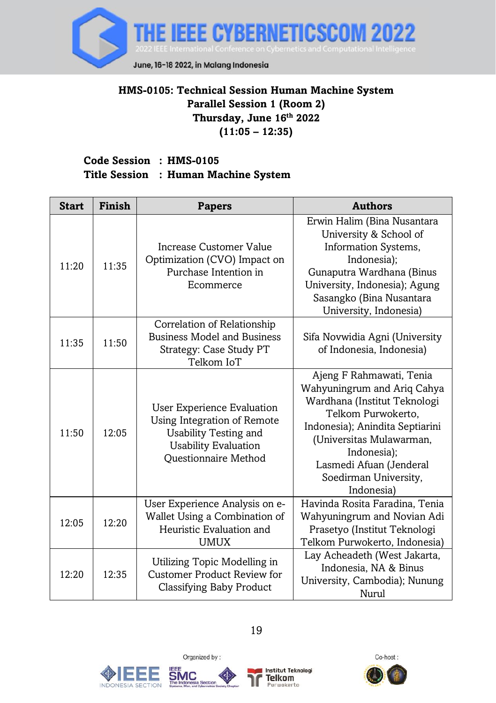

## <span id="page-19-0"></span>**HMS-0105: Technical Session Human Machine System Parallel Session 1 (Room 2) Thursday, June 16 th 2022 (11:05 – 12:35)**

# **Code Session : HMS-0105 Title Session : Human Machine System**

| <b>Start</b> | Finish | <b>Papers</b>                                                                                                                             | <b>Authors</b>                                                                                                                                                                                                                                                |
|--------------|--------|-------------------------------------------------------------------------------------------------------------------------------------------|---------------------------------------------------------------------------------------------------------------------------------------------------------------------------------------------------------------------------------------------------------------|
| 11:20        | 11:35  | Increase Customer Value<br>Optimization (CVO) Impact on<br>Purchase Intention in<br>Ecommerce                                             | Erwin Halim (Bina Nusantara<br>University & School of<br>Information Systems,<br>Indonesia);<br>Gunaputra Wardhana (Binus<br>University, Indonesia); Agung<br>Sasangko (Bina Nusantara<br>University, Indonesia)                                              |
| 11:35        | 11:50  | Correlation of Relationship<br><b>Business Model and Business</b><br>Strategy: Case Study PT<br>Telkom IoT                                | Sifa Novwidia Agni (University<br>of Indonesia, Indonesia)                                                                                                                                                                                                    |
| 11:50        | 12:05  | User Experience Evaluation<br>Using Integration of Remote<br>Usability Testing and<br><b>Usability Evaluation</b><br>Questionnaire Method | Ajeng F Rahmawati, Tenia<br>Wahyuningrum and Ariq Cahya<br>Wardhana (Institut Teknologi<br>Telkom Purwokerto.<br>Indonesia); Anindita Septiarini<br>(Universitas Mulawarman,<br>Indonesia);<br>Lasmedi Afuan (Jenderal<br>Soedirman University,<br>Indonesia) |
| 12:05        | 12:20  | User Experience Analysis on e-<br>Wallet Using a Combination of<br>Heuristic Evaluation and<br>UMUX                                       | Havinda Rosita Faradina, Tenia<br>Wahyuningrum and Novian Adi<br>Prasetyo (Institut Teknologi<br>Telkom Purwokerto, Indonesia)                                                                                                                                |
| 12:20        | 12:35  | Utilizing Topic Modelling in<br><b>Customer Product Review for</b><br>Classifying Baby Product                                            | Lay Acheadeth (West Jakarta,<br>Indonesia, NA & Binus<br>University, Cambodia); Nunung<br>Nurul                                                                                                                                                               |







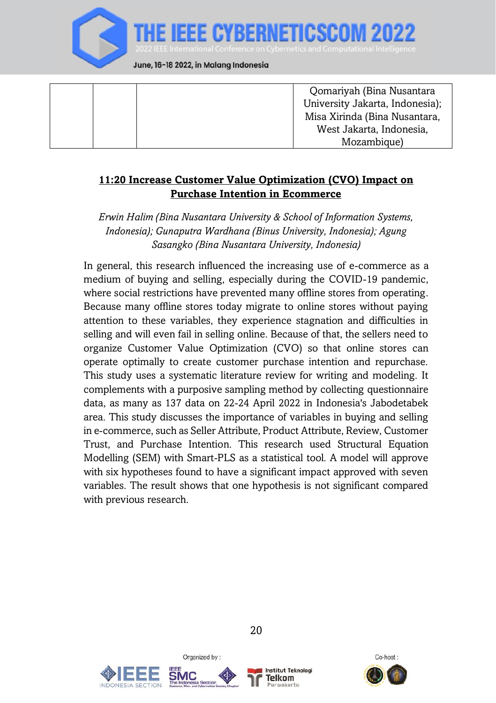

|  | Qomariyah (Bina Nusantara       |
|--|---------------------------------|
|  | University Jakarta, Indonesia); |
|  | Misa Xirinda (Bina Nusantara,   |
|  | West Jakarta, Indonesia,        |
|  | Mozambique)                     |

#### <span id="page-20-0"></span>**11:20 Increase Customer Value Optimization (CVO) Impact on Purchase Intention in Ecommerce**

*Erwin Halim (Bina Nusantara University & School of Information Systems, Indonesia); Gunaputra Wardhana (Binus University, Indonesia); Agung Sasangko (Bina Nusantara University, Indonesia)*

In general, this research influenced the increasing use of e-commerce as a medium of buying and selling, especially during the COVID-19 pandemic, where social restrictions have prevented many offline stores from operating. Because many offline stores today migrate to online stores without paying attention to these variables, they experience stagnation and difficulties in selling and will even fail in selling online. Because of that, the sellers need to organize Customer Value Optimization (CVO) so that online stores can operate optimally to create customer purchase intention and repurchase. This study uses a systematic literature review for writing and modeling. It complements with a purposive sampling method by collecting questionnaire data, as many as 137 data on 22-24 April 2022 in Indonesia's Jabodetabek area. This study discusses the importance of variables in buying and selling in e-commerce, such as Seller Attribute, Product Attribute, Review, Customer Trust, and Purchase Intention. This research used Structural Equation Modelling (SEM) with Smart-PLS as a statistical tool. A model will approve with six hypotheses found to have a significant impact approved with seven variables. The result shows that one hypothesis is not significant compared with previous research.





Organized by:



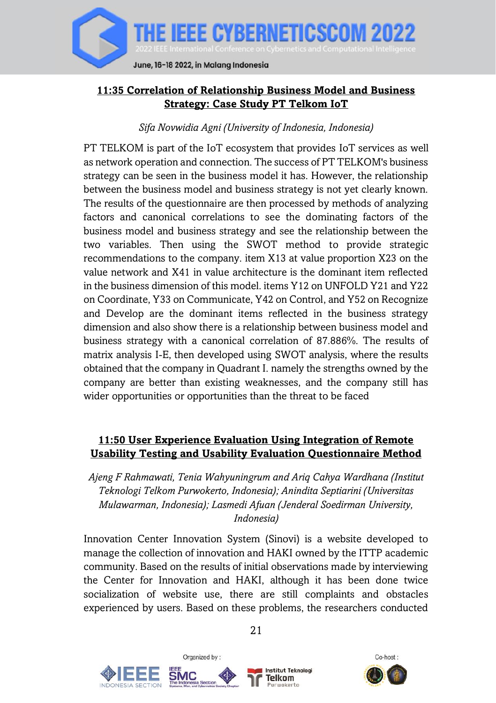

## <span id="page-21-0"></span>**11:35 Correlation of Relationship Business Model and Business Strategy: Case Study PT Telkom IoT**

#### *Sifa Novwidia Agni (University of Indonesia, Indonesia)*

PT TELKOM is part of the IoT ecosystem that provides IoT services as well as network operation and connection. The success of PT TELKOM's business strategy can be seen in the business model it has. However, the relationship between the business model and business strategy is not yet clearly known. The results of the questionnaire are then processed by methods of analyzing factors and canonical correlations to see the dominating factors of the business model and business strategy and see the relationship between the two variables. Then using the SWOT method to provide strategic recommendations to the company. item X13 at value proportion X23 on the value network and X41 in value architecture is the dominant item reflected in the business dimension of this model. items Y12 on UNFOLD Y21 and Y22 on Coordinate, Y33 on Communicate, Y42 on Control, and Y52 on Recognize and Develop are the dominant items reflected in the business strategy dimension and also show there is a relationship between business model and business strategy with a canonical correlation of 87.886%. The results of matrix analysis I-E, then developed using SWOT analysis, where the results obtained that the company in Quadrant I. namely the strengths owned by the company are better than existing weaknesses, and the company still has wider opportunities or opportunities than the threat to be faced

## <span id="page-21-1"></span>**11:50 User Experience Evaluation Using Integration of Remote Usability Testing and Usability Evaluation Questionnaire Method**

*Ajeng F Rahmawati, Tenia Wahyuningrum and Ariq Cahya Wardhana (Institut Teknologi Telkom Purwokerto, Indonesia); Anindita Septiarini (Universitas Mulawarman, Indonesia); Lasmedi Afuan (Jenderal Soedirman University, Indonesia)*

Innovation Center Innovation System (Sinovi) is a website developed to manage the collection of innovation and HAKI owned by the ITTP academic community. Based on the results of initial observations made by interviewing the Center for Innovation and HAKI, although it has been done twice socialization of website use, there are still complaints and obstacles experienced by users. Based on these problems, the researchers conducted

Organized by:





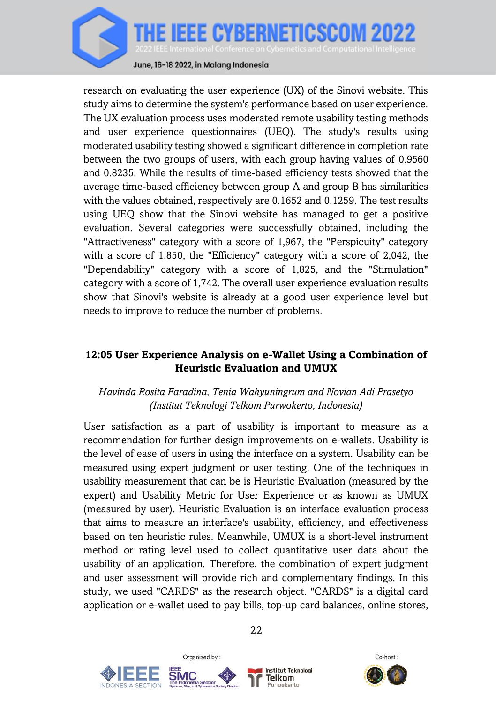

research on evaluating the user experience (UX) of the Sinovi website. This study aims to determine the system's performance based on user experience. The UX evaluation process uses moderated remote usability testing methods and user experience questionnaires (UEQ). The study's results using moderated usability testing showed a significant difference in completion rate between the two groups of users, with each group having values of 0.9560 and 0.8235. While the results of time-based efficiency tests showed that the average time-based efficiency between group A and group B has similarities with the values obtained, respectively are 0.1652 and 0.1259. The test results using UEQ show that the Sinovi website has managed to get a positive evaluation. Several categories were successfully obtained, including the "Attractiveness" category with a score of 1,967, the "Perspicuity" category with a score of 1,850, the "Efficiency" category with a score of 2,042, the "Dependability" category with a score of 1,825, and the "Stimulation" category with a score of 1,742. The overall user experience evaluation results show that Sinovi's website is already at a good user experience level but needs to improve to reduce the number of problems.

### <span id="page-22-0"></span>**12:05 User Experience Analysis on e-Wallet Using a Combination of Heuristic Evaluation and UMUX**

## *Havinda Rosita Faradina, Tenia Wahyuningrum and Novian Adi Prasetyo (Institut Teknologi Telkom Purwokerto, Indonesia)*

User satisfaction as a part of usability is important to measure as a recommendation for further design improvements on e-wallets. Usability is the level of ease of users in using the interface on a system. Usability can be measured using expert judgment or user testing. One of the techniques in usability measurement that can be is Heuristic Evaluation (measured by the expert) and Usability Metric for User Experience or as known as UMUX (measured by user). Heuristic Evaluation is an interface evaluation process that aims to measure an interface's usability, efficiency, and effectiveness based on ten heuristic rules. Meanwhile, UMUX is a short-level instrument method or rating level used to collect quantitative user data about the usability of an application. Therefore, the combination of expert judgment and user assessment will provide rich and complementary findings. In this study, we used "CARDS" as the research object. "CARDS" is a digital card application or e-wallet used to pay bills, top-up card balances, online stores,







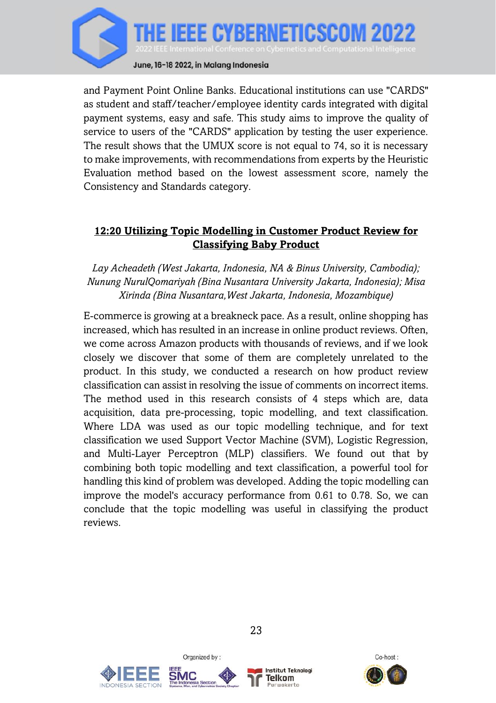

and Payment Point Online Banks. Educational institutions can use "CARDS" as student and staff/teacher/employee identity cards integrated with digital payment systems, easy and safe. This study aims to improve the quality of service to users of the "CARDS" application by testing the user experience. The result shows that the UMUX score is not equal to 74, so it is necessary to make improvements, with recommendations from experts by the Heuristic Evaluation method based on the lowest assessment score, namely the Consistency and Standards category.

#### <span id="page-23-0"></span>**12:20 Utilizing Topic Modelling in Customer Product Review for Classifying Baby Product**

*Lay Acheadeth (West Jakarta, Indonesia, NA & Binus University, Cambodia); Nunung NurulQomariyah (Bina Nusantara University Jakarta, Indonesia); Misa Xirinda (Bina Nusantara,West Jakarta, Indonesia, Mozambique)*

E-commerce is growing at a breakneck pace. As a result, online shopping has increased, which has resulted in an increase in online product reviews. Often, we come across Amazon products with thousands of reviews, and if we look closely we discover that some of them are completely unrelated to the product. In this study, we conducted a research on how product review classification can assist in resolving the issue of comments on incorrect items. The method used in this research consists of 4 steps which are, data acquisition, data pre-processing, topic modelling, and text classification. Where LDA was used as our topic modelling technique, and for text classification we used Support Vector Machine (SVM), Logistic Regression, and Multi-Layer Perceptron (MLP) classifiers. We found out that by combining both topic modelling and text classification, a powerful tool for handling this kind of problem was developed. Adding the topic modelling can improve the model's accuracy performance from 0.61 to 0.78. So, we can conclude that the topic modelling was useful in classifying the product reviews.





Organized by:



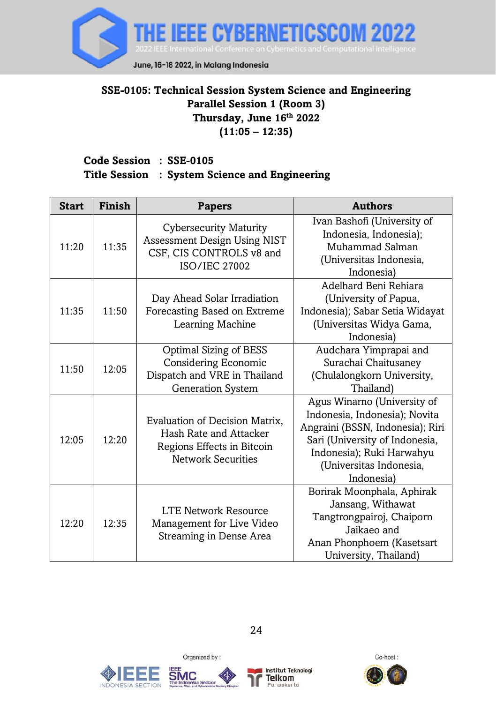

### <span id="page-24-0"></span>**SSE-0105: Technical Session System Science and Engineering Parallel Session 1 (Room 3) Thursday, June 16 th 2022 (11:05 – 12:35)**

## **Code Session : SSE-0105 Title Session : System Science and Engineering**

| <b>Start</b> | Finish | <b>Papers</b>                                                                                                       | <b>Authors</b>                                                                                                                                                                                           |
|--------------|--------|---------------------------------------------------------------------------------------------------------------------|----------------------------------------------------------------------------------------------------------------------------------------------------------------------------------------------------------|
| 11:20        | 11:35  | <b>Cybersecurity Maturity</b><br>Assessment Design Using NIST<br>CSF, CIS CONTROLS v8 and<br><b>ISO/IEC 27002</b>   | Ivan Bashofi (University of<br>Indonesia, Indonesia);<br>Muhammad Salman<br>(Universitas Indonesia,<br>Indonesia)                                                                                        |
| 11:35        | 11:50  | Day Ahead Solar Irradiation<br>Forecasting Based on Extreme<br>Learning Machine                                     | Adelhard Beni Rehiara<br>(University of Papua,<br>Indonesia); Sabar Setia Widayat<br>(Universitas Widya Gama,<br>Indonesia)                                                                              |
| 11:50        | 12:05  | Optimal Sizing of BESS<br>Considering Economic<br>Dispatch and VRE in Thailand<br>Generation System                 | Audchara Yimprapai and<br>Surachai Chaitusaney<br>(Chulalongkorn University,<br>Thailand)                                                                                                                |
| 12:05        | 12:20  | Evaluation of Decision Matrix,<br>Hash Rate and Attacker<br>Regions Effects in Bitcoin<br><b>Network Securities</b> | Agus Winarno (University of<br>Indonesia, Indonesia); Novita<br>Angraini (BSSN, Indonesia); Riri<br>Sari (University of Indonesia,<br>Indonesia); Ruki Harwahyu<br>(Universitas Indonesia,<br>Indonesia) |
| 12:20        | 12:35  | <b>LTE Network Resource</b><br>Management for Live Video<br>Streaming in Dense Area                                 | Borirak Moonphala, Aphirak<br>Jansang, Withawat<br>Tangtrongpairoj, Chaiporn<br>Jaikaeo and<br>Anan Phonphoem (Kasetsart<br>University, Thailand)                                                        |







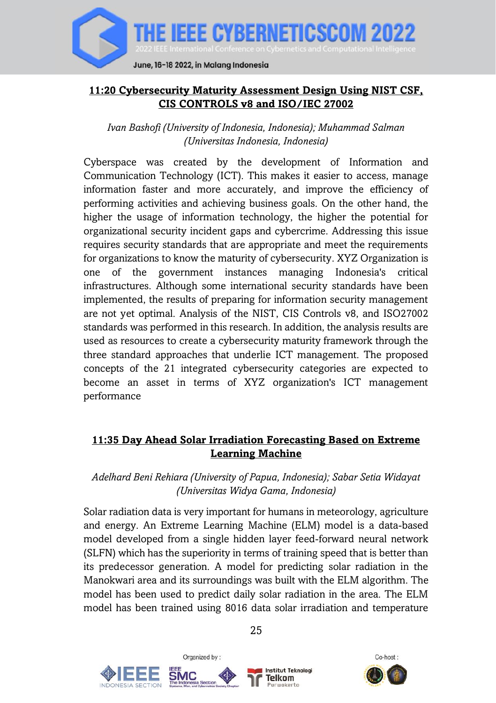

## <span id="page-25-0"></span>**11:20 Cybersecurity Maturity Assessment Design Using NIST CSF, CIS CONTROLS v8 and ISO/IEC 27002**

*Ivan Bashofi (University of Indonesia, Indonesia); Muhammad Salman (Universitas Indonesia, Indonesia)*

Cyberspace was created by the development of Information and Communication Technology (ICT). This makes it easier to access, manage information faster and more accurately, and improve the efficiency of performing activities and achieving business goals. On the other hand, the higher the usage of information technology, the higher the potential for organizational security incident gaps and cybercrime. Addressing this issue requires security standards that are appropriate and meet the requirements for organizations to know the maturity of cybersecurity. XYZ Organization is one of the government instances managing Indonesia's critical infrastructures. Although some international security standards have been implemented, the results of preparing for information security management are not yet optimal. Analysis of the NIST, CIS Controls v8, and ISO27002 standards was performed in this research. In addition, the analysis results are used as resources to create a cybersecurity maturity framework through the three standard approaches that underlie ICT management. The proposed concepts of the 21 integrated cybersecurity categories are expected to become an asset in terms of XYZ organization's ICT management performance

## <span id="page-25-1"></span>**11:35 Day Ahead Solar Irradiation Forecasting Based on Extreme Learning Machine**

*Adelhard Beni Rehiara (University of Papua, Indonesia); Sabar Setia Widayat (Universitas Widya Gama, Indonesia)*

Solar radiation data is very important for humans in meteorology, agriculture and energy. An Extreme Learning Machine (ELM) model is a data-based model developed from a single hidden layer feed-forward neural network (SLFN) which has the superiority in terms of training speed that is better than its predecessor generation. A model for predicting solar radiation in the Manokwari area and its surroundings was built with the ELM algorithm. The model has been used to predict daily solar radiation in the area. The ELM model has been trained using 8016 data solar irradiation and temperature







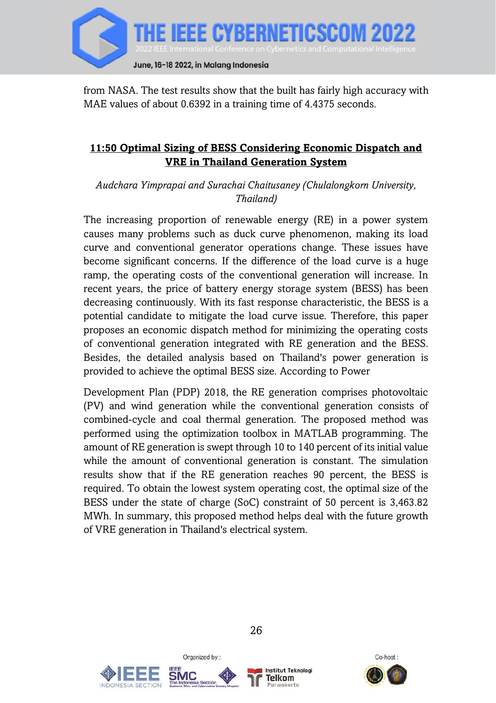

from NASA. The test results show that the built has fairly high accuracy with MAE values of about 0.6392 in a training time of 4.4375 seconds.

### <span id="page-26-0"></span>**11:50 Optimal Sizing of BESS Considering Economic Dispatch and VRE in Thailand Generation System**

*Audchara Yimprapai and Surachai Chaitusaney (Chulalongkorn University, Thailand)*

The increasing proportion of renewable energy (RE) in a power system causes many problems such as duck curve phenomenon, making its load curve and conventional generator operations change. These issues have become significant concerns. If the difference of the load curve is a huge ramp, the operating costs of the conventional generation will increase. In recent years, the price of battery energy storage system (BESS) has been decreasing continuously. With its fast response characteristic, the BESS is a potential candidate to mitigate the load curve issue. Therefore, this paper proposes an economic dispatch method for minimizing the operating costs of conventional generation integrated with RE generation and the BESS. Besides, the detailed analysis based on Thailand's power generation is provided to achieve the optimal BESS size. According to Power

Development Plan (PDP) 2018, the RE generation comprises photovoltaic (PV) and wind generation while the conventional generation consists of combined-cycle and coal thermal generation. The proposed method was performed using the optimization toolbox in MATLAB programming. The amount of RE generation is swept through 10 to 140 percent of its initial value while the amount of conventional generation is constant. The simulation results show that if the RE generation reaches 90 percent, the BESS is required. To obtain the lowest system operating cost, the optimal size of the BESS under the state of charge (SoC) constraint of 50 percent is 3,463.82 MWh. In summary, this proposed method helps deal with the future growth of VRE generation in Thailand's electrical system.





Organized by:



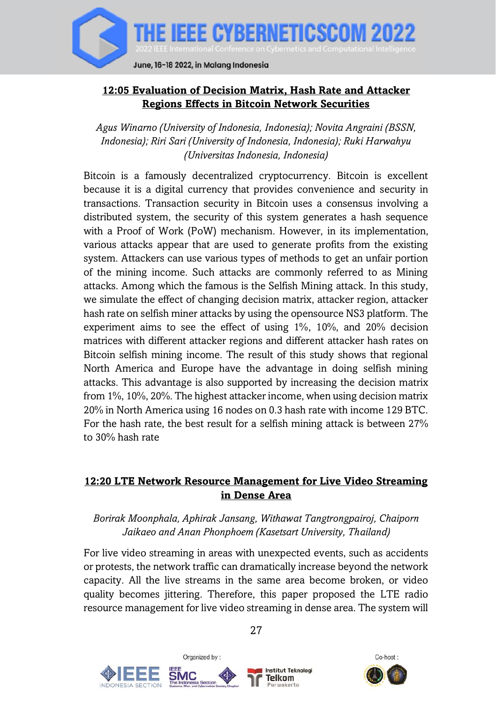

## <span id="page-27-0"></span>**12:05 Evaluation of Decision Matrix, Hash Rate and Attacker Regions Effects in Bitcoin Network Securities**

*Agus Winarno (University of Indonesia, Indonesia); Novita Angraini (BSSN, Indonesia); Riri Sari (University of Indonesia, Indonesia); Ruki Harwahyu (Universitas Indonesia, Indonesia)*

Bitcoin is a famously decentralized cryptocurrency. Bitcoin is excellent because it is a digital currency that provides convenience and security in transactions. Transaction security in Bitcoin uses a consensus involving a distributed system, the security of this system generates a hash sequence with a Proof of Work (PoW) mechanism. However, in its implementation, various attacks appear that are used to generate profits from the existing system. Attackers can use various types of methods to get an unfair portion of the mining income. Such attacks are commonly referred to as Mining attacks. Among which the famous is the Selfish Mining attack. In this study, we simulate the effect of changing decision matrix, attacker region, attacker hash rate on selfish miner attacks by using the opensource NS3 platform. The experiment aims to see the effect of using 1%, 10%, and 20% decision matrices with different attacker regions and different attacker hash rates on Bitcoin selfish mining income. The result of this study shows that regional North America and Europe have the advantage in doing selfish mining attacks. This advantage is also supported by increasing the decision matrix from 1%, 10%, 20%. The highest attacker income, when using decision matrix 20% in North America using 16 nodes on 0.3 hash rate with income 129 BTC. For the hash rate, the best result for a selfish mining attack is between 27% to 30% hash rate

#### <span id="page-27-1"></span>**12:20 LTE Network Resource Management for Live Video Streaming in Dense Area**

#### *Borirak Moonphala, Aphirak Jansang, Withawat Tangtrongpairoj, Chaiporn Jaikaeo and Anan Phonphoem (Kasetsart University, Thailand)*

For live video streaming in areas with unexpected events, such as accidents or protests, the network traffic can dramatically increase beyond the network capacity. All the live streams in the same area become broken, or video quality becomes jittering. Therefore, this paper proposed the LTE radio resource management for live video streaming in dense area. The system will







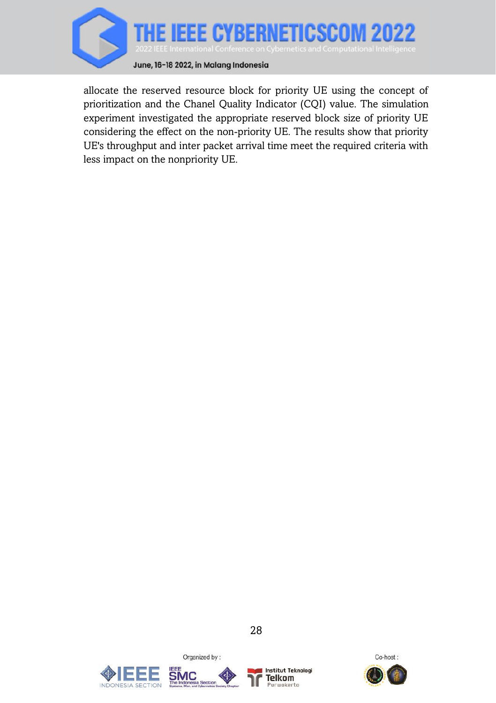

allocate the reserved resource block for priority UE using the concept of prioritization and the Chanel Quality Indicator (CQI) value. The simulation experiment investigated the appropriate reserved block size of priority UE considering the effect on the non-priority UE. The results show that priority UE's throughput and inter packet arrival time meet the required criteria with less impact on the nonpriority UE.





Organized by:



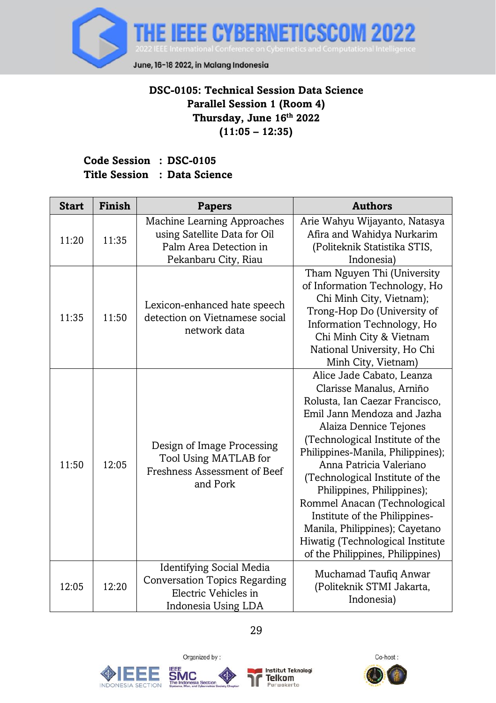

# **DSC-0105: Technical Session Data Science Parallel Session 1 (Room 4) Thursday, June 16 th 2022 (11:05 – 12:35)**

# <span id="page-29-0"></span>**Code Session : DSC-0105 Title Session : Data Science**

| <b>Start</b> | Finish | <b>Papers</b>                                                                                                          | <b>Authors</b>                                                                                                                                                                                                                                                                                                                                                                                                                                                                                  |
|--------------|--------|------------------------------------------------------------------------------------------------------------------------|-------------------------------------------------------------------------------------------------------------------------------------------------------------------------------------------------------------------------------------------------------------------------------------------------------------------------------------------------------------------------------------------------------------------------------------------------------------------------------------------------|
| 11:20        | 11:35  | Machine Learning Approaches<br>using Satellite Data for Oil<br>Palm Area Detection in<br>Pekanbaru City, Riau          | Arie Wahyu Wijayanto, Natasya<br>Afira and Wahidya Nurkarim<br>(Politeknik Statistika STIS,<br>Indonesia)                                                                                                                                                                                                                                                                                                                                                                                       |
| 11:35        | 11:50  | Lexicon-enhanced hate speech<br>detection on Vietnamese social<br>network data                                         | Tham Nguyen Thi (University<br>of Information Technology, Ho<br>Chi Minh City, Vietnam);<br>Trong-Hop Do (University of<br>Information Technology, Ho<br>Chi Minh City & Vietnam<br>National University, Ho Chi<br>Minh City, Vietnam)                                                                                                                                                                                                                                                          |
| 11:50        | 12:05  | Design of Image Processing<br>Tool Using MATLAB for<br>Freshness Assessment of Beef<br>and Pork                        | Alice Jade Cabato, Leanza<br>Clarisse Manalus, Arniño<br>Rolusta, Ian Caezar Francisco,<br>Emil Jann Mendoza and Jazha<br>Alaiza Dennice Tejones<br>(Technological Institute of the<br>Philippines-Manila, Philippines);<br>Anna Patricia Valeriano<br>(Technological Institute of the<br>Philippines, Philippines);<br>Rommel Anacan (Technological<br>Institute of the Philippines-<br>Manila, Philippines); Cayetano<br>Hiwatig (Technological Institute<br>of the Philippines, Philippines) |
| 12:05        | 12:20  | <b>Identifying Social Media</b><br><b>Conversation Topics Regarding</b><br>Electric Vehicles in<br>Indonesia Using LDA | Muchamad Taufiq Anwar<br>(Politeknik STMI Jakarta,<br>Indonesia)                                                                                                                                                                                                                                                                                                                                                                                                                                |





Organized by:



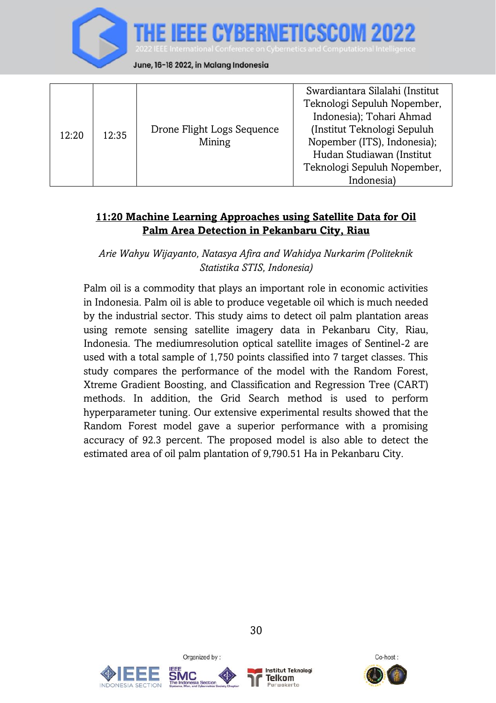

| 12:20 | 12:35 | Drone Flight Logs Sequence<br>Mining | Swardiantara Silalahi (Institut<br>Teknologi Sepuluh Nopember,<br>Indonesia); Tohari Ahmad<br>(Institut Teknologi Sepuluh<br>Nopember (ITS), Indonesia);<br>Hudan Studiawan (Institut<br>Teknologi Sepuluh Nopember,<br>Indonesia) |
|-------|-------|--------------------------------------|------------------------------------------------------------------------------------------------------------------------------------------------------------------------------------------------------------------------------------|
|-------|-------|--------------------------------------|------------------------------------------------------------------------------------------------------------------------------------------------------------------------------------------------------------------------------------|

#### <span id="page-30-0"></span>**11:20 Machine Learning Approaches using Satellite Data for Oil Palm Area Detection in Pekanbaru City, Riau**

*Arie Wahyu Wijayanto, Natasya Afira and Wahidya Nurkarim (Politeknik Statistika STIS, Indonesia)*

Palm oil is a commodity that plays an important role in economic activities in Indonesia. Palm oil is able to produce vegetable oil which is much needed by the industrial sector. This study aims to detect oil palm plantation areas using remote sensing satellite imagery data in Pekanbaru City, Riau, Indonesia. The mediumresolution optical satellite images of Sentinel-2 are used with a total sample of 1,750 points classified into 7 target classes. This study compares the performance of the model with the Random Forest, Xtreme Gradient Boosting, and Classification and Regression Tree (CART) methods. In addition, the Grid Search method is used to perform hyperparameter tuning. Our extensive experimental results showed that the Random Forest model gave a superior performance with a promising accuracy of 92.3 percent. The proposed model is also able to detect the estimated area of oil palm plantation of 9,790.51 Ha in Pekanbaru City.





Organized by:



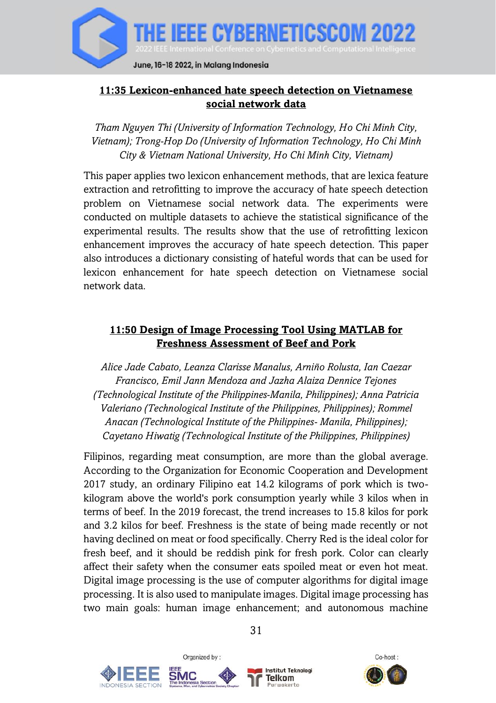

## <span id="page-31-0"></span>**11:35 Lexicon-enhanced hate speech detection on Vietnamese social network data**

*Tham Nguyen Thi (University of Information Technology, Ho Chi Minh City, Vietnam); Trong-Hop Do (University of Information Technology, Ho Chi Minh City & Vietnam National University, Ho Chi Minh City, Vietnam)*

This paper applies two lexicon enhancement methods, that are lexica feature extraction and retrofitting to improve the accuracy of hate speech detection problem on Vietnamese social network data. The experiments were conducted on multiple datasets to achieve the statistical significance of the experimental results. The results show that the use of retrofitting lexicon enhancement improves the accuracy of hate speech detection. This paper also introduces a dictionary consisting of hateful words that can be used for lexicon enhancement for hate speech detection on Vietnamese social network data.

#### <span id="page-31-1"></span>**11:50 Design of Image Processing Tool Using MATLAB for Freshness Assessment of Beef and Pork**

*Alice Jade Cabato, Leanza Clarisse Manalus, Arniño Rolusta, Ian Caezar Francisco, Emil Jann Mendoza and Jazha Alaiza Dennice Tejones (Technological Institute of the Philippines-Manila, Philippines); Anna Patricia Valeriano (Technological Institute of the Philippines, Philippines); Rommel Anacan (Technological Institute of the Philippines- Manila, Philippines); Cayetano Hiwatig (Technological Institute of the Philippines, Philippines)*

Filipinos, regarding meat consumption, are more than the global average. According to the Organization for Economic Cooperation and Development 2017 study, an ordinary Filipino eat 14.2 kilograms of pork which is twokilogram above the world's pork consumption yearly while 3 kilos when in terms of beef. In the 2019 forecast, the trend increases to 15.8 kilos for pork and 3.2 kilos for beef. Freshness is the state of being made recently or not having declined on meat or food specifically. Cherry Red is the ideal color for fresh beef, and it should be reddish pink for fresh pork. Color can clearly affect their safety when the consumer eats spoiled meat or even hot meat. Digital image processing is the use of computer algorithms for digital image processing. It is also used to manipulate images. Digital image processing has two main goals: human image enhancement; and autonomous machine







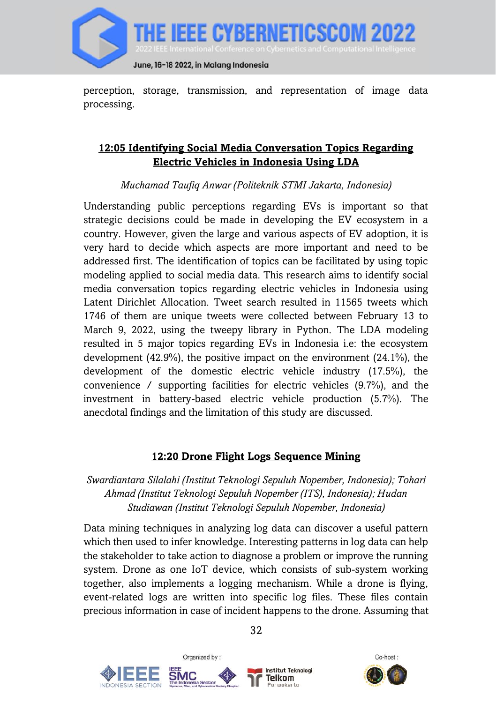

perception, storage, transmission, and representation of image data processing.

## <span id="page-32-0"></span>**12:05 Identifying Social Media Conversation Topics Regarding Electric Vehicles in Indonesia Using LDA**

*Muchamad Taufiq Anwar (Politeknik STMI Jakarta, Indonesia)*

Understanding public perceptions regarding EVs is important so that strategic decisions could be made in developing the EV ecosystem in a country. However, given the large and various aspects of EV adoption, it is very hard to decide which aspects are more important and need to be addressed first. The identification of topics can be facilitated by using topic modeling applied to social media data. This research aims to identify social media conversation topics regarding electric vehicles in Indonesia using Latent Dirichlet Allocation. Tweet search resulted in 11565 tweets which 1746 of them are unique tweets were collected between February 13 to March 9, 2022, using the tweepy library in Python. The LDA modeling resulted in 5 major topics regarding EVs in Indonesia i.e: the ecosystem development (42.9%), the positive impact on the environment (24.1%), the development of the domestic electric vehicle industry (17.5%), the convenience / supporting facilities for electric vehicles (9.7%), and the investment in battery-based electric vehicle production (5.7%). The anecdotal findings and the limitation of this study are discussed.

## **12:20 Drone Flight Logs Sequence Mining**

## <span id="page-32-1"></span>*Swardiantara Silalahi (Institut Teknologi Sepuluh Nopember, Indonesia); Tohari Ahmad (Institut Teknologi Sepuluh Nopember (ITS), Indonesia); Hudan Studiawan (Institut Teknologi Sepuluh Nopember, Indonesia)*

Data mining techniques in analyzing log data can discover a useful pattern which then used to infer knowledge. Interesting patterns in log data can help the stakeholder to take action to diagnose a problem or improve the running system. Drone as one IoT device, which consists of sub-system working together, also implements a logging mechanism. While a drone is flying, event-related logs are written into specific log files. These files contain precious information in case of incident happens to the drone. Assuming that



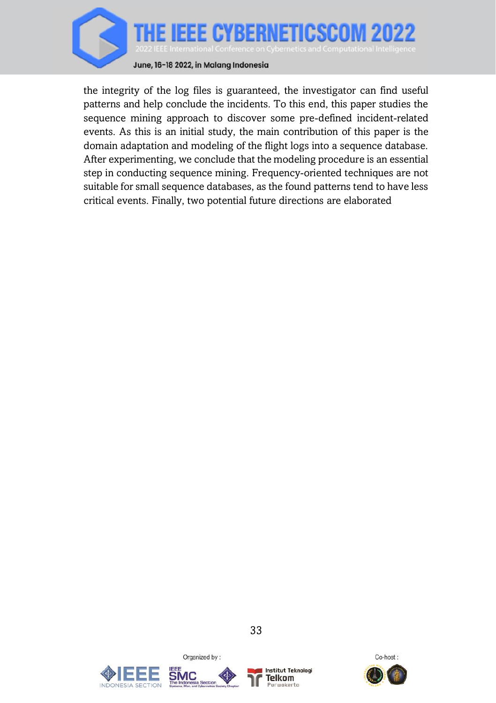

the integrity of the log files is guaranteed, the investigator can find useful patterns and help conclude the incidents. To this end, this paper studies the sequence mining approach to discover some pre-defined incident-related events. As this is an initial study, the main contribution of this paper is the domain adaptation and modeling of the flight logs into a sequence database. After experimenting, we conclude that the modeling procedure is an essential step in conducting sequence mining. Frequency-oriented techniques are not suitable for small sequence databases, as the found patterns tend to have less critical events. Finally, two potential future directions are elaborated





Organized by:



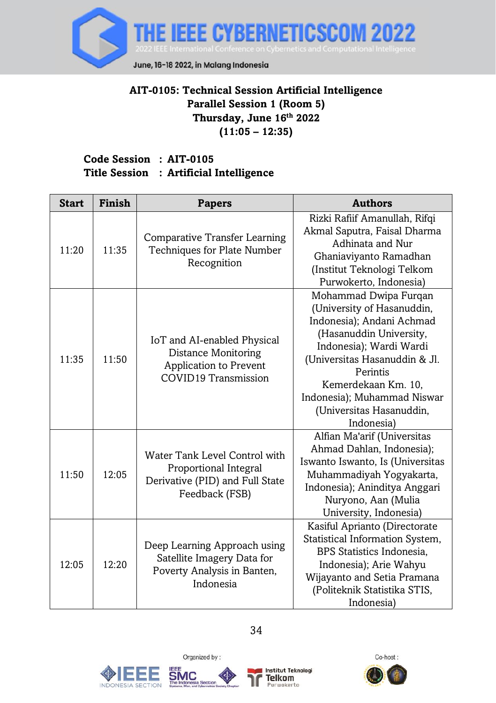

## <span id="page-34-0"></span>**AIT-0105: Technical Session Artificial Intelligence Parallel Session 1 (Room 5) Thursday, June 16th 2022 (11:05 – 12:35)**

#### **Code Session : AIT-0105 Title Session : Artificial Intelligence**

| <b>Start</b> | Finish | <b>Papers</b>                                                                                               | <b>Authors</b>                                                                                                                                                                                                                                                                      |
|--------------|--------|-------------------------------------------------------------------------------------------------------------|-------------------------------------------------------------------------------------------------------------------------------------------------------------------------------------------------------------------------------------------------------------------------------------|
| 11:20        | 11:35  | <b>Comparative Transfer Learning</b><br>Techniques for Plate Number<br>Recognition                          | Rizki Rafiif Amanullah, Rifqi<br>Akmal Saputra, Faisal Dharma<br>Adhinata and Nur<br>Ghaniaviyanto Ramadhan<br>(Institut Teknologi Telkom<br>Purwokerto, Indonesia)                                                                                                                 |
| 11:35        | 11:50  | IoT and AI-enabled Physical<br>Distance Monitoring<br>Application to Prevent<br>COVID19 Transmission        | Mohammad Dwipa Furqan<br>(University of Hasanuddin,<br>Indonesia); Andani Achmad<br>(Hasanuddin University,<br>Indonesia); Wardi Wardi<br>(Universitas Hasanuddin & Jl.<br>Perintis<br>Kemerdekaan Km. 10.<br>Indonesia); Muhammad Niswar<br>(Universitas Hasanuddin,<br>Indonesia) |
| 11:50        | 12:05  | Water Tank Level Control with<br>Proportional Integral<br>Derivative (PID) and Full State<br>Feedback (FSB) | Alfian Ma'arif (Universitas<br>Ahmad Dahlan, Indonesia);<br>Iswanto Iswanto, Is (Universitas<br>Muhammadiyah Yogyakarta,<br>Indonesia); Aninditya Anggari<br>Nuryono, Aan (Mulia<br>University, Indonesia)                                                                          |
| 12:05        | 12:20  | Deep Learning Approach using<br>Satellite Imagery Data for<br>Poverty Analysis in Banten,<br>Indonesia      | Kasiful Aprianto (Directorate<br>Statistical Information System,<br>BPS Statistics Indonesia.<br>Indonesia); Arie Wahyu<br>Wijayanto and Setia Pramana<br>(Politeknik Statistika STIS,<br>Indonesia)                                                                                |





Organized by:



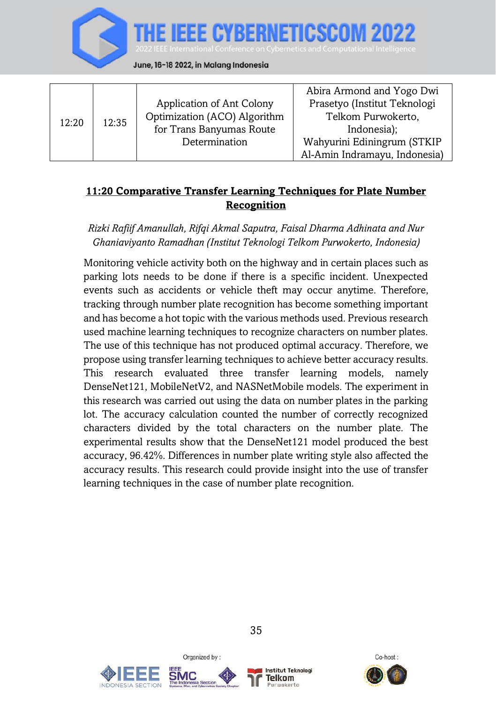

|       |       |                              | Abira Armond and Yogo Dwi     |
|-------|-------|------------------------------|-------------------------------|
| 12:20 | 12:35 | Application of Ant Colony    | Prasetyo (Institut Teknologi  |
|       |       | Optimization (ACO) Algorithm | Telkom Purwokerto,            |
|       |       | for Trans Banyumas Route     | Indonesia);                   |
|       |       | Determination                | Wahyurini Ediningrum (STKIP   |
|       |       |                              | Al-Amin Indramayu, Indonesia) |

## <span id="page-35-0"></span>**11:20 Comparative Transfer Learning Techniques for Plate Number Recognition**

*Rizki Rafiif Amanullah, Rifqi Akmal Saputra, Faisal Dharma Adhinata and Nur Ghaniaviyanto Ramadhan (Institut Teknologi Telkom Purwokerto, Indonesia)*

Monitoring vehicle activity both on the highway and in certain places such as parking lots needs to be done if there is a specific incident. Unexpected events such as accidents or vehicle theft may occur anytime. Therefore, tracking through number plate recognition has become something important and has become a hot topic with the various methods used. Previous research used machine learning techniques to recognize characters on number plates. The use of this technique has not produced optimal accuracy. Therefore, we propose using transfer learning techniques to achieve better accuracy results. This research evaluated three transfer learning models, namely DenseNet121, MobileNetV2, and NASNetMobile models. The experiment in this research was carried out using the data on number plates in the parking lot. The accuracy calculation counted the number of correctly recognized characters divided by the total characters on the number plate. The experimental results show that the DenseNet121 model produced the best accuracy, 96.42%. Differences in number plate writing style also affected the accuracy results. This research could provide insight into the use of transfer learning techniques in the case of number plate recognition.





Organized by:



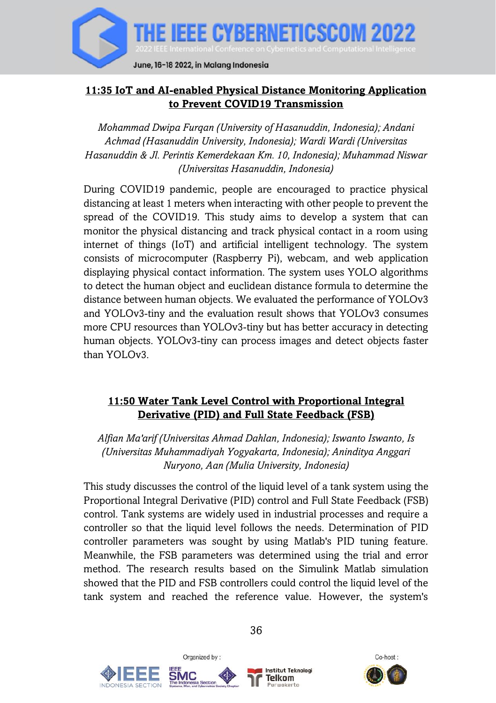

## **11:35 IoT and AI-enabled Physical Distance Monitoring Application to Prevent COVID19 Transmission**

*Mohammad Dwipa Furqan (University of Hasanuddin, Indonesia); Andani Achmad (Hasanuddin University, Indonesia); Wardi Wardi (Universitas Hasanuddin & Jl. Perintis Kemerdekaan Km. 10, Indonesia); Muhammad Niswar (Universitas Hasanuddin, Indonesia)*

During COVID19 pandemic, people are encouraged to practice physical distancing at least 1 meters when interacting with other people to prevent the spread of the COVID19. This study aims to develop a system that can monitor the physical distancing and track physical contact in a room using internet of things (IoT) and artificial intelligent technology. The system consists of microcomputer (Raspberry Pi), webcam, and web application displaying physical contact information. The system uses YOLO algorithms to detect the human object and euclidean distance formula to determine the distance between human objects. We evaluated the performance of YOLOv3 and YOLOv3-tiny and the evaluation result shows that YOLOv3 consumes more CPU resources than YOLOv3-tiny but has better accuracy in detecting human objects. YOLOv3-tiny can process images and detect objects faster than  $Y \cap I \cap v$ 3

## **11:50 Water Tank Level Control with Proportional Integral Derivative (PID) and Full State Feedback (FSB)**

*Alfian Ma'arif (Universitas Ahmad Dahlan, Indonesia); Iswanto Iswanto, Is (Universitas Muhammadiyah Yogyakarta, Indonesia); Aninditya Anggari Nuryono, Aan (Mulia University, Indonesia)*

This study discusses the control of the liquid level of a tank system using the Proportional Integral Derivative (PID) control and Full State Feedback (FSB) control. Tank systems are widely used in industrial processes and require a controller so that the liquid level follows the needs. Determination of PID controller parameters was sought by using Matlab's PID tuning feature. Meanwhile, the FSB parameters was determined using the trial and error method. The research results based on the Simulink Matlab simulation showed that the PID and FSB controllers could control the liquid level of the tank system and reached the reference value. However, the system's







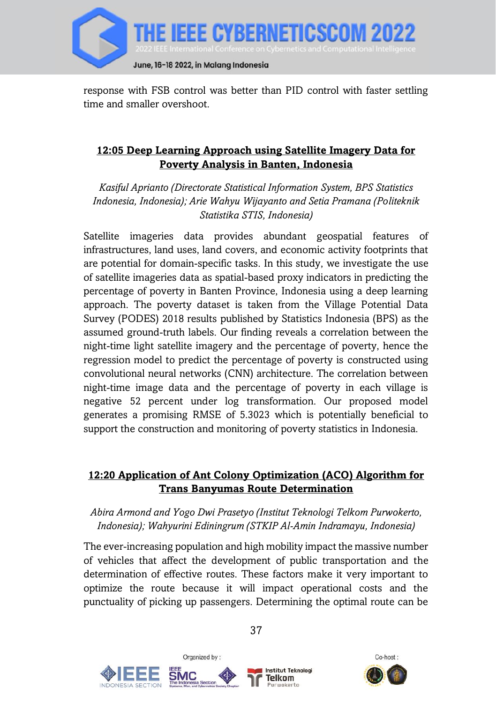

response with FSB control was better than PID control with faster settling time and smaller overshoot.

# **12:05 Deep Learning Approach using Satellite Imagery Data for Poverty Analysis in Banten, Indonesia**

*Kasiful Aprianto (Directorate Statistical Information System, BPS Statistics Indonesia, Indonesia); Arie Wahyu Wijayanto and Setia Pramana (Politeknik Statistika STIS, Indonesia)*

Satellite imageries data provides abundant geospatial features of infrastructures, land uses, land covers, and economic activity footprints that are potential for domain-specific tasks. In this study, we investigate the use of satellite imageries data as spatial-based proxy indicators in predicting the percentage of poverty in Banten Province, Indonesia using a deep learning approach. The poverty dataset is taken from the Village Potential Data Survey (PODES) 2018 results published by Statistics Indonesia (BPS) as the assumed ground-truth labels. Our finding reveals a correlation between the night-time light satellite imagery and the percentage of poverty, hence the regression model to predict the percentage of poverty is constructed using convolutional neural networks (CNN) architecture. The correlation between night-time image data and the percentage of poverty in each village is negative 52 percent under log transformation. Our proposed model generates a promising RMSE of 5.3023 which is potentially beneficial to support the construction and monitoring of poverty statistics in Indonesia.

### **12:20 Application of Ant Colony Optimization (ACO) Algorithm for Trans Banyumas Route Determination**

### *Abira Armond and Yogo Dwi Prasetyo (Institut Teknologi Telkom Purwokerto, Indonesia); Wahyurini Ediningrum (STKIP Al-Amin Indramayu, Indonesia)*

The ever-increasing population and high mobility impact the massive number of vehicles that affect the development of public transportation and the determination of effective routes. These factors make it very important to optimize the route because it will impact operational costs and the punctuality of picking up passengers. Determining the optimal route can be





Organized by:



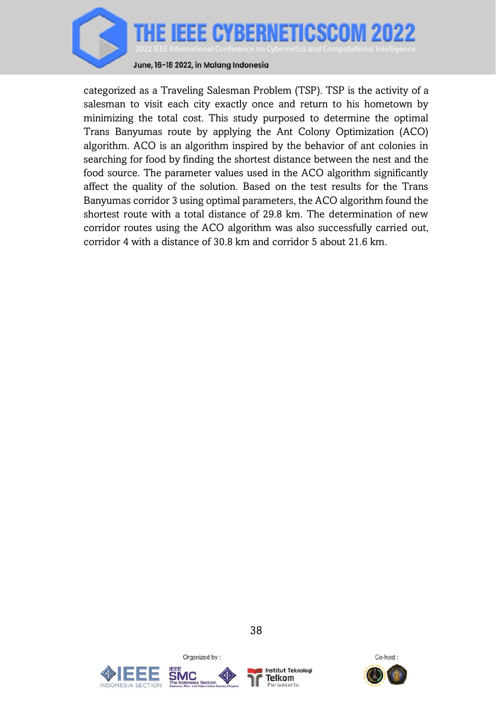

categorized as a Traveling Salesman Problem (TSP). TSP is the activity of a salesman to visit each city exactly once and return to his hometown by minimizing the total cost. This study purposed to determine the optimal Trans Banyumas route by applying the Ant Colony Optimization (ACO) algorithm. ACO is an algorithm inspired by the behavior of ant colonies in searching for food by finding the shortest distance between the nest and the food source. The parameter values used in the ACO algorithm significantly affect the quality of the solution. Based on the test results for the Trans Banyumas corridor 3 using optimal parameters, the ACO algorithm found the shortest route with a total distance of 29.8 km. The determination of new corridor routes using the ACO algorithm was also successfully carried out, corridor 4 with a distance of 30.8 km and corridor 5 about 21.6 km.





Organized by:



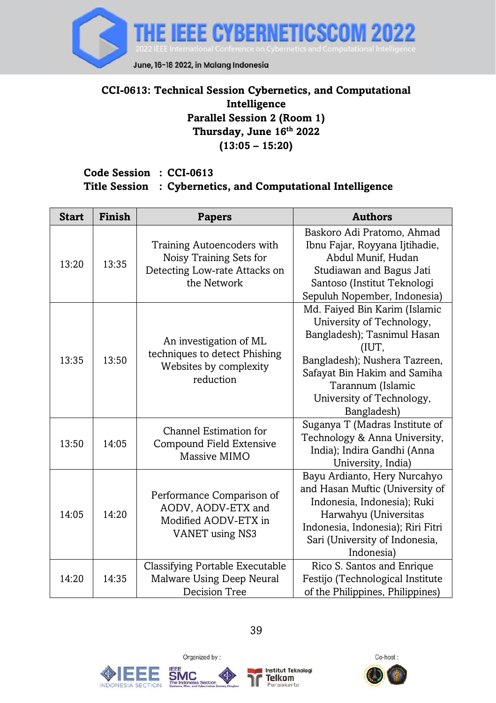

# **CCI-0613: Technical Session Cybernetics, and Computational Intelligence Parallel Session 2 (Room 1) Thursday, June 16th 2022 (13:05 – 15:20)**

#### **Code Session : CCI-0613 Title Session : Cybernetics, and Computational Intelligence**

| <b>Start</b> | Finish | <b>Papers</b>                                                                                         | <b>Authors</b>                                                                                                                                                                                                                       |
|--------------|--------|-------------------------------------------------------------------------------------------------------|--------------------------------------------------------------------------------------------------------------------------------------------------------------------------------------------------------------------------------------|
| 13:20        | 13:35  | Training Autoencoders with<br>Noisy Training Sets for<br>Detecting Low-rate Attacks on<br>the Network | Baskoro Adi Pratomo, Ahmad<br>Ibnu Fajar, Royyana Ijtihadie,<br>Abdul Munif, Hudan<br>Studiawan and Bagus Jati<br>Santoso (Institut Teknologi<br>Sepuluh Nopember, Indonesia)                                                        |
| 13:35        | 13:50  | An investigation of ML<br>techniques to detect Phishing<br>Websites by complexity<br>reduction        | Md. Faiyed Bin Karim (Islamic<br>University of Technology,<br>Bangladesh); Tasnimul Hasan<br>(IUT,<br>Bangladesh); Nushera Tazreen,<br>Safayat Bin Hakim and Samiha<br>Tarannum (Islamic<br>University of Technology,<br>Bangladesh) |
| 13:50        | 14:05  | Channel Estimation for<br>Compound Field Extensive<br>Massive MIMO                                    | Suganya T (Madras Institute of<br>Technology & Anna University,<br>India); Indira Gandhi (Anna<br>University, India)                                                                                                                 |
| 14:05        | 14:20  | Performance Comparison of<br>AODV, AODV-ETX and<br>Modified AODV-ETX in<br><b>VANET</b> using NS3     | Bayu Ardianto, Hery Nurcahyo<br>and Hasan Muftic (University of<br>Indonesia, Indonesia); Ruki<br>Harwahyu (Universitas<br>Indonesia, Indonesia); Riri Fitri<br>Sari (University of Indonesia,<br>Indonesia)                         |
| 14:20        | 14:35  | Classifying Portable Executable<br>Malware Using Deep Neural<br>Decision Tree                         | Rico S. Santos and Enrique<br>Festijo (Technological Institute<br>of the Philippines, Philippines)                                                                                                                                   |





Organized by:



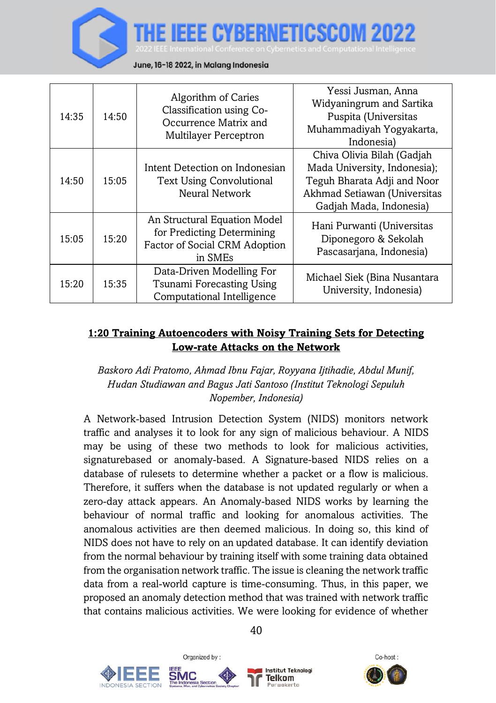

June, 16-18 2022, in Malang Indonesia

| 14:35 | 14:50 | Algorithm of Caries<br>Classification using Co-<br>Occurrence Matrix and<br><b>Multilayer Perceptron</b> | Yessi Jusman, Anna<br>Widyaningrum and Sartika<br>Puspita (Universitas<br>Muhammadiyah Yogyakarta,<br>Indonesia)                                     |
|-------|-------|----------------------------------------------------------------------------------------------------------|------------------------------------------------------------------------------------------------------------------------------------------------------|
| 14:50 | 15:05 | Intent Detection on Indonesian<br><b>Text Using Convolutional</b><br>Neural Network                      | Chiva Olivia Bilah (Gadjah<br>Mada University, Indonesia);<br>Teguh Bharata Adji and Noor<br>Akhmad Setiawan (Universitas<br>Gadiah Mada, Indonesia) |
| 15:05 | 15:20 | An Structural Equation Model<br>for Predicting Determining<br>Factor of Social CRM Adoption<br>in SMEs   | Hani Purwanti (Universitas<br>Diponegoro & Sekolah<br>Pascasarjana, Indonesia)                                                                       |
| 15:20 | 15:35 | Data-Driven Modelling For<br>Tsunami Forecasting Using<br>Computational Intelligence                     | Michael Siek (Bina Nusantara<br>University, Indonesia)                                                                                               |

### **1:20 Training Autoencoders with Noisy Training Sets for Detecting Low-rate Attacks on the Network**

### *Baskoro Adi Pratomo, Ahmad Ibnu Fajar, Royyana Ijtihadie, Abdul Munif, Hudan Studiawan and Bagus Jati Santoso (Institut Teknologi Sepuluh Nopember, Indonesia)*

A Network-based Intrusion Detection System (NIDS) monitors network traffic and analyses it to look for any sign of malicious behaviour. A NIDS may be using of these two methods to look for malicious activities, signaturebased or anomaly-based. A Signature-based NIDS relies on a database of rulesets to determine whether a packet or a flow is malicious. Therefore, it suffers when the database is not updated regularly or when a zero-day attack appears. An Anomaly-based NIDS works by learning the behaviour of normal traffic and looking for anomalous activities. The anomalous activities are then deemed malicious. In doing so, this kind of NIDS does not have to rely on an updated database. It can identify deviation from the normal behaviour by training itself with some training data obtained from the organisation network traffic. The issue is cleaning the network traffic data from a real-world capture is time-consuming. Thus, in this paper, we proposed an anomaly detection method that was trained with network traffic that contains malicious activities. We were looking for evidence of whether



Co-host:

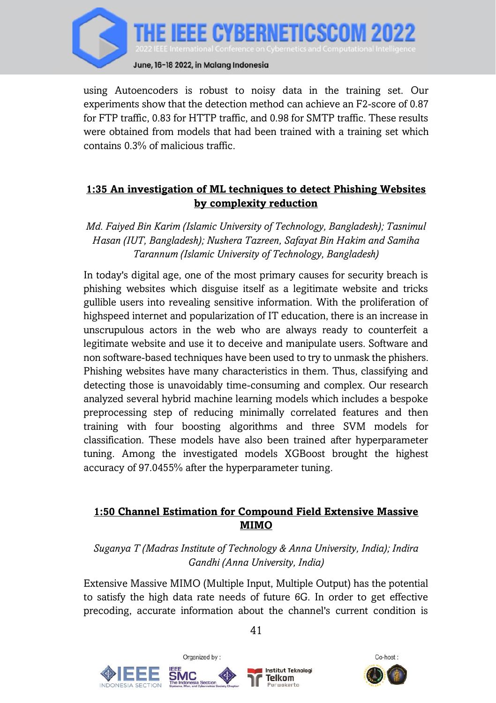

using Autoencoders is robust to noisy data in the training set. Our experiments show that the detection method can achieve an F2-score of 0.87 for FTP traffic, 0.83 for HTTP traffic, and 0.98 for SMTP traffic. These results were obtained from models that had been trained with a training set which contains 0.3% of malicious traffic.

# **1:35 An investigation of ML techniques to detect Phishing Websites by complexity reduction**

*Md. Faiyed Bin Karim (Islamic University of Technology, Bangladesh); Tasnimul Hasan (IUT, Bangladesh); Nushera Tazreen, Safayat Bin Hakim and Samiha Tarannum (Islamic University of Technology, Bangladesh)*

In today's digital age, one of the most primary causes for security breach is phishing websites which disguise itself as a legitimate website and tricks gullible users into revealing sensitive information. With the proliferation of highspeed internet and popularization of IT education, there is an increase in unscrupulous actors in the web who are always ready to counterfeit a legitimate website and use it to deceive and manipulate users. Software and non software-based techniques have been used to try to unmask the phishers. Phishing websites have many characteristics in them. Thus, classifying and detecting those is unavoidably time-consuming and complex. Our research analyzed several hybrid machine learning models which includes a bespoke preprocessing step of reducing minimally correlated features and then training with four boosting algorithms and three SVM models for classification. These models have also been trained after hyperparameter tuning. Among the investigated models XGBoost brought the highest accuracy of 97.0455% after the hyperparameter tuning.

### **1:50 Channel Estimation for Compound Field Extensive Massive MIMO**

### *Suganya T (Madras Institute of Technology & Anna University, India); Indira Gandhi (Anna University, India)*

Extensive Massive MIMO (Multiple Input, Multiple Output) has the potential to satisfy the high data rate needs of future 6G. In order to get effective precoding, accurate information about the channel's current condition is







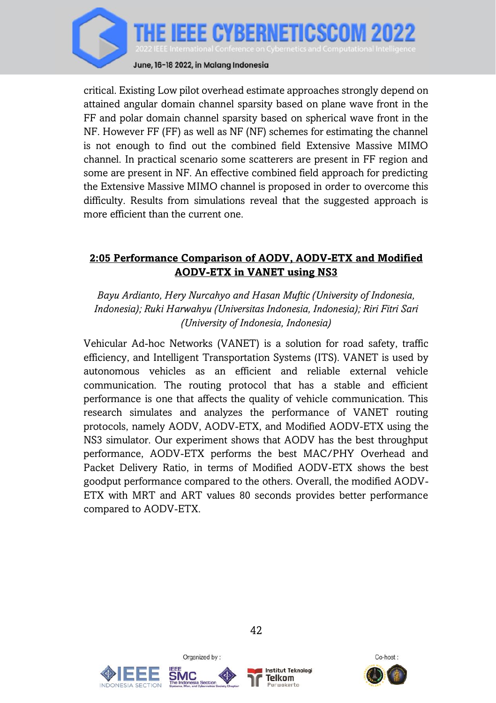

critical. Existing Low pilot overhead estimate approaches strongly depend on attained angular domain channel sparsity based on plane wave front in the FF and polar domain channel sparsity based on spherical wave front in the NF. However FF (FF) as well as NF (NF) schemes for estimating the channel is not enough to find out the combined field Extensive Massive MIMO channel. In practical scenario some scatterers are present in FF region and some are present in NF. An effective combined field approach for predicting the Extensive Massive MIMO channel is proposed in order to overcome this difficulty. Results from simulations reveal that the suggested approach is more efficient than the current one.

## **2:05 Performance Comparison of AODV, AODV-ETX and Modified AODV-ETX in VANET using NS3**

*Bayu Ardianto, Hery Nurcahyo and Hasan Muftic (University of Indonesia, Indonesia); Ruki Harwahyu (Universitas Indonesia, Indonesia); Riri Fitri Sari (University of Indonesia, Indonesia)*

Vehicular Ad-hoc Networks (VANET) is a solution for road safety, traffic efficiency, and Intelligent Transportation Systems (ITS). VANET is used by autonomous vehicles as an efficient and reliable external vehicle communication. The routing protocol that has a stable and efficient performance is one that affects the quality of vehicle communication. This research simulates and analyzes the performance of VANET routing protocols, namely AODV, AODV-ETX, and Modified AODV-ETX using the NS3 simulator. Our experiment shows that AODV has the best throughput performance, AODV-ETX performs the best MAC/PHY Overhead and Packet Delivery Ratio, in terms of Modified AODV-ETX shows the best goodput performance compared to the others. Overall, the modified AODV-ETX with MRT and ART values 80 seconds provides better performance compared to AODV-ETX.





Organized by:



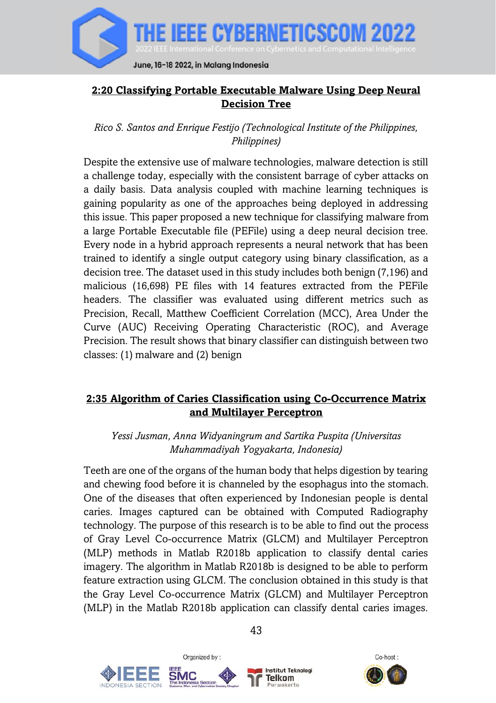

# **2:20 Classifying Portable Executable Malware Using Deep Neural Decision Tree**

*Rico S. Santos and Enrique Festijo (Technological Institute of the Philippines, Philippines)*

Despite the extensive use of malware technologies, malware detection is still a challenge today, especially with the consistent barrage of cyber attacks on a daily basis. Data analysis coupled with machine learning techniques is gaining popularity as one of the approaches being deployed in addressing this issue. This paper proposed a new technique for classifying malware from a large Portable Executable file (PEFile) using a deep neural decision tree. Every node in a hybrid approach represents a neural network that has been trained to identify a single output category using binary classification, as a decision tree. The dataset used in this study includes both benign (7,196) and malicious (16,698) PE files with 14 features extracted from the PEFile headers. The classifier was evaluated using different metrics such as Precision, Recall, Matthew Coefficient Correlation (MCC), Area Under the Curve (AUC) Receiving Operating Characteristic (ROC), and Average Precision. The result shows that binary classifier can distinguish between two classes: (1) malware and (2) benign

# **2:35 Algorithm of Caries Classification using Co-Occurrence Matrix and Multilayer Perceptron**

*Yessi Jusman, Anna Widyaningrum and Sartika Puspita (Universitas Muhammadiyah Yogyakarta, Indonesia)*

Teeth are one of the organs of the human body that helps digestion by tearing and chewing food before it is channeled by the esophagus into the stomach. One of the diseases that often experienced by Indonesian people is dental caries. Images captured can be obtained with Computed Radiography technology. The purpose of this research is to be able to find out the process of Gray Level Co-occurrence Matrix (GLCM) and Multilayer Perceptron (MLP) methods in Matlab R2018b application to classify dental caries imagery. The algorithm in Matlab R2018b is designed to be able to perform feature extraction using GLCM. The conclusion obtained in this study is that the Gray Level Co-occurrence Matrix (GLCM) and Multilayer Perceptron (MLP) in the Matlab R2018b application can classify dental caries images.





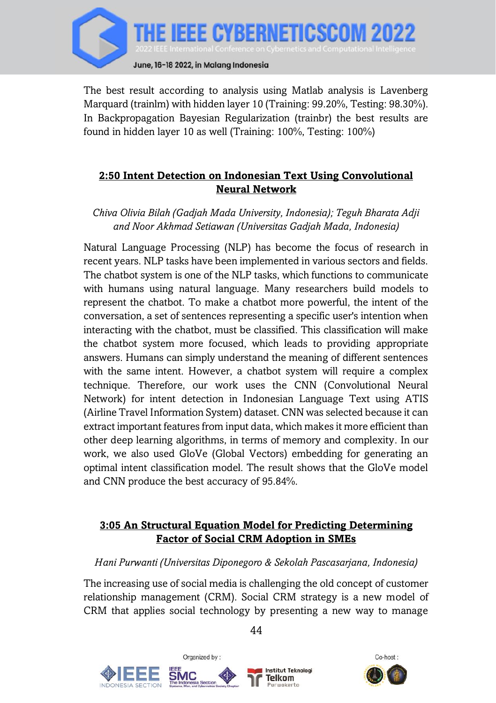

The best result according to analysis using Matlab analysis is Lavenberg Marquard (trainlm) with hidden layer 10 (Training: 99.20%, Testing: 98.30%). In Backpropagation Bayesian Regularization (trainbr) the best results are found in hidden layer 10 as well (Training: 100%, Testing: 100%)

# **2:50 Intent Detection on Indonesian Text Using Convolutional Neural Network**

*Chiva Olivia Bilah (Gadjah Mada University, Indonesia); Teguh Bharata Adji and Noor Akhmad Setiawan (Universitas Gadjah Mada, Indonesia)*

Natural Language Processing (NLP) has become the focus of research in recent years. NLP tasks have been implemented in various sectors and fields. The chatbot system is one of the NLP tasks, which functions to communicate with humans using natural language. Many researchers build models to represent the chatbot. To make a chatbot more powerful, the intent of the conversation, a set of sentences representing a specific user's intention when interacting with the chatbot, must be classified. This classification will make the chatbot system more focused, which leads to providing appropriate answers. Humans can simply understand the meaning of different sentences with the same intent. However, a chatbot system will require a complex technique. Therefore, our work uses the CNN (Convolutional Neural Network) for intent detection in Indonesian Language Text using ATIS (Airline Travel Information System) dataset. CNN was selected because it can extract important features from input data, which makes it more efficient than other deep learning algorithms, in terms of memory and complexity. In our work, we also used GloVe (Global Vectors) embedding for generating an optimal intent classification model. The result shows that the GloVe model and CNN produce the best accuracy of 95.84%.

## **3:05 An Structural Equation Model for Predicting Determining Factor of Social CRM Adoption in SMEs**

## *Hani Purwanti (Universitas Diponegoro & Sekolah Pascasarjana, Indonesia)*

The increasing use of social media is challenging the old concept of customer relationship management (CRM). Social CRM strategy is a new model of CRM that applies social technology by presenting a new way to manage

Organized by: **Institut Teknologi** Telkom

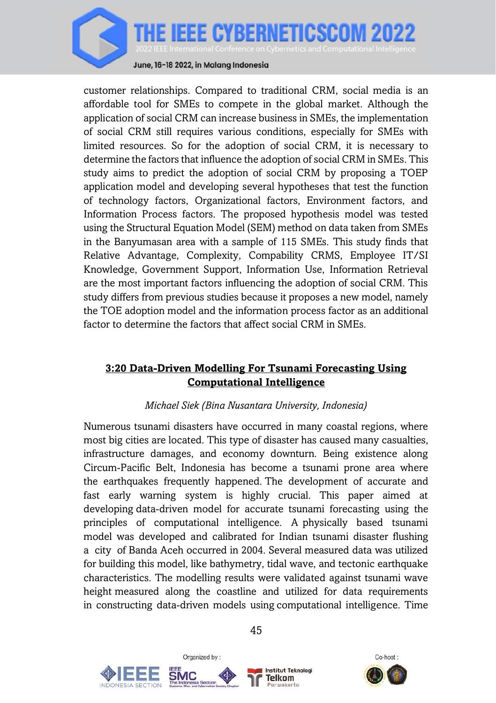

customer relationships. Compared to traditional CRM, social media is an affordable tool for SMEs to compete in the global market. Although the application of social CRM can increase business in SMEs, the implementation of social CRM still requires various conditions, especially for SMEs with limited resources. So for the adoption of social CRM, it is necessary to determine the factors that influence the adoption of social CRM in SMEs. This study aims to predict the adoption of social CRM by proposing a TOEP application model and developing several hypotheses that test the function of technology factors, Organizational factors, Environment factors, and Information Process factors. The proposed hypothesis model was tested using the Structural Equation Model (SEM) method on data taken from SMEs in the Banyumasan area with a sample of 115 SMEs. This study finds that Relative Advantage, Complexity, Compability CRMS, Employee IT/SI Knowledge, Government Support, Information Use, Information Retrieval are the most important factors influencing the adoption of social CRM. This study differs from previous studies because it proposes a new model, namely the TOE adoption model and the information process factor as an additional factor to determine the factors that affect social CRM in SMEs.

## **3:20 Data-Driven Modelling For Tsunami Forecasting Using Computational Intelligence**

## *Michael Siek (Bina Nusantara University, Indonesia)*

Numerous tsunami disasters have occurred in many coastal regions, where most big cities are located. This type of disaster has caused many casualties, infrastructure damages, and economy downturn. Being existence along Circum-Pacific Belt, Indonesia has become a tsunami prone area where the earthquakes frequently happened. The development of accurate and fast early warning system is highly crucial. This paper aimed at developing data-driven model for accurate tsunami forecasting using the principles of computational intelligence. A physically based tsunami model was developed and calibrated for Indian tsunami disaster flushing a city of Banda Aceh occurred in 2004. Several measured data was utilized for building this model, like bathymetry, tidal wave, and tectonic earthquake characteristics. The modelling results were validated against tsunami wave height measured along the coastline and utilized for data requirements in constructing data-driven models using computational intelligence. Time







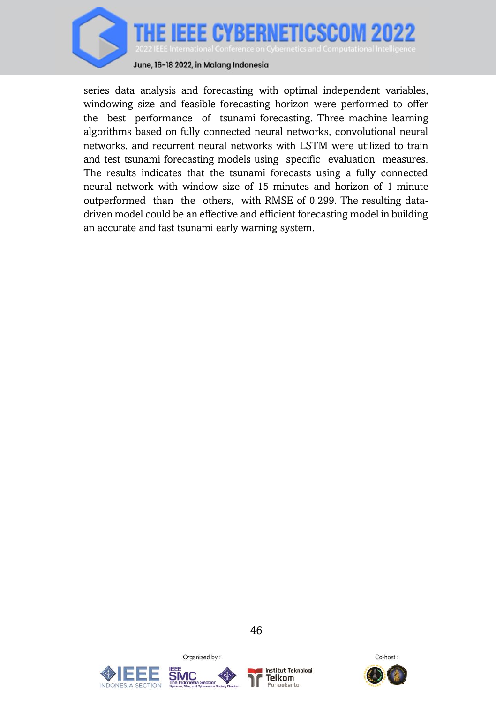

series data analysis and forecasting with optimal independent variables, windowing size and feasible forecasting horizon were performed to offer the best performance of tsunami forecasting. Three machine learning algorithms based on fully connected neural networks, convolutional neural networks, and recurrent neural networks with LSTM were utilized to train and test tsunami forecasting models using specific evaluation measures. The results indicates that the tsunami forecasts using a fully connected neural network with window size of 15 minutes and horizon of 1 minute outperformed than the others, with RMSE of 0.299. The resulting datadriven model could be an effective and efficient forecasting model in building an accurate and fast tsunami early warning system.





Organized by:



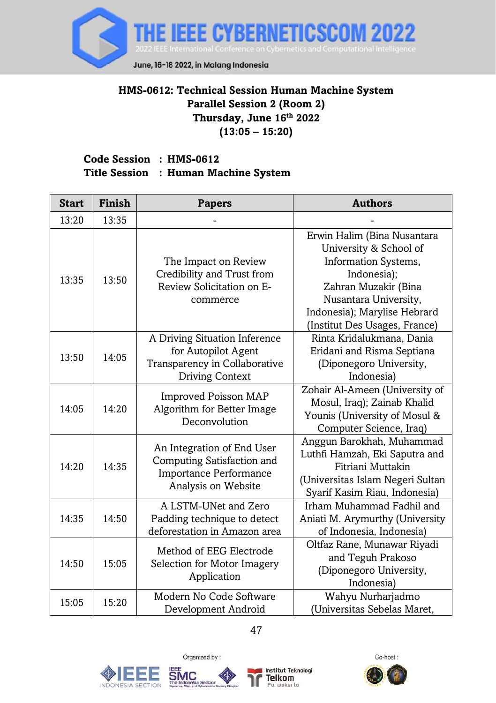

## **HMS-0612: Technical Session Human Machine System Parallel Session 2 (Room 2) Thursday, June 16th 2022 (13:05 – 15:20)**

#### **Code Session : HMS-0612 Title Session : Human Machine System**

| <b>Start</b> | <b>Finish</b> | <b>Papers</b>                                                                                                    | <b>Authors</b>                                                                                                                                                                                                 |
|--------------|---------------|------------------------------------------------------------------------------------------------------------------|----------------------------------------------------------------------------------------------------------------------------------------------------------------------------------------------------------------|
| 13:20        | 13:35         |                                                                                                                  |                                                                                                                                                                                                                |
| 13:35        | 13:50         | The Impact on Review<br>Credibility and Trust from<br>Review Solicitation on E-<br>commerce                      | Erwin Halim (Bina Nusantara<br>University & School of<br>Information Systems,<br>Indonesia);<br>Zahran Muzakir (Bina<br>Nusantara University,<br>Indonesia); Marylise Hebrard<br>(Institut Des Usages, France) |
| 13:50        | 14:05         | A Driving Situation Inference<br>for Autopilot Agent<br>Transparency in Collaborative<br><b>Driving Context</b>  | Rinta Kridalukmana, Dania<br>Eridani and Risma Septiana<br>(Diponegoro University,<br>Indonesia)                                                                                                               |
| 14:05        | 14:20         | Improved Poisson MAP<br>Algorithm for Better Image<br>Deconvolution                                              | Zohair Al-Ameen (University of<br>Mosul, Iraq); Zainab Khalid<br>Younis (University of Mosul &<br>Computer Science, Iraq)                                                                                      |
| 14:20        | 14:35         | An Integration of End User<br>Computing Satisfaction and<br><b>Importance Performance</b><br>Analysis on Website | Anggun Barokhah, Muhammad<br>Luthfi Hamzah, Eki Saputra and<br>Fitriani Muttakin<br>(Universitas Islam Negeri Sultan<br>Syarif Kasim Riau, Indonesia)                                                          |
| 14:35        | 14:50         | A LSTM-UNet and Zero<br>Padding technique to detect<br>deforestation in Amazon area                              | Irham Muhammad Fadhil and<br>Aniati M. Arymurthy (University<br>of Indonesia, Indonesia)                                                                                                                       |
| 14:50        | 15:05         | Method of EEG Electrode<br>Selection for Motor Imagery<br>Application                                            | Oltfaz Rane, Munawar Riyadi<br>and Teguh Prakoso<br>(Diponegoro University,<br>Indonesia)                                                                                                                      |
| 15:05        | 15:20         | Modern No Code Software<br>Development Android                                                                   | Wahyu Nurharjadmo<br>(Universitas Sebelas Maret,                                                                                                                                                               |





Organized by:



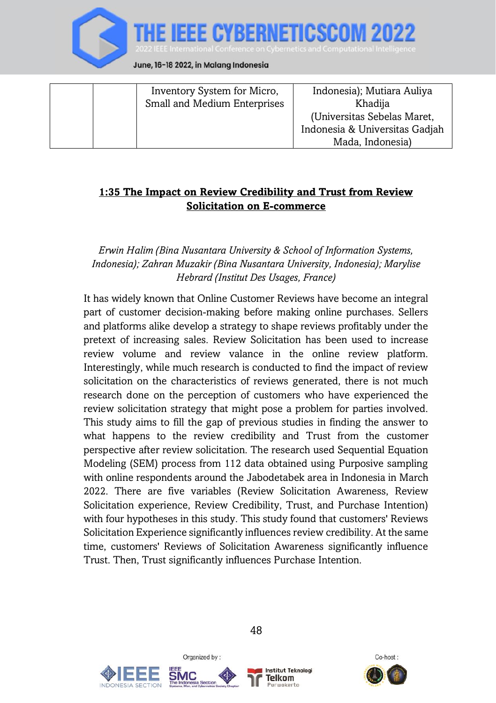

|  | Inventory System for Micro,<br>Small and Medium Enterprises | Indonesia); Mutiara Auliya<br>Khadija |
|--|-------------------------------------------------------------|---------------------------------------|
|  |                                                             | (Universitas Sebelas Maret,           |
|  |                                                             | Indonesia & Universitas Gadjah        |
|  |                                                             | Mada, Indonesia)                      |

## **1:35 The Impact on Review Credibility and Trust from Review Solicitation on E-commerce**

#### *Erwin Halim (Bina Nusantara University & School of Information Systems, Indonesia); Zahran Muzakir (Bina Nusantara University, Indonesia); Marylise Hebrard (Institut Des Usages, France)*

It has widely known that Online Customer Reviews have become an integral part of customer decision-making before making online purchases. Sellers and platforms alike develop a strategy to shape reviews profitably under the pretext of increasing sales. Review Solicitation has been used to increase review volume and review valance in the online review platform. Interestingly, while much research is conducted to find the impact of review solicitation on the characteristics of reviews generated, there is not much research done on the perception of customers who have experienced the review solicitation strategy that might pose a problem for parties involved. This study aims to fill the gap of previous studies in finding the answer to what happens to the review credibility and Trust from the customer perspective after review solicitation. The research used Sequential Equation Modeling (SEM) process from 112 data obtained using Purposive sampling with online respondents around the Jabodetabek area in Indonesia in March 2022. There are five variables (Review Solicitation Awareness, Review Solicitation experience, Review Credibility, Trust, and Purchase Intention) with four hypotheses in this study. This study found that customers' Reviews Solicitation Experience significantly influences review credibility. At the same time, customers' Reviews of Solicitation Awareness significantly influence Trust. Then, Trust significantly influences Purchase Intention.





Organized by:



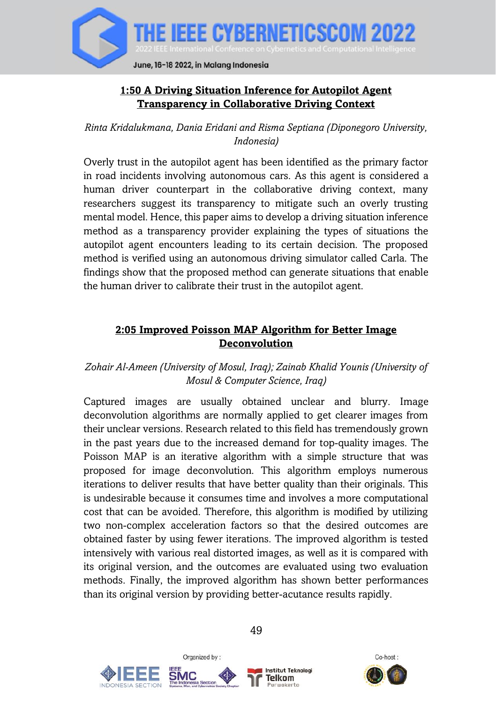

## **1:50 A Driving Situation Inference for Autopilot Agent Transparency in Collaborative Driving Context**

*Rinta Kridalukmana, Dania Eridani and Risma Septiana (Diponegoro University, Indonesia)*

Overly trust in the autopilot agent has been identified as the primary factor in road incidents involving autonomous cars. As this agent is considered a human driver counterpart in the collaborative driving context, many researchers suggest its transparency to mitigate such an overly trusting mental model. Hence, this paper aims to develop a driving situation inference method as a transparency provider explaining the types of situations the autopilot agent encounters leading to its certain decision. The proposed method is verified using an autonomous driving simulator called Carla. The findings show that the proposed method can generate situations that enable the human driver to calibrate their trust in the autopilot agent.

### **2:05 Improved Poisson MAP Algorithm for Better Image Deconvolution**

## *Zohair Al-Ameen (University of Mosul, Iraq); Zainab Khalid Younis (University of Mosul & Computer Science, Iraq)*

Captured images are usually obtained unclear and blurry. Image deconvolution algorithms are normally applied to get clearer images from their unclear versions. Research related to this field has tremendously grown in the past years due to the increased demand for top-quality images. The Poisson MAP is an iterative algorithm with a simple structure that was proposed for image deconvolution. This algorithm employs numerous iterations to deliver results that have better quality than their originals. This is undesirable because it consumes time and involves a more computational cost that can be avoided. Therefore, this algorithm is modified by utilizing two non-complex acceleration factors so that the desired outcomes are obtained faster by using fewer iterations. The improved algorithm is tested intensively with various real distorted images, as well as it is compared with its original version, and the outcomes are evaluated using two evaluation methods. Finally, the improved algorithm has shown better performances than its original version by providing better-acutance results rapidly.





Organized by:



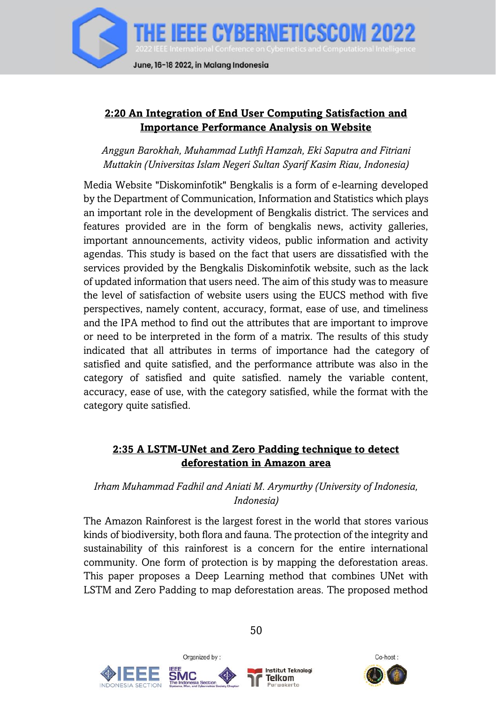

### **2:20 An Integration of End User Computing Satisfaction and Importance Performance Analysis on Website**

*Anggun Barokhah, Muhammad Luthfi Hamzah, Eki Saputra and Fitriani Muttakin (Universitas Islam Negeri Sultan Syarif Kasim Riau, Indonesia)*

Media Website "Diskominfotik" Bengkalis is a form of e-learning developed by the Department of Communication, Information and Statistics which plays an important role in the development of Bengkalis district. The services and features provided are in the form of bengkalis news, activity galleries, important announcements, activity videos, public information and activity agendas. This study is based on the fact that users are dissatisfied with the services provided by the Bengkalis Diskominfotik website, such as the lack of updated information that users need. The aim of this study was to measure the level of satisfaction of website users using the EUCS method with five perspectives, namely content, accuracy, format, ease of use, and timeliness and the IPA method to find out the attributes that are important to improve or need to be interpreted in the form of a matrix. The results of this study indicated that all attributes in terms of importance had the category of satisfied and quite satisfied, and the performance attribute was also in the category of satisfied and quite satisfied. namely the variable content, accuracy, ease of use, with the category satisfied, while the format with the category quite satisfied.

### **2:35 A LSTM-UNet and Zero Padding technique to detect deforestation in Amazon area**

## *Irham Muhammad Fadhil and Aniati M. Arymurthy (University of Indonesia, Indonesia)*

The Amazon Rainforest is the largest forest in the world that stores various kinds of biodiversity, both flora and fauna. The protection of the integrity and sustainability of this rainforest is a concern for the entire international community. One form of protection is by mapping the deforestation areas. This paper proposes a Deep Learning method that combines UNet with LSTM and Zero Padding to map deforestation areas. The proposed method





Organized by:



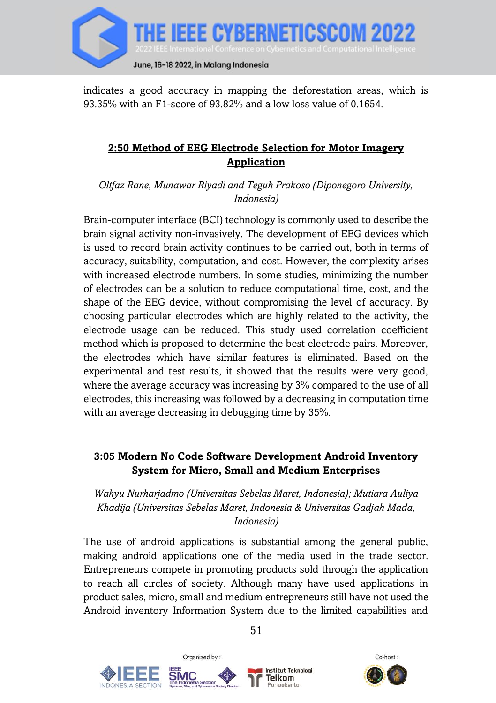

indicates a good accuracy in mapping the deforestation areas, which is 93.35% with an F1-score of 93.82% and a low loss value of 0.1654.

## **2:50 Method of EEG Electrode Selection for Motor Imagery Application**

*Oltfaz Rane, Munawar Riyadi and Teguh Prakoso (Diponegoro University, Indonesia)*

Brain-computer interface (BCI) technology is commonly used to describe the brain signal activity non-invasively. The development of EEG devices which is used to record brain activity continues to be carried out, both in terms of accuracy, suitability, computation, and cost. However, the complexity arises with increased electrode numbers. In some studies, minimizing the number of electrodes can be a solution to reduce computational time, cost, and the shape of the EEG device, without compromising the level of accuracy. By choosing particular electrodes which are highly related to the activity, the electrode usage can be reduced. This study used correlation coefficient method which is proposed to determine the best electrode pairs. Moreover, the electrodes which have similar features is eliminated. Based on the experimental and test results, it showed that the results were very good, where the average accuracy was increasing by 3% compared to the use of all electrodes, this increasing was followed by a decreasing in computation time with an average decreasing in debugging time by 35%.

### **3:05 Modern No Code Software Development Android Inventory System for Micro, Small and Medium Enterprises**

### *Wahyu Nurharjadmo (Universitas Sebelas Maret, Indonesia); Mutiara Auliya Khadija (Universitas Sebelas Maret, Indonesia & Universitas Gadjah Mada, Indonesia)*

The use of android applications is substantial among the general public, making android applications one of the media used in the trade sector. Entrepreneurs compete in promoting products sold through the application to reach all circles of society. Although many have used applications in product sales, micro, small and medium entrepreneurs still have not used the Android inventory Information System due to the limited capabilities and



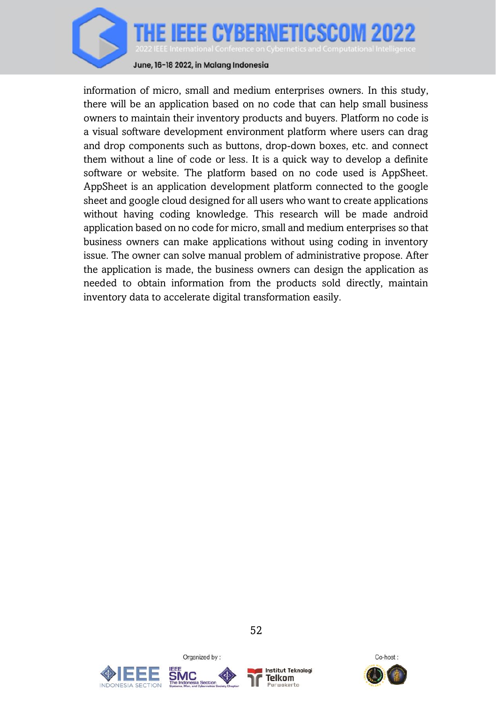

June, 16-18 2022, in Malang Indonesia

information of micro, small and medium enterprises owners. In this study, there will be an application based on no code that can help small business owners to maintain their inventory products and buyers. Platform no code is a visual software development environment platform where users can drag and drop components such as buttons, drop-down boxes, etc. and connect them without a line of code or less. It is a quick way to develop a definite software or website. The platform based on no code used is AppSheet. AppSheet is an application development platform connected to the google sheet and google cloud designed for all users who want to create applications without having coding knowledge. This research will be made android application based on no code for micro, small and medium enterprises so that business owners can make applications without using coding in inventory issue. The owner can solve manual problem of administrative propose. After the application is made, the business owners can design the application as needed to obtain information from the products sold directly, maintain inventory data to accelerate digital transformation easily.





Organized by:



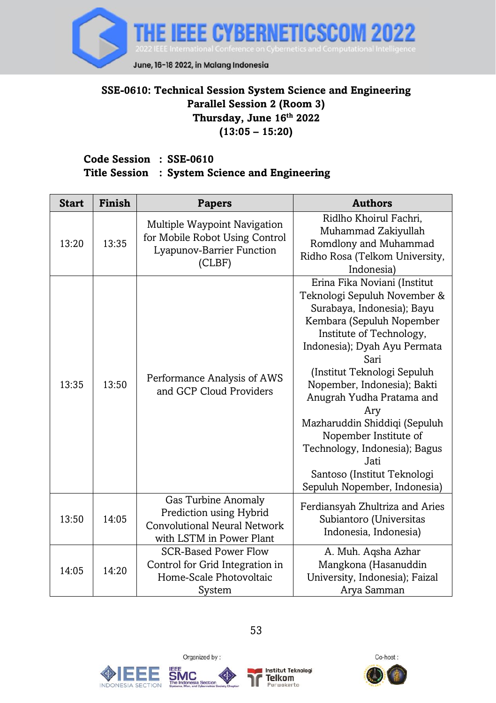

## **SSE-0610: Technical Session System Science and Engineering Parallel Session 2 (Room 3) Thursday, June 16th 2022 (13:05 – 15:20)**

#### **Code Session : SSE-0610 Title Session : System Science and Engineering**

| <b>Start</b> | Finish | <b>Papers</b>                                                                                                     | <b>Authors</b>                                                                                                                                                                                                                                                                                                                                                                                                                                                  |
|--------------|--------|-------------------------------------------------------------------------------------------------------------------|-----------------------------------------------------------------------------------------------------------------------------------------------------------------------------------------------------------------------------------------------------------------------------------------------------------------------------------------------------------------------------------------------------------------------------------------------------------------|
| 13:20        | 13:35  | Multiple Waypoint Navigation<br>for Mobile Robot Using Control<br>Lyapunov-Barrier Function<br>(CLBF)             | Ridlho Khoirul Fachri,<br>Muhammad Zakiyullah<br>Romdlony and Muhammad<br>Ridho Rosa (Telkom University,<br>Indonesia)                                                                                                                                                                                                                                                                                                                                          |
| 13:35        | 13:50  | Performance Analysis of AWS<br>and GCP Cloud Providers                                                            | Erina Fika Noviani (Institut<br>Teknologi Sepuluh November &<br>Surabaya, Indonesia); Bayu<br>Kembara (Sepuluh Nopember<br>Institute of Technology,<br>Indonesia); Dyah Ayu Permata<br>Sari<br>(Institut Teknologi Sepuluh<br>Nopember, Indonesia); Bakti<br>Anugrah Yudha Pratama and<br>Ary<br>Mazharuddin Shiddiqi (Sepuluh<br>Nopember Institute of<br>Technology, Indonesia); Bagus<br>Jati<br>Santoso (Institut Teknologi<br>Sepuluh Nopember, Indonesia) |
| 13:50        | 14:05  | Gas Turbine Anomaly<br>Prediction using Hybrid<br><b>Convolutional Neural Network</b><br>with LSTM in Power Plant | Ferdiansyah Zhultriza and Aries<br>Subiantoro (Universitas<br>Indonesia, Indonesia)                                                                                                                                                                                                                                                                                                                                                                             |
| 14:05        | 14:20  | <b>SCR-Based Power Flow</b><br>Control for Grid Integration in<br>Home-Scale Photovoltaic<br>System               | A. Muh. Agsha Azhar<br>Mangkona (Hasanuddin<br>University, Indonesia); Faizal<br>Arya Samman                                                                                                                                                                                                                                                                                                                                                                    |





Organized by:



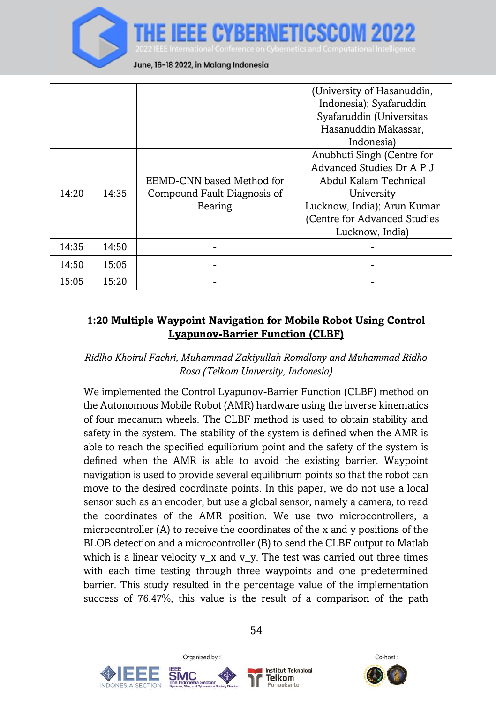

|       |       |                             | (University of Hasanuddin,    |
|-------|-------|-----------------------------|-------------------------------|
|       |       |                             | Indonesia); Syafaruddin       |
|       |       |                             | Syafaruddin (Universitas      |
|       |       |                             | Hasanuddin Makassar.          |
|       |       |                             | Indonesia)                    |
|       |       |                             | Anubhuti Singh (Centre for    |
|       |       |                             | Advanced Studies Dr A P J     |
|       |       | EEMD-CNN based Method for   | Abdul Kalam Technical         |
| 14:20 | 14:35 | Compound Fault Diagnosis of | University                    |
|       |       | Bearing                     | Lucknow, India); Arun Kumar   |
|       |       |                             | (Centre for Advanced Studies) |
|       |       |                             | Lucknow, India)               |
| 14:35 | 14:50 |                             |                               |
| 14:50 | 15:05 |                             |                               |
| 15:05 | 15:20 |                             |                               |

### **1:20 Multiple Waypoint Navigation for Mobile Robot Using Control Lyapunov-Barrier Function (CLBF)**

### *Ridlho Khoirul Fachri, Muhammad Zakiyullah Romdlony and Muhammad Ridho Rosa (Telkom University, Indonesia)*

We implemented the Control Lyapunov-Barrier Function (CLBF) method on the Autonomous Mobile Robot (AMR) hardware using the inverse kinematics of four mecanum wheels. The CLBF method is used to obtain stability and safety in the system. The stability of the system is defined when the AMR is able to reach the specified equilibrium point and the safety of the system is defined when the AMR is able to avoid the existing barrier. Waypoint navigation is used to provide several equilibrium points so that the robot can move to the desired coordinate points. In this paper, we do not use a local sensor such as an encoder, but use a global sensor, namely a camera, to read the coordinates of the AMR position. We use two microcontrollers, a microcontroller (A) to receive the coordinates of the x and y positions of the BLOB detection and a microcontroller (B) to send the CLBF output to Matlab which is a linear velocity  $v_x$  and  $v_y$ . The test was carried out three times with each time testing through three waypoints and one predetermined barrier. This study resulted in the percentage value of the implementation success of 76.47%, this value is the result of a comparison of the path







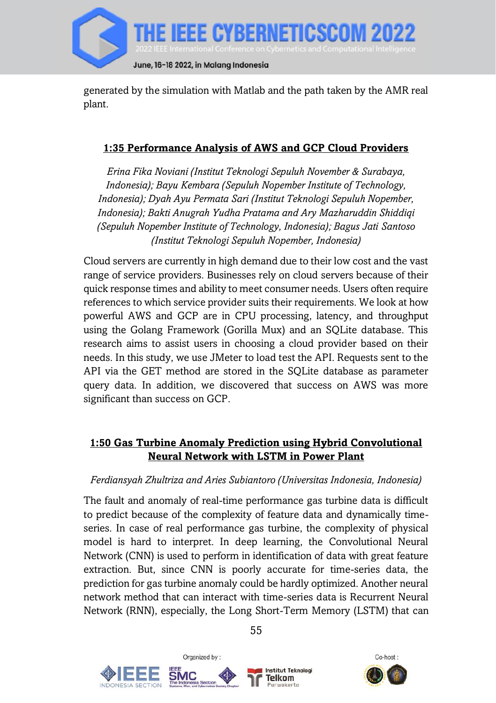

generated by the simulation with Matlab and the path taken by the AMR real plant.

### **1:35 Performance Analysis of AWS and GCP Cloud Providers**

*Erina Fika Noviani (Institut Teknologi Sepuluh November & Surabaya, Indonesia); Bayu Kembara (Sepuluh Nopember Institute of Technology, Indonesia); Dyah Ayu Permata Sari (Institut Teknologi Sepuluh Nopember, Indonesia); Bakti Anugrah Yudha Pratama and Ary Mazharuddin Shiddiqi (Sepuluh Nopember Institute of Technology, Indonesia); Bagus Jati Santoso (Institut Teknologi Sepuluh Nopember, Indonesia)*

Cloud servers are currently in high demand due to their low cost and the vast range of service providers. Businesses rely on cloud servers because of their quick response times and ability to meet consumer needs. Users often require references to which service provider suits their requirements. We look at how powerful AWS and GCP are in CPU processing, latency, and throughput using the Golang Framework (Gorilla Mux) and an SQLite database. This research aims to assist users in choosing a cloud provider based on their needs. In this study, we use JMeter to load test the API. Requests sent to the API via the GET method are stored in the SQLite database as parameter query data. In addition, we discovered that success on AWS was more significant than success on GCP.

# **1:50 Gas Turbine Anomaly Prediction using Hybrid Convolutional Neural Network with LSTM in Power Plant**

#### *Ferdiansyah Zhultriza and Aries Subiantoro (Universitas Indonesia, Indonesia)*

The fault and anomaly of real-time performance gas turbine data is difficult to predict because of the complexity of feature data and dynamically timeseries. In case of real performance gas turbine, the complexity of physical model is hard to interpret. In deep learning, the Convolutional Neural Network (CNN) is used to perform in identification of data with great feature extraction. But, since CNN is poorly accurate for time-series data, the prediction for gas turbine anomaly could be hardly optimized. Another neural network method that can interact with time-series data is Recurrent Neural Network (RNN), especially, the Long Short-Term Memory (LSTM) that can





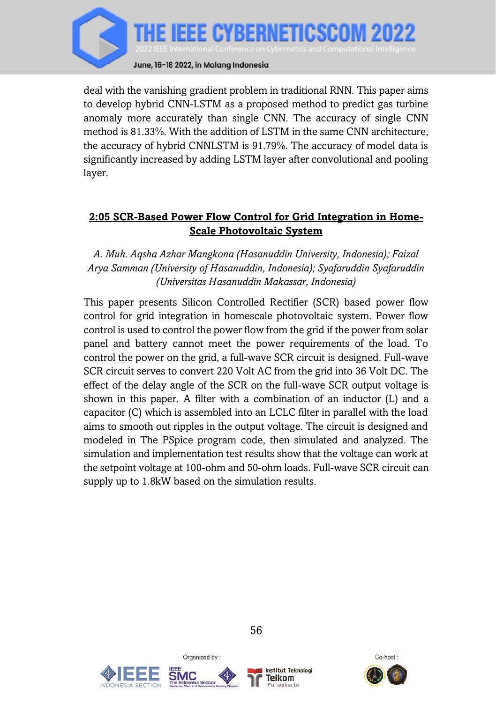

deal with the vanishing gradient problem in traditional RNN. This paper aims to develop hybrid CNN-LSTM as a proposed method to predict gas turbine anomaly more accurately than single CNN. The accuracy of single CNN method is 81.33%. With the addition of LSTM in the same CNN architecture, the accuracy of hybrid CNNLSTM is 91.79%. The accuracy of model data is significantly increased by adding LSTM layer after convolutional and pooling layer.

## **2:05 SCR-Based Power Flow Control for Grid Integration in Home-Scale Photovoltaic System**

*A. Muh. Aqsha Azhar Mangkona (Hasanuddin University, Indonesia); Faizal Arya Samman (University of Hasanuddin, Indonesia); Syafaruddin Syafaruddin (Universitas Hasanuddin Makassar, Indonesia)*

This paper presents Silicon Controlled Rectifier (SCR) based power flow control for grid integration in homescale photovoltaic system. Power flow control is used to control the power flow from the grid if the power from solar panel and battery cannot meet the power requirements of the load. To control the power on the grid, a full-wave SCR circuit is designed. Full-wave SCR circuit serves to convert 220 Volt AC from the grid into 36 Volt DC. The effect of the delay angle of the SCR on the full-wave SCR output voltage is shown in this paper. A filter with a combination of an inductor (L) and a capacitor (C) which is assembled into an LCLC filter in parallel with the load aims to smooth out ripples in the output voltage. The circuit is designed and modeled in The PSpice program code, then simulated and analyzed. The simulation and implementation test results show that the voltage can work at the setpoint voltage at 100-ohm and 50-ohm loads. Full-wave SCR circuit can supply up to 1.8kW based on the simulation results.





Organized by:



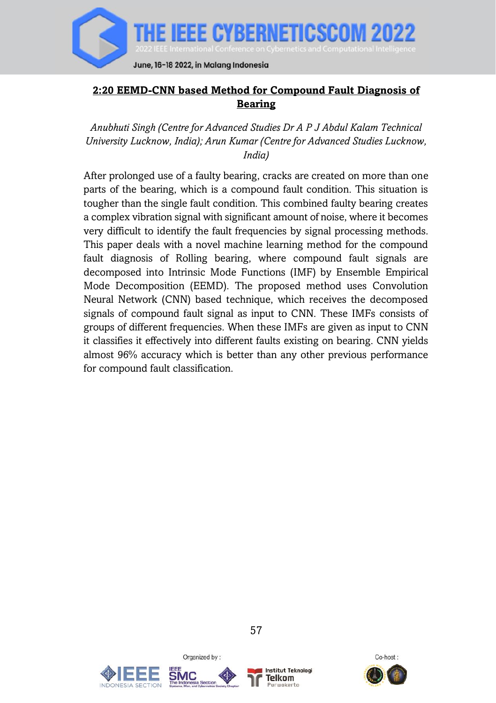

## **2:20 EEMD-CNN based Method for Compound Fault Diagnosis of Bearing**

*Anubhuti Singh (Centre for Advanced Studies Dr A P J Abdul Kalam Technical University Lucknow, India); Arun Kumar (Centre for Advanced Studies Lucknow, India)*

After prolonged use of a faulty bearing, cracks are created on more than one parts of the bearing, which is a compound fault condition. This situation is tougher than the single fault condition. This combined faulty bearing creates a complex vibration signal with significant amount of noise, where it becomes very difficult to identify the fault frequencies by signal processing methods. This paper deals with a novel machine learning method for the compound fault diagnosis of Rolling bearing, where compound fault signals are decomposed into Intrinsic Mode Functions (IMF) by Ensemble Empirical Mode Decomposition (EEMD). The proposed method uses Convolution Neural Network (CNN) based technique, which receives the decomposed signals of compound fault signal as input to CNN. These IMFs consists of groups of different frequencies. When these IMFs are given as input to CNN it classifies it effectively into different faults existing on bearing. CNN yields almost 96% accuracy which is better than any other previous performance for compound fault classification.





Organized by:



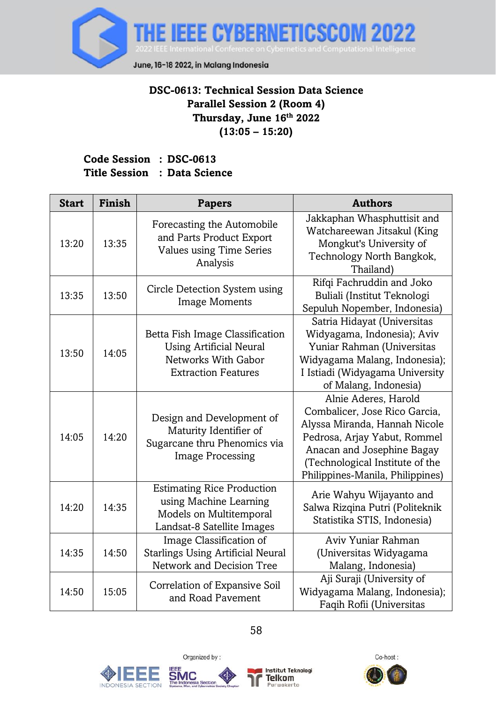

# **DSC-0613: Technical Session Data Science Parallel Session 2 (Room 4) Thursday, June 16th 2022 (13:05 – 15:20)**

### **Code Session : DSC-0613 Title Session : Data Science**

| <b>Start</b> | Finish | <b>Papers</b>                                                                                                          | <b>Authors</b>                                                                                                                                                                                                              |
|--------------|--------|------------------------------------------------------------------------------------------------------------------------|-----------------------------------------------------------------------------------------------------------------------------------------------------------------------------------------------------------------------------|
| 13:20        | 13:35  | Forecasting the Automobile<br>and Parts Product Export<br>Values using Time Series<br>Analysis                         | Jakkaphan Whasphuttisit and<br>Watchareewan Jitsakul (King<br>Mongkut's University of<br>Technology North Bangkok,<br>Thailand)                                                                                             |
| 13:35        | 13:50  | Circle Detection System using<br><b>Image Moments</b>                                                                  | Rifqi Fachruddin and Joko<br>Buliali (Institut Teknologi<br>Sepuluh Nopember, Indonesia)                                                                                                                                    |
| 13:50        | 14:05  | Betta Fish Image Classification<br><b>Using Artificial Neural</b><br>Networks With Gabor<br><b>Extraction Features</b> | Satria Hidayat (Universitas<br>Widyagama, Indonesia); Aviv<br>Yuniar Rahman (Universitas<br>Widyagama Malang, Indonesia);<br>I Istiadi (Widyagama University<br>of Malang, Indonesia)                                       |
| 14:05        | 14:20  | Design and Development of<br>Maturity Identifier of<br>Sugarcane thru Phenomics via<br><b>Image Processing</b>         | Alnie Aderes, Harold<br>Combalicer, Jose Rico Garcia,<br>Alyssa Miranda, Hannah Nicole<br>Pedrosa, Arjay Yabut, Rommel<br>Anacan and Josephine Bagay<br>(Technological Institute of the<br>Philippines-Manila, Philippines) |
| 14:20        | 14:35  | <b>Estimating Rice Production</b><br>using Machine Learning<br>Models on Multitemporal<br>Landsat-8 Satellite Images   | Arie Wahyu Wijayanto and<br>Salwa Rizqina Putri (Politeknik<br>Statistika STIS, Indonesia)                                                                                                                                  |
| 14:35        | 14:50  | Image Classification of<br><b>Starlings Using Artificial Neural</b><br>Network and Decision Tree                       | Aviv Yuniar Rahman<br>(Universitas Widyagama<br>Malang, Indonesia)                                                                                                                                                          |
| 14:50        | 15:05  | Correlation of Expansive Soil<br>and Road Pavement                                                                     | Aji Suraji (University of<br>Widyagama Malang, Indonesia);<br>Faqih Rofii (Universitas                                                                                                                                      |





Organized by:



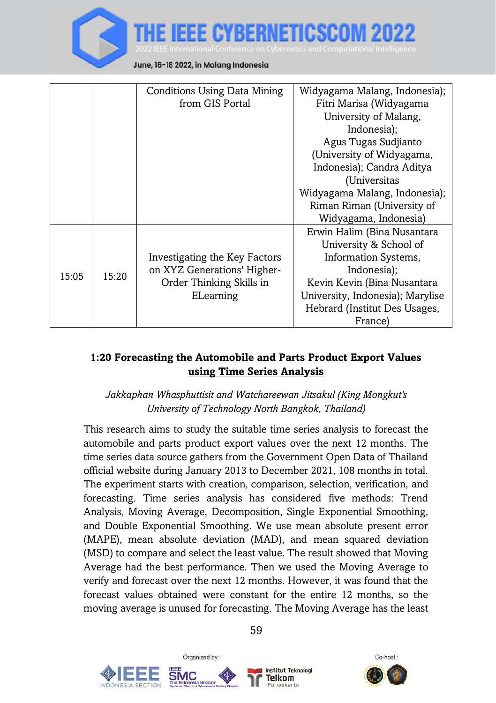

|       |       | Conditions Using Data Mining  | Widyagama Malang, Indonesia);    |
|-------|-------|-------------------------------|----------------------------------|
|       |       | from GIS Portal               | Fitri Marisa (Widyagama          |
|       |       |                               | University of Malang,            |
|       |       |                               | Indonesia);                      |
|       |       |                               | Agus Tugas Sudjianto             |
|       |       |                               | (University of Widyagama,        |
|       |       |                               | Indonesia); Candra Aditya        |
|       |       |                               | (Universitas                     |
|       |       |                               | Widyagama Malang, Indonesia);    |
|       |       |                               | Riman Riman (University of       |
|       |       |                               | Widyagama, Indonesia)            |
|       |       |                               | Erwin Halim (Bina Nusantara      |
|       |       |                               | University & School of           |
|       |       | Investigating the Key Factors | Information Systems,             |
|       | 15:20 | on XYZ Generations' Higher-   | Indonesia);                      |
| 15:05 |       | Order Thinking Skills in      | Kevin Kevin (Bina Nusantara      |
|       |       | ELearning                     | University, Indonesia); Marylise |
|       |       |                               | Hebrard (Institut Des Usages,    |
|       |       |                               | France)                          |

## **1:20 Forecasting the Automobile and Parts Product Export Values using Time Series Analysis**

### *Jakkaphan Whasphuttisit and Watchareewan Jitsakul (King Mongkut's University of Technology North Bangkok, Thailand)*

This research aims to study the suitable time series analysis to forecast the automobile and parts product export values over the next 12 months. The time series data source gathers from the Government Open Data of Thailand official website during January 2013 to December 2021, 108 months in total. The experiment starts with creation, comparison, selection, verification, and forecasting. Time series analysis has considered five methods: Trend Analysis, Moving Average, Decomposition, Single Exponential Smoothing, and Double Exponential Smoothing. We use mean absolute present error (MAPE), mean absolute deviation (MAD), and mean squared deviation (MSD) to compare and select the least value. The result showed that Moving Average had the best performance. Then we used the Moving Average to verify and forecast over the next 12 months. However, it was found that the forecast values obtained were constant for the entire 12 months, so the moving average is unused for forecasting. The Moving Average has the least







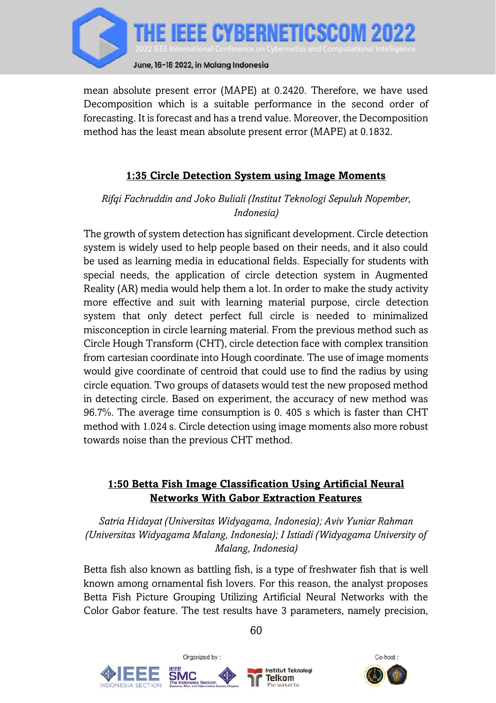

mean absolute present error (MAPE) at 0.2420. Therefore, we have used Decomposition which is a suitable performance in the second order of forecasting. It is forecast and has a trend value. Moreover, the Decomposition method has the least mean absolute present error (MAPE) at 0.1832.

## **1:35 Circle Detection System using Image Moments**

#### *Rifqi Fachruddin and Joko Buliali (Institut Teknologi Sepuluh Nopember, Indonesia)*

The growth of system detection has significant development. Circle detection system is widely used to help people based on their needs, and it also could be used as learning media in educational fields. Especially for students with special needs, the application of circle detection system in Augmented Reality (AR) media would help them a lot. In order to make the study activity more effective and suit with learning material purpose, circle detection system that only detect perfect full circle is needed to minimalized misconception in circle learning material. From the previous method such as Circle Hough Transform (CHT), circle detection face with complex transition from cartesian coordinate into Hough coordinate. The use of image moments would give coordinate of centroid that could use to find the radius by using circle equation. Two groups of datasets would test the new proposed method in detecting circle. Based on experiment, the accuracy of new method was 96.7%. The average time consumption is 0. 405 s which is faster than CHT method with 1.024 s. Circle detection using image moments also more robust towards noise than the previous CHT method.

### **1:50 Betta Fish Image Classification Using Artificial Neural Networks With Gabor Extraction Features**

*Satria Hidayat (Universitas Widyagama, Indonesia); Aviv Yuniar Rahman (Universitas Widyagama Malang, Indonesia); I Istiadi (Widyagama University of Malang, Indonesia)*

Betta fish also known as battling fish, is a type of freshwater fish that is well known among ornamental fish lovers. For this reason, the analyst proposes Betta Fish Picture Grouping Utilizing Artificial Neural Networks with the Color Gabor feature. The test results have 3 parameters, namely precision,



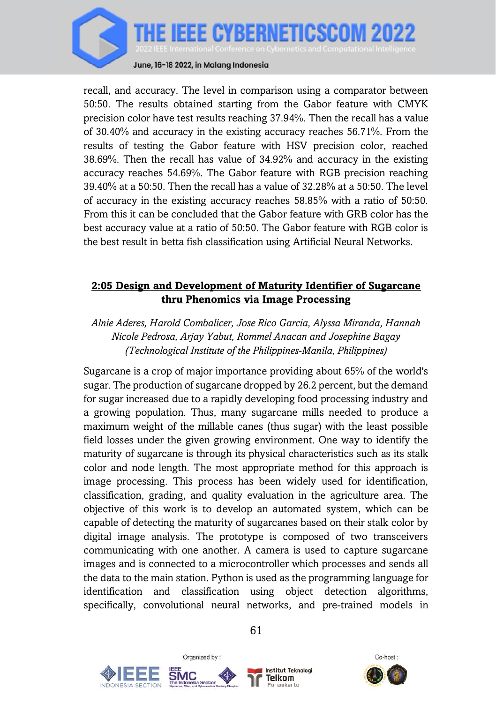

recall, and accuracy. The level in comparison using a comparator between 50:50. The results obtained starting from the Gabor feature with CMYK precision color have test results reaching 37.94%. Then the recall has a value of 30.40% and accuracy in the existing accuracy reaches 56.71%. From the results of testing the Gabor feature with HSV precision color, reached 38.69%. Then the recall has value of 34.92% and accuracy in the existing accuracy reaches 54.69%. The Gabor feature with RGB precision reaching 39.40% at a 50:50. Then the recall has a value of 32.28% at a 50:50. The level of accuracy in the existing accuracy reaches 58.85% with a ratio of 50:50. From this it can be concluded that the Gabor feature with GRB color has the best accuracy value at a ratio of 50:50. The Gabor feature with RGB color is the best result in betta fish classification using Artificial Neural Networks.

### **2:05 Design and Development of Maturity Identifier of Sugarcane thru Phenomics via Image Processing**

*Alnie Aderes, Harold Combalicer, Jose Rico Garcia, Alyssa Miranda, Hannah Nicole Pedrosa, Arjay Yabut, Rommel Anacan and Josephine Bagay (Technological Institute of the Philippines-Manila, Philippines)*

Sugarcane is a crop of major importance providing about 65% of the world's sugar. The production of sugarcane dropped by 26.2 percent, but the demand for sugar increased due to a rapidly developing food processing industry and a growing population. Thus, many sugarcane mills needed to produce a maximum weight of the millable canes (thus sugar) with the least possible field losses under the given growing environment. One way to identify the maturity of sugarcane is through its physical characteristics such as its stalk color and node length. The most appropriate method for this approach is image processing. This process has been widely used for identification, classification, grading, and quality evaluation in the agriculture area. The objective of this work is to develop an automated system, which can be capable of detecting the maturity of sugarcanes based on their stalk color by digital image analysis. The prototype is composed of two transceivers communicating with one another. A camera is used to capture sugarcane images and is connected to a microcontroller which processes and sends all the data to the main station. Python is used as the programming language for identification and classification using object detection algorithms, specifically, convolutional neural networks, and pre-trained models in





Organized by:



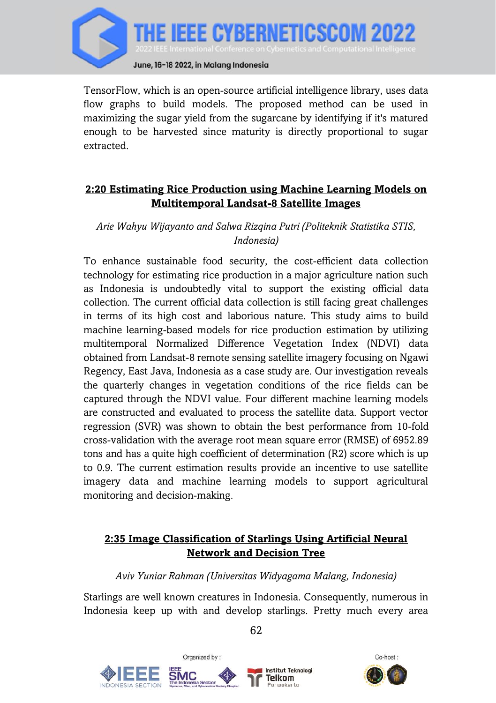

TensorFlow, which is an open-source artificial intelligence library, uses data flow graphs to build models. The proposed method can be used in maximizing the sugar yield from the sugarcane by identifying if it's matured enough to be harvested since maturity is directly proportional to sugar extracted.

### **2:20 Estimating Rice Production using Machine Learning Models on Multitemporal Landsat-8 Satellite Images**

#### *Arie Wahyu Wijayanto and Salwa Rizqina Putri (Politeknik Statistika STIS, Indonesia)*

To enhance sustainable food security, the cost-efficient data collection technology for estimating rice production in a major agriculture nation such as Indonesia is undoubtedly vital to support the existing official data collection. The current official data collection is still facing great challenges in terms of its high cost and laborious nature. This study aims to build machine learning-based models for rice production estimation by utilizing multitemporal Normalized Difference Vegetation Index (NDVI) data obtained from Landsat-8 remote sensing satellite imagery focusing on Ngawi Regency, East Java, Indonesia as a case study are. Our investigation reveals the quarterly changes in vegetation conditions of the rice fields can be captured through the NDVI value. Four different machine learning models are constructed and evaluated to process the satellite data. Support vector regression (SVR) was shown to obtain the best performance from 10-fold cross-validation with the average root mean square error (RMSE) of 6952.89 tons and has a quite high coefficient of determination (R2) score which is up to 0.9. The current estimation results provide an incentive to use satellite imagery data and machine learning models to support agricultural monitoring and decision-making.

## **2:35 Image Classification of Starlings Using Artificial Neural Network and Decision Tree**

#### *Aviv Yuniar Rahman (Universitas Widyagama Malang, Indonesia)*

Starlings are well known creatures in Indonesia. Consequently, numerous in Indonesia keep up with and develop starlings. Pretty much every area





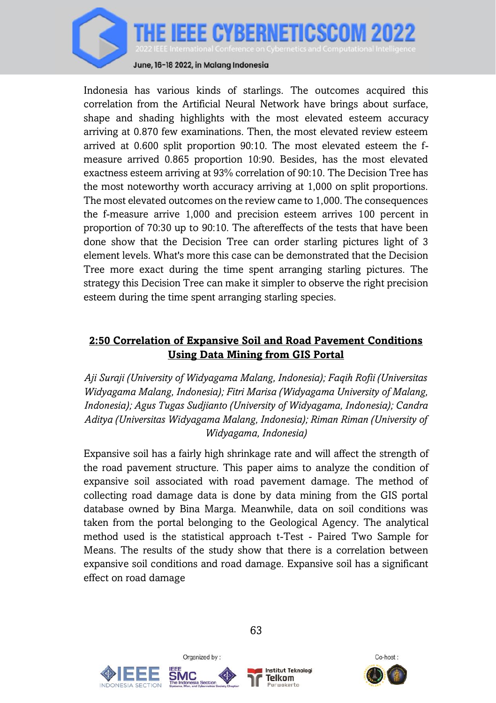

June, 16-18 2022, in Malang Indonesia

Indonesia has various kinds of starlings. The outcomes acquired this correlation from the Artificial Neural Network have brings about surface, shape and shading highlights with the most elevated esteem accuracy arriving at 0.870 few examinations. Then, the most elevated review esteem arrived at 0.600 split proportion 90:10. The most elevated esteem the fmeasure arrived 0.865 proportion 10:90. Besides, has the most elevated exactness esteem arriving at 93% correlation of 90:10. The Decision Tree has the most noteworthy worth accuracy arriving at 1,000 on split proportions. The most elevated outcomes on the review came to 1,000. The consequences the f-measure arrive 1,000 and precision esteem arrives 100 percent in proportion of 70:30 up to 90:10. The aftereffects of the tests that have been done show that the Decision Tree can order starling pictures light of 3 element levels. What's more this case can be demonstrated that the Decision Tree more exact during the time spent arranging starling pictures. The strategy this Decision Tree can make it simpler to observe the right precision esteem during the time spent arranging starling species.

#### **2:50 Correlation of Expansive Soil and Road Pavement Conditions Using Data Mining from GIS Portal**

*Aji Suraji (University of Widyagama Malang, Indonesia); Faqih Rofii (Universitas Widyagama Malang, Indonesia); Fitri Marisa (Widyagama University of Malang, Indonesia); Agus Tugas Sudjianto (University of Widyagama, Indonesia); Candra Aditya (Universitas Widyagama Malang, Indonesia); Riman Riman (University of Widyagama, Indonesia)*

Expansive soil has a fairly high shrinkage rate and will affect the strength of the road pavement structure. This paper aims to analyze the condition of expansive soil associated with road pavement damage. The method of collecting road damage data is done by data mining from the GIS portal database owned by Bina Marga. Meanwhile, data on soil conditions was taken from the portal belonging to the Geological Agency. The analytical method used is the statistical approach t-Test - Paired Two Sample for Means. The results of the study show that there is a correlation between expansive soil conditions and road damage. Expansive soil has a significant effect on road damage





Organized by:



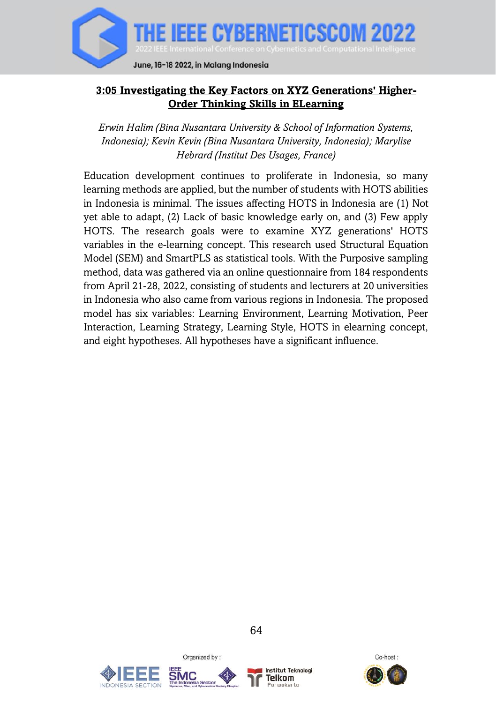

## **3:05 Investigating the Key Factors on XYZ Generations' Higher-Order Thinking Skills in ELearning**

*Erwin Halim (Bina Nusantara University & School of Information Systems, Indonesia); Kevin Kevin (Bina Nusantara University, Indonesia); Marylise Hebrard (Institut Des Usages, France)*

Education development continues to proliferate in Indonesia, so many learning methods are applied, but the number of students with HOTS abilities in Indonesia is minimal. The issues affecting HOTS in Indonesia are (1) Not yet able to adapt, (2) Lack of basic knowledge early on, and (3) Few apply HOTS. The research goals were to examine XYZ generations' HOTS variables in the e-learning concept. This research used Structural Equation Model (SEM) and SmartPLS as statistical tools. With the Purposive sampling method, data was gathered via an online questionnaire from 184 respondents from April 21-28, 2022, consisting of students and lecturers at 20 universities in Indonesia who also came from various regions in Indonesia. The proposed model has six variables: Learning Environment, Learning Motivation, Peer Interaction, Learning Strategy, Learning Style, HOTS in elearning concept, and eight hypotheses. All hypotheses have a significant influence.





Organized by:



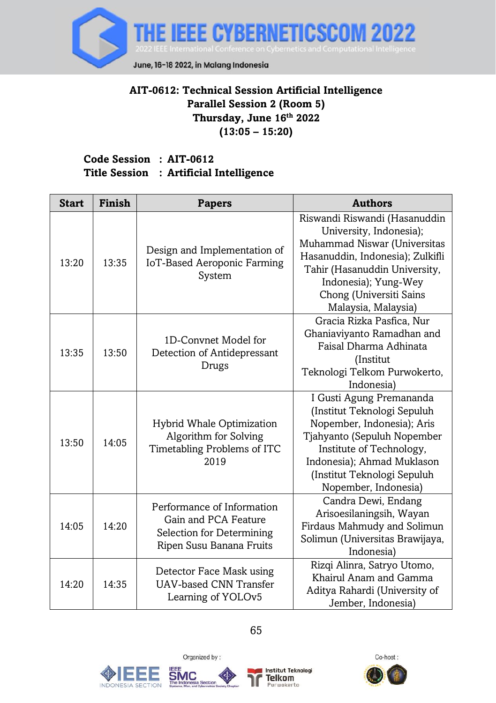

## **AIT-0612: Technical Session Artificial Intelligence Parallel Session 2 (Room 5) Thursday, June 16th 2022 (13:05 – 15:20)**

### **Code Session : AIT-0612 Title Session : Artificial Intelligence**

| <b>Start</b> | <b>Finish</b> | <b>Papers</b>                                                                                               | <b>Authors</b>                                                                                                                                                                                                                          |
|--------------|---------------|-------------------------------------------------------------------------------------------------------------|-----------------------------------------------------------------------------------------------------------------------------------------------------------------------------------------------------------------------------------------|
| 13:20        | 13:35         | Design and Implementation of<br>IoT-Based Aeroponic Farming<br>System                                       | Riswandi Riswandi (Hasanuddin<br>University, Indonesia);<br>Muhammad Niswar (Universitas<br>Hasanuddin, Indonesia); Zulkifli<br>Tahir (Hasanuddin University,<br>Indonesia); Yung-Wey<br>Chong (Universiti Sains<br>Malaysia, Malaysia) |
| 13:35        | 13:50         | 1D-Convnet Model for<br>Detection of Antidepressant<br>Drugs                                                | Gracia Rizka Pasfica, Nur<br>Ghaniaviyanto Ramadhan and<br>Faisal Dharma Adhinata<br>(Institut<br>Teknologi Telkom Purwokerto,<br>Indonesia)                                                                                            |
| 13:50        | 14:05         | Hybrid Whale Optimization<br>Algorithm for Solving<br>Timetabling Problems of ITC<br>2019                   | I Gusti Agung Premananda<br>(Institut Teknologi Sepuluh<br>Nopember, Indonesia); Aris<br>Tjahyanto (Sepuluh Nopember<br>Institute of Technology,<br>Indonesia); Ahmad Muklason<br>(Institut Teknologi Sepuluh<br>Nopember, Indonesia)   |
| 14:05        | 14:20         | Performance of Information<br>Gain and PCA Feature<br>Selection for Determining<br>Ripen Susu Banana Fruits | Candra Dewi, Endang<br>Arisoesilaningsih, Wayan<br>Firdaus Mahmudy and Solimun<br>Solimun (Universitas Brawijaya,<br>Indonesia)                                                                                                         |
| 14:20        | 14:35         | Detector Face Mask using<br><b>UAV-based CNN Transfer</b><br>Learning of YOLOv <sub>5</sub>                 | Rizqi Alinra, Satryo Utomo,<br>Khairul Anam and Gamma<br>Aditya Rahardi (University of<br>Jember, Indonesia)                                                                                                                            |



IND

ONESIA SECTION





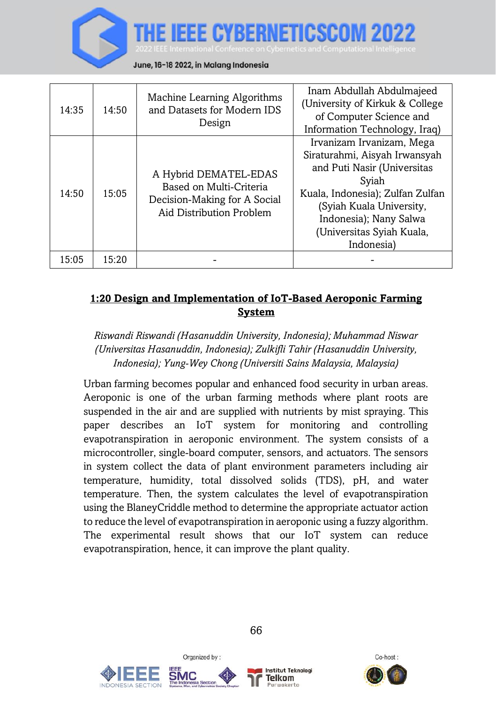

| 14:35 | 14:50 | Machine Learning Algorithms<br>and Datasets for Modern IDS<br>Design                                         | Inam Abdullah Abdulmajeed<br>(University of Kirkuk & College<br>of Computer Science and<br>Information Technology, Iraq)                                                                                                                |
|-------|-------|--------------------------------------------------------------------------------------------------------------|-----------------------------------------------------------------------------------------------------------------------------------------------------------------------------------------------------------------------------------------|
| 14:50 | 15:05 | A Hybrid DEMATEL-EDAS<br>Based on Multi-Criteria<br>Decision-Making for A Social<br>Aid Distribution Problem | Irvanizam Irvanizam, Mega<br>Siraturahmi, Aisyah Irwansyah<br>and Puti Nasir (Universitas<br>Syiah<br>Kuala, Indonesia); Zulfan Zulfan<br>(Syiah Kuala University,<br>Indonesia); Nany Salwa<br>(Universitas Syiah Kuala,<br>Indonesia) |
| 15:05 | 15:20 |                                                                                                              |                                                                                                                                                                                                                                         |

# **1:20 Design and Implementation of IoT-Based Aeroponic Farming System**

## *Riswandi Riswandi (Hasanuddin University, Indonesia); Muhammad Niswar (Universitas Hasanuddin, Indonesia); Zulkifli Tahir (Hasanuddin University, Indonesia); Yung-Wey Chong (Universiti Sains Malaysia, Malaysia)*

Urban farming becomes popular and enhanced food security in urban areas. Aeroponic is one of the urban farming methods where plant roots are suspended in the air and are supplied with nutrients by mist spraying. This paper describes an IoT system for monitoring and controlling evapotranspiration in aeroponic environment. The system consists of a microcontroller, single-board computer, sensors, and actuators. The sensors in system collect the data of plant environment parameters including air temperature, humidity, total dissolved solids (TDS), pH, and water temperature. Then, the system calculates the level of evapotranspiration using the BlaneyCriddle method to determine the appropriate actuator action to reduce the level of evapotranspiration in aeroponic using a fuzzy algorithm. The experimental result shows that our IoT system can reduce evapotranspiration, hence, it can improve the plant quality.





Organized by:



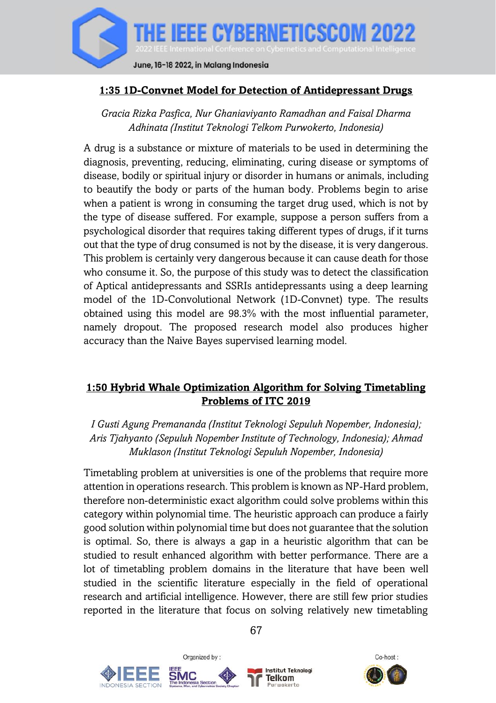

#### **1:35 1D-Convnet Model for Detection of Antidepressant Drugs**

*Gracia Rizka Pasfica, Nur Ghaniaviyanto Ramadhan and Faisal Dharma Adhinata (Institut Teknologi Telkom Purwokerto, Indonesia)*

A drug is a substance or mixture of materials to be used in determining the diagnosis, preventing, reducing, eliminating, curing disease or symptoms of disease, bodily or spiritual injury or disorder in humans or animals, including to beautify the body or parts of the human body. Problems begin to arise when a patient is wrong in consuming the target drug used, which is not by the type of disease suffered. For example, suppose a person suffers from a psychological disorder that requires taking different types of drugs, if it turns out that the type of drug consumed is not by the disease, it is very dangerous. This problem is certainly very dangerous because it can cause death for those who consume it. So, the purpose of this study was to detect the classification of Aptical antidepressants and SSRIs antidepressants using a deep learning model of the 1D-Convolutional Network (1D-Convnet) type. The results obtained using this model are 98.3% with the most influential parameter, namely dropout. The proposed research model also produces higher accuracy than the Naive Bayes supervised learning model.

### **1:50 Hybrid Whale Optimization Algorithm for Solving Timetabling Problems of ITC 2019**

*I Gusti Agung Premananda (Institut Teknologi Sepuluh Nopember, Indonesia); Aris Tjahyanto (Sepuluh Nopember Institute of Technology, Indonesia); Ahmad Muklason (Institut Teknologi Sepuluh Nopember, Indonesia)*

Timetabling problem at universities is one of the problems that require more attention in operations research. This problem is known as NP-Hard problem, therefore non-deterministic exact algorithm could solve problems within this category within polynomial time. The heuristic approach can produce a fairly good solution within polynomial time but does not guarantee that the solution is optimal. So, there is always a gap in a heuristic algorithm that can be studied to result enhanced algorithm with better performance. There are a lot of timetabling problem domains in the literature that have been well studied in the scientific literature especially in the field of operational research and artificial intelligence. However, there are still few prior studies reported in the literature that focus on solving relatively new timetabling



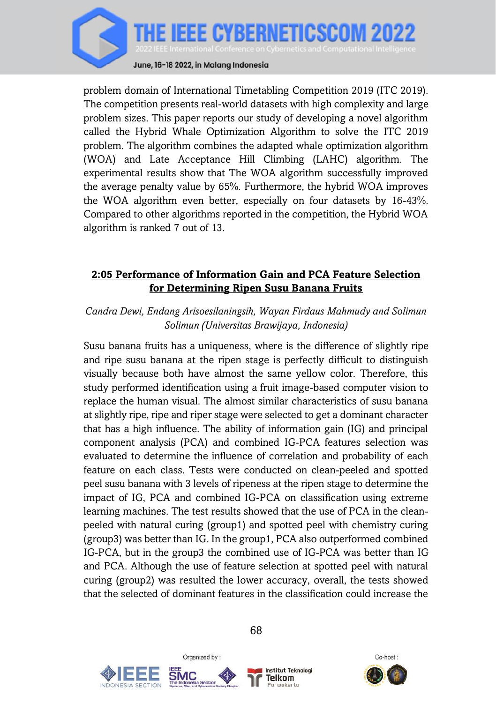

problem domain of International Timetabling Competition 2019 (ITC 2019). The competition presents real-world datasets with high complexity and large problem sizes. This paper reports our study of developing a novel algorithm called the Hybrid Whale Optimization Algorithm to solve the ITC 2019 problem. The algorithm combines the adapted whale optimization algorithm (WOA) and Late Acceptance Hill Climbing (LAHC) algorithm. The experimental results show that The WOA algorithm successfully improved the average penalty value by 65%. Furthermore, the hybrid WOA improves the WOA algorithm even better, especially on four datasets by 16-43%. Compared to other algorithms reported in the competition, the Hybrid WOA algorithm is ranked 7 out of 13.

### **2:05 Performance of Information Gain and PCA Feature Selection for Determining Ripen Susu Banana Fruits**

#### *Candra Dewi, Endang Arisoesilaningsih, Wayan Firdaus Mahmudy and Solimun Solimun (Universitas Brawijaya, Indonesia)*

Susu banana fruits has a uniqueness, where is the difference of slightly ripe and ripe susu banana at the ripen stage is perfectly difficult to distinguish visually because both have almost the same yellow color. Therefore, this study performed identification using a fruit image-based computer vision to replace the human visual. The almost similar characteristics of susu banana at slightly ripe, ripe and riper stage were selected to get a dominant character that has a high influence. The ability of information gain (IG) and principal component analysis (PCA) and combined IG-PCA features selection was evaluated to determine the influence of correlation and probability of each feature on each class. Tests were conducted on clean-peeled and spotted peel susu banana with 3 levels of ripeness at the ripen stage to determine the impact of IG, PCA and combined IG-PCA on classification using extreme learning machines. The test results showed that the use of PCA in the cleanpeeled with natural curing (group1) and spotted peel with chemistry curing (group3) was better than IG. In the group1, PCA also outperformed combined IG-PCA, but in the group3 the combined use of IG-PCA was better than IG and PCA. Although the use of feature selection at spotted peel with natural curing (group2) was resulted the lower accuracy, overall, the tests showed that the selected of dominant features in the classification could increase the





Organized by:



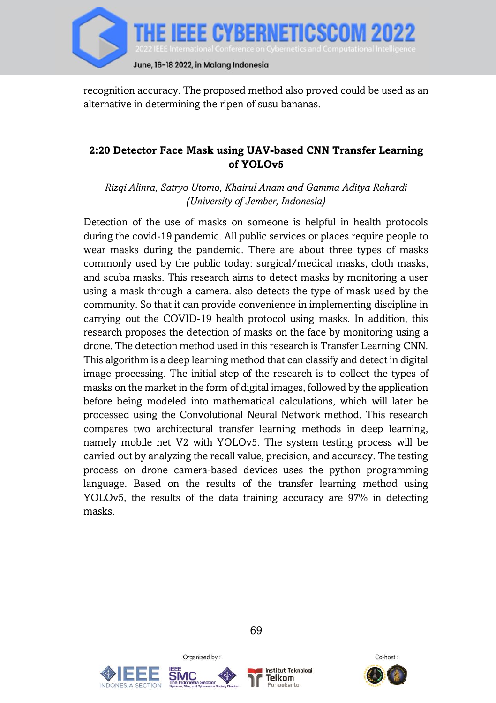

recognition accuracy. The proposed method also proved could be used as an alternative in determining the ripen of susu bananas.

## **2:20 Detector Face Mask using UAV-based CNN Transfer Learning of YOLOv5**

*Rizqi Alinra, Satryo Utomo, Khairul Anam and Gamma Aditya Rahardi (University of Jember, Indonesia)*

Detection of the use of masks on someone is helpful in health protocols during the covid-19 pandemic. All public services or places require people to wear masks during the pandemic. There are about three types of masks commonly used by the public today: surgical/medical masks, cloth masks, and scuba masks. This research aims to detect masks by monitoring a user using a mask through a camera. also detects the type of mask used by the community. So that it can provide convenience in implementing discipline in carrying out the COVID-19 health protocol using masks. In addition, this research proposes the detection of masks on the face by monitoring using a drone. The detection method used in this research is Transfer Learning CNN. This algorithm is a deep learning method that can classify and detect in digital image processing. The initial step of the research is to collect the types of masks on the market in the form of digital images, followed by the application before being modeled into mathematical calculations, which will later be processed using the Convolutional Neural Network method. This research compares two architectural transfer learning methods in deep learning, namely mobile net V2 with YOLOv5. The system testing process will be carried out by analyzing the recall value, precision, and accuracy. The testing process on drone camera-based devices uses the python programming language. Based on the results of the transfer learning method using YOLOv5, the results of the data training accuracy are 97% in detecting masks.





Organized by:



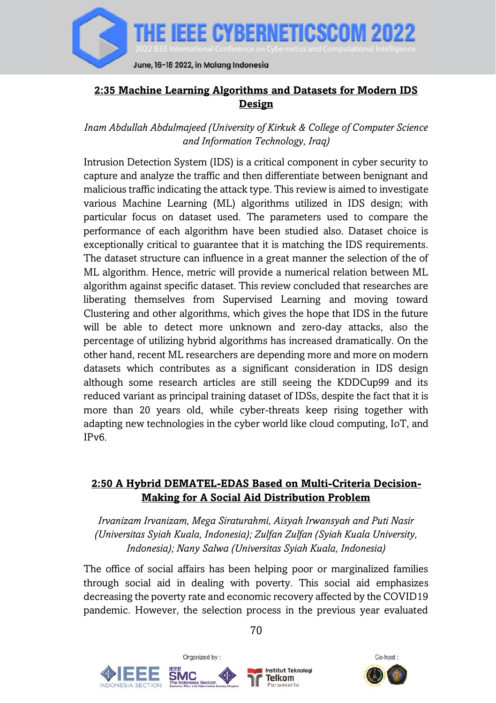

## **2:35 Machine Learning Algorithms and Datasets for Modern IDS Design**

*Inam Abdullah Abdulmajeed (University of Kirkuk & College of Computer Science and Information Technology, Iraq)*

Intrusion Detection System (IDS) is a critical component in cyber security to capture and analyze the traffic and then differentiate between benignant and malicious traffic indicating the attack type. This review is aimed to investigate various Machine Learning (ML) algorithms utilized in IDS design; with particular focus on dataset used. The parameters used to compare the performance of each algorithm have been studied also. Dataset choice is exceptionally critical to guarantee that it is matching the IDS requirements. The dataset structure can influence in a great manner the selection of the of ML algorithm. Hence, metric will provide a numerical relation between ML algorithm against specific dataset. This review concluded that researches are liberating themselves from Supervised Learning and moving toward Clustering and other algorithms, which gives the hope that IDS in the future will be able to detect more unknown and zero-day attacks, also the percentage of utilizing hybrid algorithms has increased dramatically. On the other hand, recent ML researchers are depending more and more on modern datasets which contributes as a significant consideration in IDS design although some research articles are still seeing the KDDCup99 and its reduced variant as principal training dataset of IDSs, despite the fact that it is more than 20 years old, while cyber-threats keep rising together with adapting new technologies in the cyber world like cloud computing, IoT, and IPv6.

### **2:50 A Hybrid DEMATEL-EDAS Based on Multi-Criteria Decision-Making for A Social Aid Distribution Problem**

*Irvanizam Irvanizam, Mega Siraturahmi, Aisyah Irwansyah and Puti Nasir (Universitas Syiah Kuala, Indonesia); Zulfan Zulfan (Syiah Kuala University, Indonesia); Nany Salwa (Universitas Syiah Kuala, Indonesia)*

The office of social affairs has been helping poor or marginalized families through social aid in dealing with poverty. This social aid emphasizes decreasing the poverty rate and economic recovery affected by the COVID19 pandemic. However, the selection process in the previous year evaluated







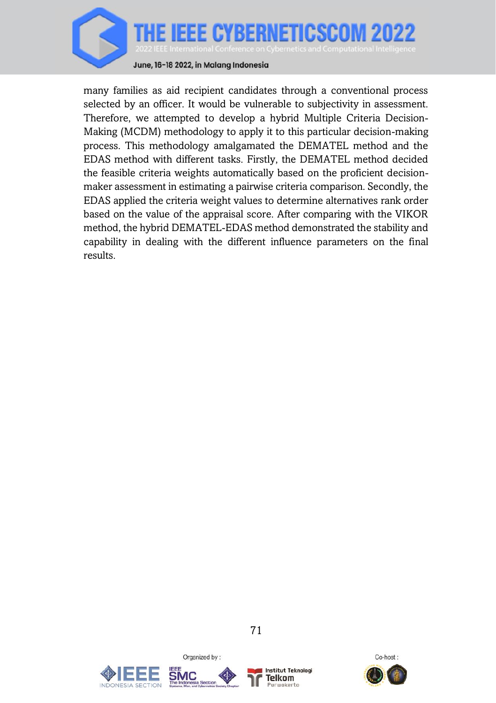

June, 16-18 2022, in Malang Indonesia

many families as aid recipient candidates through a conventional process selected by an officer. It would be vulnerable to subjectivity in assessment. Therefore, we attempted to develop a hybrid Multiple Criteria Decision-Making (MCDM) methodology to apply it to this particular decision-making process. This methodology amalgamated the DEMATEL method and the EDAS method with different tasks. Firstly, the DEMATEL method decided the feasible criteria weights automatically based on the proficient decisionmaker assessment in estimating a pairwise criteria comparison. Secondly, the EDAS applied the criteria weight values to determine alternatives rank order based on the value of the appraisal score. After comparing with the VIKOR method, the hybrid DEMATEL-EDAS method demonstrated the stability and capability in dealing with the different influence parameters on the final results.





Organized by:



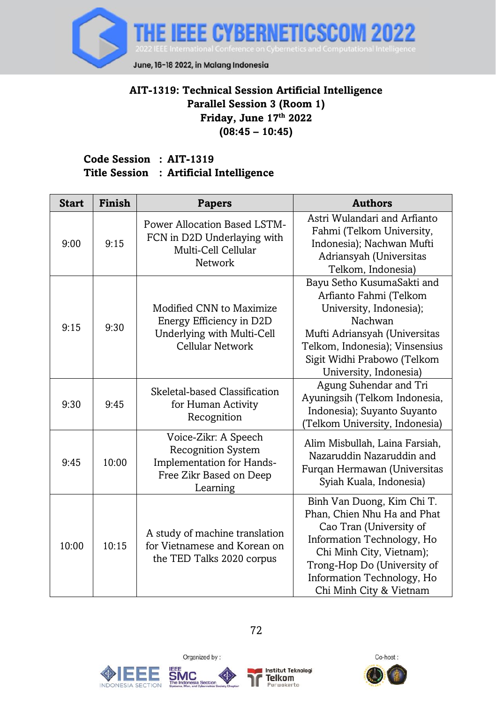

## **AIT-1319: Technical Session Artificial Intelligence Parallel Session 3 (Room 1) Friday, June 17 th 2022 (08:45 – 10:45)**

#### **Code Session : AIT-1319 Title Session : Artificial Intelligence**

| <b>Start</b> | Finish | <b>Papers</b>                                                                                                  | <b>Authors</b>                                                                                                                                                                                                                         |  |
|--------------|--------|----------------------------------------------------------------------------------------------------------------|----------------------------------------------------------------------------------------------------------------------------------------------------------------------------------------------------------------------------------------|--|
| 9:00         | 9:15   | Power Allocation Based LSTM-<br>FCN in D2D Underlaying with<br>Multi-Cell Cellular<br>Network                  | Astri Wulandari and Arfianto<br>Fahmi (Telkom University,<br>Indonesia); Nachwan Mufti<br>Adriansyah (Universitas<br>Telkom, Indonesia)                                                                                                |  |
| 9:15         | 9:30   | Modified CNN to Maximize<br>Energy Efficiency in D2D<br>Underlying with Multi-Cell<br>Cellular Network         | Bayu Setho KusumaSakti and<br>Arfianto Fahmi (Telkom<br>University, Indonesia);<br>Nachwan<br>Mufti Adriansyah (Universitas<br>Telkom, Indonesia); Vinsensius<br>Sigit Widhi Prabowo (Telkom<br>University, Indonesia)                 |  |
| 9:30         | 9:45   | Skeletal-based Classification<br>for Human Activity<br>Recognition                                             | Agung Suhendar and Tri<br>Ayuningsih (Telkom Indonesia,<br>Indonesia); Suyanto Suyanto<br>Telkom University, Indonesia)                                                                                                                |  |
| 9:45         | 10:00  | Voice-Zikr: A Speech<br>Recognition System<br>Implementation for Hands-<br>Free Zikr Based on Deep<br>Learning | Alim Misbullah, Laina Farsiah,<br>Nazaruddin Nazaruddin and<br>Furqan Hermawan (Universitas<br>Syiah Kuala, Indonesia)                                                                                                                 |  |
| 10:00        | 10:15  | A study of machine translation<br>for Vietnamese and Korean on<br>the TED Talks 2020 corpus                    | Binh Van Duong, Kim Chi T.<br>Phan, Chien Nhu Ha and Phat<br>Cao Tran (University of<br>Information Technology, Ho<br>Chi Minh City, Vietnam);<br>Trong-Hop Do (University of<br>Information Technology, Ho<br>Chi Minh City & Vietnam |  |







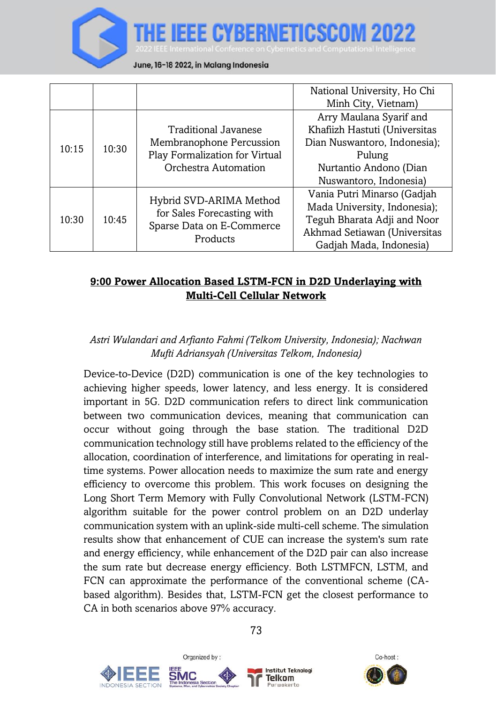#### June, 16-18 2022, in Malang Indonesia

|       |       |                                                                                                            | National University, Ho Chi<br>Minh City, Vietnam)                                                                                                     |
|-------|-------|------------------------------------------------------------------------------------------------------------|--------------------------------------------------------------------------------------------------------------------------------------------------------|
| 10:15 | 10:30 | Traditional Javanese<br>Membranophone Percussion<br>Play Formalization for Virtual<br>Orchestra Automation | Arry Maulana Syarif and<br>Khafiizh Hastuti (Universitas<br>Dian Nuswantoro, Indonesia);<br>Pulung<br>Nurtantio Andono (Dian<br>Nuswantoro, Indonesia) |
| 10:30 | 10:45 | Hybrid SVD-ARIMA Method<br>for Sales Forecasting with<br>Sparse Data on E-Commerce<br>Products             | Vania Putri Minarso (Gadjah<br>Mada University, Indonesia);<br>Teguh Bharata Adji and Noor<br>Akhmad Setiawan (Universitas<br>Gadjah Mada, Indonesia)  |

#### **9:00 Power Allocation Based LSTM-FCN in D2D Underlaying with Multi-Cell Cellular Network**

## *Astri Wulandari and Arfianto Fahmi (Telkom University, Indonesia); Nachwan Mufti Adriansyah (Universitas Telkom, Indonesia)*

Device-to-Device (D2D) communication is one of the key technologies to achieving higher speeds, lower latency, and less energy. It is considered important in 5G. D2D communication refers to direct link communication between two communication devices, meaning that communication can occur without going through the base station. The traditional D2D communication technology still have problems related to the efficiency of the allocation, coordination of interference, and limitations for operating in realtime systems. Power allocation needs to maximize the sum rate and energy efficiency to overcome this problem. This work focuses on designing the Long Short Term Memory with Fully Convolutional Network (LSTM-FCN) algorithm suitable for the power control problem on an D2D underlay communication system with an uplink-side multi-cell scheme. The simulation results show that enhancement of CUE can increase the system's sum rate and energy efficiency, while enhancement of the D2D pair can also increase the sum rate but decrease energy efficiency. Both LSTMFCN, LSTM, and FCN can approximate the performance of the conventional scheme (CAbased algorithm). Besides that, LSTM-FCN get the closest performance to CA in both scenarios above 97% accuracy.







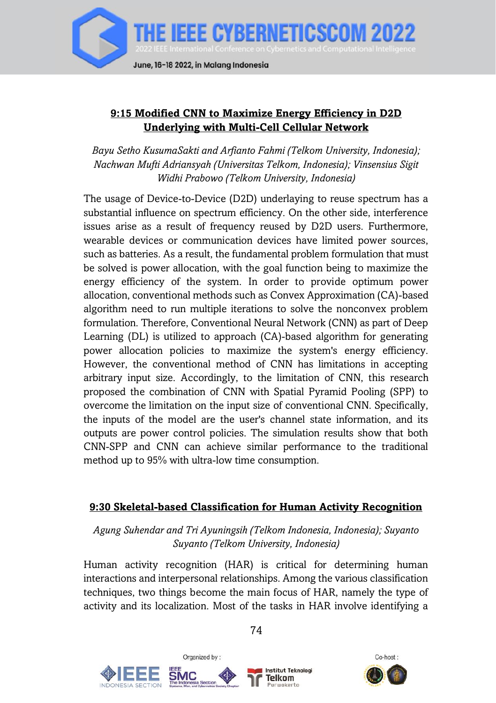

### **9:15 Modified CNN to Maximize Energy Efficiency in D2D Underlying with Multi-Cell Cellular Network**

*Bayu Setho KusumaSakti and Arfianto Fahmi (Telkom University, Indonesia); Nachwan Mufti Adriansyah (Universitas Telkom, Indonesia); Vinsensius Sigit Widhi Prabowo (Telkom University, Indonesia)*

The usage of Device-to-Device (D2D) underlaying to reuse spectrum has a substantial influence on spectrum efficiency. On the other side, interference issues arise as a result of frequency reused by D2D users. Furthermore, wearable devices or communication devices have limited power sources, such as batteries. As a result, the fundamental problem formulation that must be solved is power allocation, with the goal function being to maximize the energy efficiency of the system. In order to provide optimum power allocation, conventional methods such as Convex Approximation (CA)-based algorithm need to run multiple iterations to solve the nonconvex problem formulation. Therefore, Conventional Neural Network (CNN) as part of Deep Learning (DL) is utilized to approach (CA)-based algorithm for generating power allocation policies to maximize the system's energy efficiency. However, the conventional method of CNN has limitations in accepting arbitrary input size. Accordingly, to the limitation of CNN, this research proposed the combination of CNN with Spatial Pyramid Pooling (SPP) to overcome the limitation on the input size of conventional CNN. Specifically, the inputs of the model are the user's channel state information, and its outputs are power control policies. The simulation results show that both CNN-SPP and CNN can achieve similar performance to the traditional method up to 95% with ultra-low time consumption.

#### **9:30 Skeletal-based Classification for Human Activity Recognition**

*Agung Suhendar and Tri Ayuningsih (Telkom Indonesia, Indonesia); Suyanto Suyanto (Telkom University, Indonesia)*

Human activity recognition (HAR) is critical for determining human interactions and interpersonal relationships. Among the various classification techniques, two things become the main focus of HAR, namely the type of activity and its localization. Most of the tasks in HAR involve identifying a







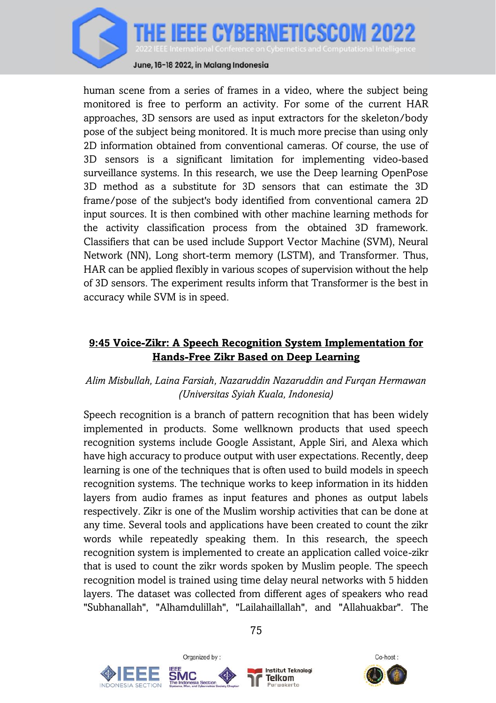

human scene from a series of frames in a video, where the subject being monitored is free to perform an activity. For some of the current HAR approaches, 3D sensors are used as input extractors for the skeleton/body pose of the subject being monitored. It is much more precise than using only 2D information obtained from conventional cameras. Of course, the use of 3D sensors is a significant limitation for implementing video-based surveillance systems. In this research, we use the Deep learning OpenPose 3D method as a substitute for 3D sensors that can estimate the 3D frame/pose of the subject's body identified from conventional camera 2D input sources. It is then combined with other machine learning methods for the activity classification process from the obtained 3D framework. Classifiers that can be used include Support Vector Machine (SVM), Neural Network (NN), Long short-term memory (LSTM), and Transformer. Thus, HAR can be applied flexibly in various scopes of supervision without the help of 3D sensors. The experiment results inform that Transformer is the best in accuracy while SVM is in speed.

### **9:45 Voice-Zikr: A Speech Recognition System Implementation for Hands-Free Zikr Based on Deep Learning**

#### *Alim Misbullah, Laina Farsiah, Nazaruddin Nazaruddin and Furqan Hermawan (Universitas Syiah Kuala, Indonesia)*

Speech recognition is a branch of pattern recognition that has been widely implemented in products. Some wellknown products that used speech recognition systems include Google Assistant, Apple Siri, and Alexa which have high accuracy to produce output with user expectations. Recently, deep learning is one of the techniques that is often used to build models in speech recognition systems. The technique works to keep information in its hidden layers from audio frames as input features and phones as output labels respectively. Zikr is one of the Muslim worship activities that can be done at any time. Several tools and applications have been created to count the zikr words while repeatedly speaking them. In this research, the speech recognition system is implemented to create an application called voice-zikr that is used to count the zikr words spoken by Muslim people. The speech recognition model is trained using time delay neural networks with 5 hidden layers. The dataset was collected from different ages of speakers who read "Subhanallah", "Alhamdulillah", "Lailahaillallah", and "Allahuakbar". The





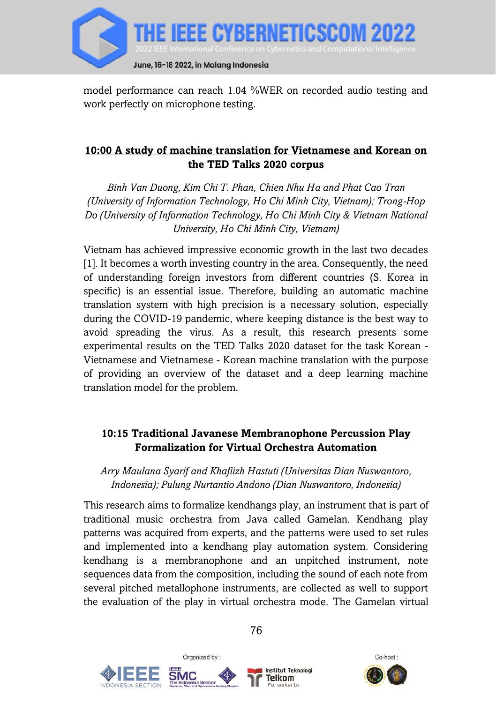

model performance can reach 1.04 %WER on recorded audio testing and work perfectly on microphone testing.

## **10:00 A study of machine translation for Vietnamese and Korean on the TED Talks 2020 corpus**

*Binh Van Duong, Kim Chi T. Phan, Chien Nhu Ha and Phat Cao Tran (University of Information Technology, Ho Chi Minh City, Vietnam); Trong-Hop Do (University of Information Technology, Ho Chi Minh City & Vietnam National University, Ho Chi Minh City, Vietnam)*

Vietnam has achieved impressive economic growth in the last two decades [1]. It becomes a worth investing country in the area. Consequently, the need of understanding foreign investors from different countries (S. Korea in specific) is an essential issue. Therefore, building an automatic machine translation system with high precision is a necessary solution, especially during the COVID-19 pandemic, where keeping distance is the best way to avoid spreading the virus. As a result, this research presents some experimental results on the TED Talks 2020 dataset for the task Korean - Vietnamese and Vietnamese - Korean machine translation with the purpose of providing an overview of the dataset and a deep learning machine translation model for the problem.

## **10:15 Traditional Javanese Membranophone Percussion Play Formalization for Virtual Orchestra Automation**

*Arry Maulana Syarif and Khafiizh Hastuti (Universitas Dian Nuswantoro, Indonesia); Pulung Nurtantio Andono (Dian Nuswantoro, Indonesia)*

This research aims to formalize kendhangs play, an instrument that is part of traditional music orchestra from Java called Gamelan. Kendhang play patterns was acquired from experts, and the patterns were used to set rules and implemented into a kendhang play automation system. Considering kendhang is a membranophone and an unpitched instrument, note sequences data from the composition, including the sound of each note from several pitched metallophone instruments, are collected as well to support the evaluation of the play in virtual orchestra mode. The Gamelan virtual





Organized by:



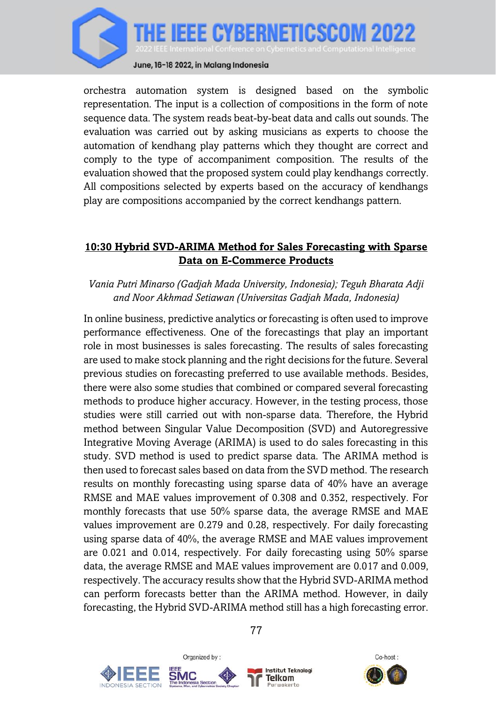

orchestra automation system is designed based on the symbolic representation. The input is a collection of compositions in the form of note sequence data. The system reads beat-by-beat data and calls out sounds. The evaluation was carried out by asking musicians as experts to choose the automation of kendhang play patterns which they thought are correct and comply to the type of accompaniment composition. The results of the evaluation showed that the proposed system could play kendhangs correctly. All compositions selected by experts based on the accuracy of kendhangs play are compositions accompanied by the correct kendhangs pattern.

### **10:30 Hybrid SVD-ARIMA Method for Sales Forecasting with Sparse Data on E-Commerce Products**

#### *Vania Putri Minarso (Gadjah Mada University, Indonesia); Teguh Bharata Adji and Noor Akhmad Setiawan (Universitas Gadjah Mada, Indonesia)*

In online business, predictive analytics or forecasting is often used to improve performance effectiveness. One of the forecastings that play an important role in most businesses is sales forecasting. The results of sales forecasting are used to make stock planning and the right decisions for the future. Several previous studies on forecasting preferred to use available methods. Besides, there were also some studies that combined or compared several forecasting methods to produce higher accuracy. However, in the testing process, those studies were still carried out with non-sparse data. Therefore, the Hybrid method between Singular Value Decomposition (SVD) and Autoregressive Integrative Moving Average (ARIMA) is used to do sales forecasting in this study. SVD method is used to predict sparse data. The ARIMA method is then used to forecast sales based on data from the SVD method. The research results on monthly forecasting using sparse data of 40% have an average RMSE and MAE values improvement of 0.308 and 0.352, respectively. For monthly forecasts that use 50% sparse data, the average RMSE and MAE values improvement are 0.279 and 0.28, respectively. For daily forecasting using sparse data of 40%, the average RMSE and MAE values improvement are 0.021 and 0.014, respectively. For daily forecasting using 50% sparse data, the average RMSE and MAE values improvement are 0.017 and 0.009, respectively. The accuracy results show that the Hybrid SVD-ARIMA method can perform forecasts better than the ARIMA method. However, in daily forecasting, the Hybrid SVD-ARIMA method still has a high forecasting error.







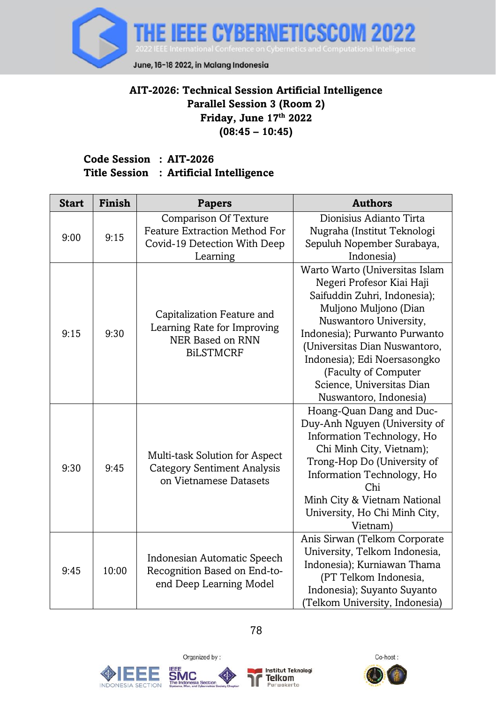

## **AIT-2026: Technical Session Artificial Intelligence Parallel Session 3 (Room 2) Friday, June 17 th 2022 (08:45 – 10:45)**

#### **Code Session : AIT-2026 Title Session : Artificial Intelligence**

| <b>Start</b> | Finish                                                                                          | <b>Papers</b>                                                                                                    | <b>Authors</b>                                                                                                                                                                                                                                                                                                                  |
|--------------|-------------------------------------------------------------------------------------------------|------------------------------------------------------------------------------------------------------------------|---------------------------------------------------------------------------------------------------------------------------------------------------------------------------------------------------------------------------------------------------------------------------------------------------------------------------------|
| 9:00         | 9:15                                                                                            | <b>Comparison Of Texture</b><br><b>Feature Extraction Method For</b><br>Covid-19 Detection With Deep<br>Learning | Dionisius Adianto Tirta<br>Nugraha (Institut Teknologi<br>Sepuluh Nopember Surabaya,<br>Indonesia)                                                                                                                                                                                                                              |
| 9:15         | 9:30                                                                                            | Capitalization Feature and<br>Learning Rate for Improving<br>NER Based on RNN<br><b>BILSTMCRF</b>                | Warto Warto (Universitas Islam<br>Negeri Profesor Kiai Haji<br>Saifuddin Zuhri, Indonesia);<br>Muljono Muljono (Dian<br>Nuswantoro University,<br>Indonesia); Purwanto Purwanto<br>(Universitas Dian Nuswantoro,<br>Indonesia); Edi Noersasongko<br>(Faculty of Computer<br>Science, Universitas Dian<br>Nuswantoro, Indonesia) |
| 9:30         | 9:45                                                                                            | Multi-task Solution for Aspect<br><b>Category Sentiment Analysis</b><br>on Vietnamese Datasets                   | Hoang-Quan Dang and Duc-<br>Duy-Anh Nguyen (University of<br>Information Technology, Ho<br>Chi Minh City, Vietnam);<br>Trong-Hop Do (University of<br>Information Technology, Ho<br>Chi<br>Minh City & Vietnam National<br>University, Ho Chi Minh City,<br>Vietnam)                                                            |
| 9:45         | Indonesian Automatic Speech<br>Recognition Based on End-to-<br>10:00<br>end Deep Learning Model |                                                                                                                  | Anis Sirwan (Telkom Corporate<br>University, Telkom Indonesia,<br>Indonesia); Kurniawan Thama<br>(PT Telkom Indonesia,<br>Indonesia); Suyanto Suyanto<br>(Telkom University, Indonesia)                                                                                                                                         |







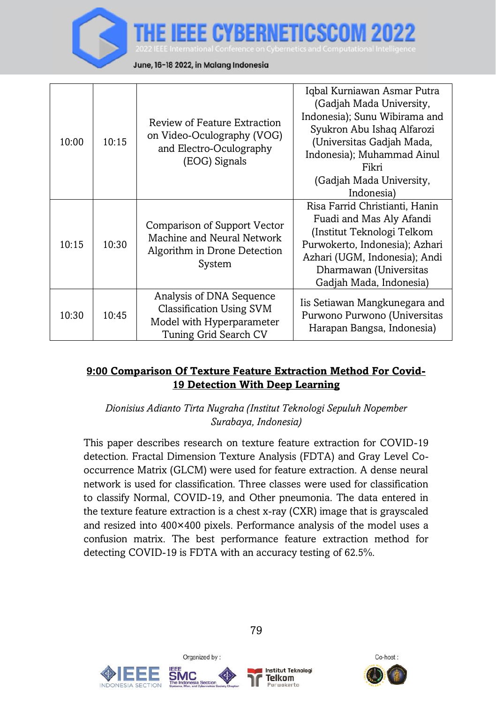RERNETICSCI June, 16-18 2022, in Malang Indonesia

| 10:00 | 10:15 | Review of Feature Extraction<br>on Video-Oculography (VOG)<br>and Electro-Oculography<br>(EOG) Signals     | Iqbal Kurniawan Asmar Putra<br>(Gadjah Mada University,<br>Indonesia); Sunu Wibirama and<br>Syukron Abu Ishaq Alfarozi<br>(Universitas Gadjah Mada,<br>Indonesia); Muhammad Ainul<br>Fikri<br>(Gadjah Mada University,<br>Indonesia) |
|-------|-------|------------------------------------------------------------------------------------------------------------|--------------------------------------------------------------------------------------------------------------------------------------------------------------------------------------------------------------------------------------|
| 10:15 | 10:30 | Comparison of Support Vector<br>Machine and Neural Network<br>Algorithm in Drone Detection<br>System       | Risa Farrid Christianti, Hanin<br>Fuadi and Mas Aly Afandi<br>(Institut Teknologi Telkom<br>Purwokerto, Indonesia); Azhari<br>Azhari (UGM, Indonesia); Andi<br>Dharmawan (Universitas<br>Gadjah Mada, Indonesia)                     |
| 10:30 | 10:45 | Analysis of DNA Sequence<br>Classification Using SVM<br>Model with Hyperparameter<br>Tuning Grid Search CV | Iis Setiawan Mangkunegara and<br>Purwono Purwono (Universitas<br>Harapan Bangsa, Indonesia)                                                                                                                                          |

## **9:00 Comparison Of Texture Feature Extraction Method For Covid-19 Detection With Deep Learning**

*Dionisius Adianto Tirta Nugraha (Institut Teknologi Sepuluh Nopember Surabaya, Indonesia)*

This paper describes research on texture feature extraction for COVID-19 detection. Fractal Dimension Texture Analysis (FDTA) and Gray Level Cooccurrence Matrix (GLCM) were used for feature extraction. A dense neural network is used for classification. Three classes were used for classification to classify Normal, COVID-19, and Other pneumonia. The data entered in the texture feature extraction is a chest x-ray (CXR) image that is grayscaled and resized into 400×400 pixels. Performance analysis of the model uses a confusion matrix. The best performance feature extraction method for detecting COVID-19 is FDTA with an accuracy testing of 62.5%.





Organized by:



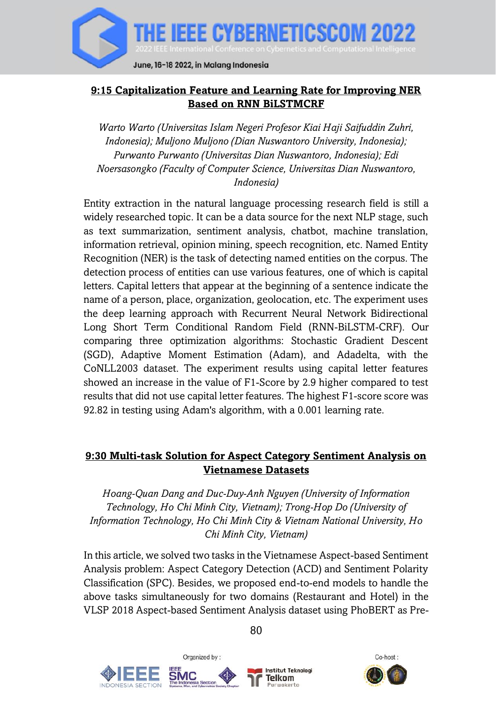

## **9:15 Capitalization Feature and Learning Rate for Improving NER Based on RNN BiLSTMCRF**

*Warto Warto (Universitas Islam Negeri Profesor Kiai Haji Saifuddin Zuhri, Indonesia); Muljono Muljono (Dian Nuswantoro University, Indonesia); Purwanto Purwanto (Universitas Dian Nuswantoro, Indonesia); Edi Noersasongko (Faculty of Computer Science, Universitas Dian Nuswantoro, Indonesia)*

Entity extraction in the natural language processing research field is still a widely researched topic. It can be a data source for the next NLP stage, such as text summarization, sentiment analysis, chatbot, machine translation, information retrieval, opinion mining, speech recognition, etc. Named Entity Recognition (NER) is the task of detecting named entities on the corpus. The detection process of entities can use various features, one of which is capital letters. Capital letters that appear at the beginning of a sentence indicate the name of a person, place, organization, geolocation, etc. The experiment uses the deep learning approach with Recurrent Neural Network Bidirectional Long Short Term Conditional Random Field (RNN-BiLSTM-CRF). Our comparing three optimization algorithms: Stochastic Gradient Descent (SGD), Adaptive Moment Estimation (Adam), and Adadelta, with the CoNLL2003 dataset. The experiment results using capital letter features showed an increase in the value of F1-Score by 2.9 higher compared to test results that did not use capital letter features. The highest F1-score score was 92.82 in testing using Adam's algorithm, with a 0.001 learning rate.

#### **9:30 Multi-task Solution for Aspect Category Sentiment Analysis on Vietnamese Datasets**

*Hoang-Quan Dang and Duc-Duy-Anh Nguyen (University of Information Technology, Ho Chi Minh City, Vietnam); Trong-Hop Do (University of Information Technology, Ho Chi Minh City & Vietnam National University, Ho Chi Minh City, Vietnam)*

In this article, we solved two tasks in the Vietnamese Aspect-based Sentiment Analysis problem: Aspect Category Detection (ACD) and Sentiment Polarity Classification (SPC). Besides, we proposed end-to-end models to handle the above tasks simultaneously for two domains (Restaurant and Hotel) in the VLSP 2018 Aspect-based Sentiment Analysis dataset using PhoBERT as Pre-





 $80$ 

Institut Teknolog Telkom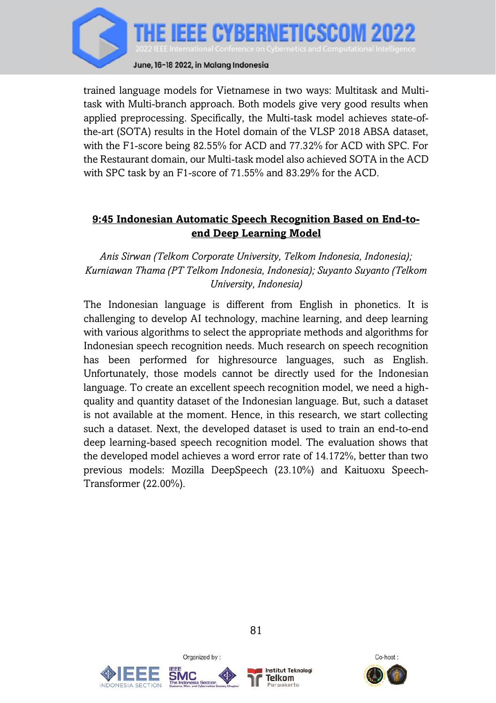

trained language models for Vietnamese in two ways: Multitask and Multitask with Multi-branch approach. Both models give very good results when applied preprocessing. Specifically, the Multi-task model achieves state-ofthe-art (SOTA) results in the Hotel domain of the VLSP 2018 ABSA dataset, with the F1-score being 82.55% for ACD and 77.32% for ACD with SPC. For the Restaurant domain, our Multi-task model also achieved SOTA in the ACD with SPC task by an F1-score of 71.55% and 83.29% for the ACD.

### **9:45 Indonesian Automatic Speech Recognition Based on End-toend Deep Learning Model**

## *Anis Sirwan (Telkom Corporate University, Telkom Indonesia, Indonesia); Kurniawan Thama (PT Telkom Indonesia, Indonesia); Suyanto Suyanto (Telkom University, Indonesia)*

The Indonesian language is different from English in phonetics. It is challenging to develop AI technology, machine learning, and deep learning with various algorithms to select the appropriate methods and algorithms for Indonesian speech recognition needs. Much research on speech recognition has been performed for highresource languages, such as English. Unfortunately, those models cannot be directly used for the Indonesian language. To create an excellent speech recognition model, we need a highquality and quantity dataset of the Indonesian language. But, such a dataset is not available at the moment. Hence, in this research, we start collecting such a dataset. Next, the developed dataset is used to train an end-to-end deep learning-based speech recognition model. The evaluation shows that the developed model achieves a word error rate of 14.172%, better than two previous models: Mozilla DeepSpeech (23.10%) and Kaituoxu Speech-Transformer (22.00%).





Organized by:



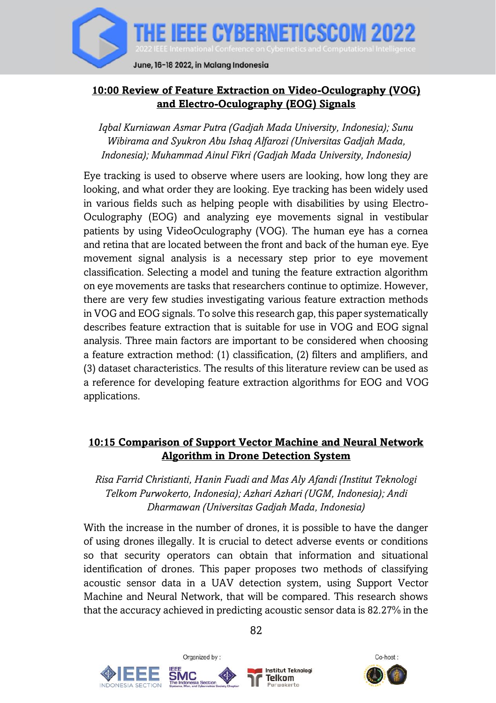

## **10:00 Review of Feature Extraction on Video-Oculography (VOG) and Electro-Oculography (EOG) Signals**

*Iqbal Kurniawan Asmar Putra (Gadjah Mada University, Indonesia); Sunu Wibirama and Syukron Abu Ishaq Alfarozi (Universitas Gadjah Mada, Indonesia); Muhammad Ainul Fikri (Gadjah Mada University, Indonesia)*

Eye tracking is used to observe where users are looking, how long they are looking, and what order they are looking. Eye tracking has been widely used in various fields such as helping people with disabilities by using Electro-Oculography (EOG) and analyzing eye movements signal in vestibular patients by using VideoOculography (VOG). The human eye has a cornea and retina that are located between the front and back of the human eye. Eye movement signal analysis is a necessary step prior to eye movement classification. Selecting a model and tuning the feature extraction algorithm on eye movements are tasks that researchers continue to optimize. However, there are very few studies investigating various feature extraction methods in VOG and EOG signals. To solve this research gap, this paper systematically describes feature extraction that is suitable for use in VOG and EOG signal analysis. Three main factors are important to be considered when choosing a feature extraction method: (1) classification, (2) filters and amplifiers, and (3) dataset characteristics. The results of this literature review can be used as a reference for developing feature extraction algorithms for EOG and VOG applications.

## **10:15 Comparison of Support Vector Machine and Neural Network Algorithm in Drone Detection System**

*Risa Farrid Christianti, Hanin Fuadi and Mas Aly Afandi (Institut Teknologi Telkom Purwokerto, Indonesia); Azhari Azhari (UGM, Indonesia); Andi Dharmawan (Universitas Gadjah Mada, Indonesia)*

With the increase in the number of drones, it is possible to have the danger of using drones illegally. It is crucial to detect adverse events or conditions so that security operators can obtain that information and situational identification of drones. This paper proposes two methods of classifying acoustic sensor data in a UAV detection system, using Support Vector Machine and Neural Network, that will be compared. This research shows that the accuracy achieved in predicting acoustic sensor data is 82.27% in the



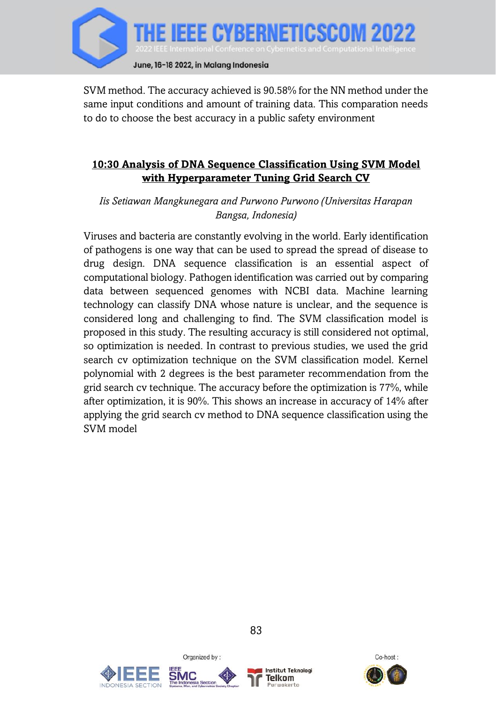

SVM method. The accuracy achieved is 90.58% for the NN method under the same input conditions and amount of training data. This comparation needs to do to choose the best accuracy in a public safety environment

## **10:30 Analysis of DNA Sequence Classification Using SVM Model with Hyperparameter Tuning Grid Search CV**

*Iis Setiawan Mangkunegara and Purwono Purwono (Universitas Harapan Bangsa, Indonesia)*

Viruses and bacteria are constantly evolving in the world. Early identification of pathogens is one way that can be used to spread the spread of disease to drug design. DNA sequence classification is an essential aspect of computational biology. Pathogen identification was carried out by comparing data between sequenced genomes with NCBI data. Machine learning technology can classify DNA whose nature is unclear, and the sequence is considered long and challenging to find. The SVM classification model is proposed in this study. The resulting accuracy is still considered not optimal, so optimization is needed. In contrast to previous studies, we used the grid search cv optimization technique on the SVM classification model. Kernel polynomial with 2 degrees is the best parameter recommendation from the grid search cv technique. The accuracy before the optimization is 77%, while after optimization, it is 90%. This shows an increase in accuracy of 14% after applying the grid search cv method to DNA sequence classification using the SVM model





Organized by:



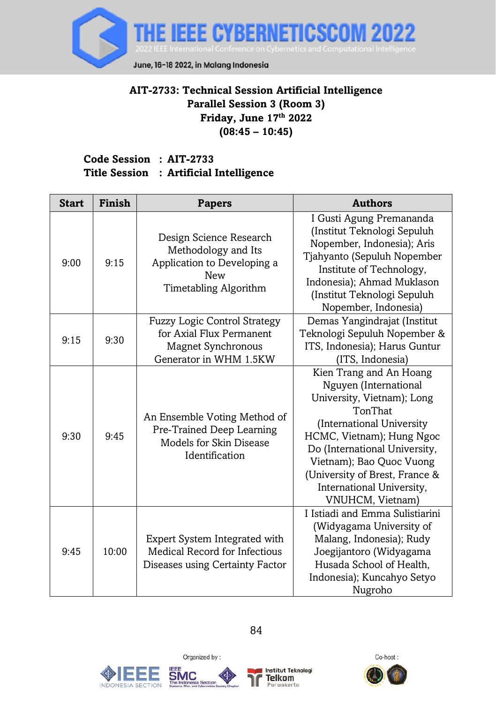

## **AIT-2733: Technical Session Artificial Intelligence Parallel Session 3 (Room 3) Friday, June 17 th 2022 (08:45 – 10:45)**

#### **Code Session : AIT-2733 Title Session : Artificial Intelligence**

| <b>Start</b> | Finish | <b>Papers</b>                                                                                                          | <b>Authors</b>                                                                                                                                                                                                                                                                                       |
|--------------|--------|------------------------------------------------------------------------------------------------------------------------|------------------------------------------------------------------------------------------------------------------------------------------------------------------------------------------------------------------------------------------------------------------------------------------------------|
| 9:00         | 9:15   | Design Science Research<br>Methodology and Its<br>Application to Developing a<br><b>New</b><br>Timetabling Algorithm   | I Gusti Agung Premananda<br>(Institut Teknologi Sepuluh<br>Nopember, Indonesia); Aris<br>Tjahyanto (Sepuluh Nopember<br>Institute of Technology,<br>Indonesia); Ahmad Muklason<br>(Institut Teknologi Sepuluh<br>Nopember, Indonesia)                                                                |
| 9:15         | 9:30   | <b>Fuzzy Logic Control Strategy</b><br>for Axial Flux Permanent<br><b>Magnet Synchronous</b><br>Generator in WHM 1.5KW | Demas Yangindrajat (Institut<br>Teknologi Sepuluh Nopember &<br>ITS, Indonesia); Harus Guntur<br>(ITS, Indonesia)                                                                                                                                                                                    |
| 9:30         | 9:45   | An Ensemble Voting Method of<br>Pre-Trained Deep Learning<br>Models for Skin Disease<br>Identification                 | Kien Trang and An Hoang<br>Nguyen (International<br>University, Vietnam); Long<br>TonThat<br>(International University)<br>HCMC, Vietnam); Hung Ngoc<br>Do (International University,<br>Vietnam); Bao Quoc Vuong<br>(University of Brest, France &<br>International University,<br>VNUHCM, Vietnam) |
| 9:45         | 10:00  | Expert System Integrated with<br>Medical Record for Infectious<br>Diseases using Certainty Factor                      | I Istiadi and Emma Sulistiarini<br>(Widyagama University of<br>Malang, Indonesia); Rudy<br>Joegijantoro (Widyagama<br>Husada School of Health,<br>Indonesia); Kuncahyo Setyo<br>Nugroho                                                                                                              |







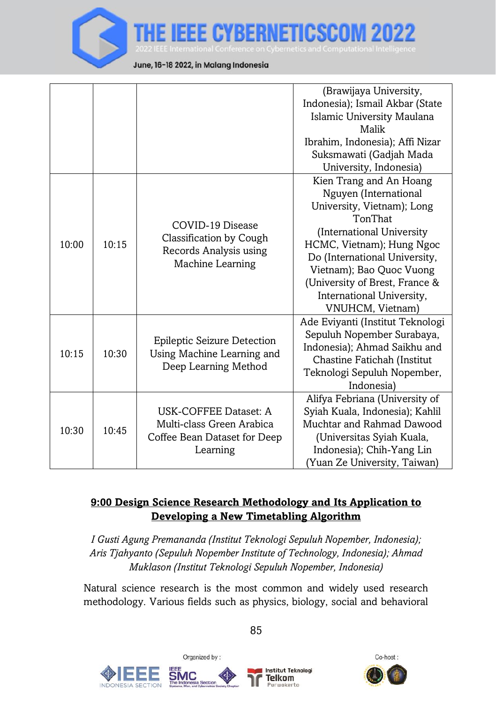

June, 16-18 2022, in Malang Indonesia

|       |       |                                                                                                | (Brawijaya University,<br>Indonesia); Ismail Akbar (State<br>Islamic University Maulana<br>Malik<br>Ibrahim, Indonesia); Affi Nizar<br>Suksmawati (Gadjah Mada<br>University, Indonesia)                                                                                                             |
|-------|-------|------------------------------------------------------------------------------------------------|------------------------------------------------------------------------------------------------------------------------------------------------------------------------------------------------------------------------------------------------------------------------------------------------------|
| 10:00 | 10:15 | COVID-19 Disease<br>Classification by Cough<br>Records Analysis using<br>Machine Learning      | Kien Trang and An Hoang<br>Nguyen (International<br>University, Vietnam); Long<br>TonThat<br>(International University)<br>HCMC, Vietnam); Hung Ngoc<br>Do (International University,<br>Vietnam); Bao Quoc Vuong<br>(University of Brest, France &<br>International University,<br>VNUHCM, Vietnam) |
| 10:15 | 10:30 | Epileptic Seizure Detection<br>Using Machine Learning and<br>Deep Learning Method              | Ade Eviyanti (Institut Teknologi<br>Sepuluh Nopember Surabaya,<br>Indonesia); Ahmad Saikhu and<br>Chastine Fatichah (Institut<br>Teknologi Sepuluh Nopember,<br>Indonesia)                                                                                                                           |
| 10:30 | 10:45 | USK-COFFEE Dataset: A<br>Multi-class Green Arabica<br>Coffee Bean Dataset for Deep<br>Learning | Alifya Febriana (University of<br>Syiah Kuala, Indonesia); Kahlil<br>Muchtar and Rahmad Dawood<br>(Universitas Syiah Kuala,<br>Indonesia); Chih-Yang Lin<br>(Yuan Ze University, Taiwan)                                                                                                             |

BERNETICSC

# **9:00 Design Science Research Methodology and Its Application to Developing a New Timetabling Algorithm**

*I Gusti Agung Premananda (Institut Teknologi Sepuluh Nopember, Indonesia); Aris Tjahyanto (Sepuluh Nopember Institute of Technology, Indonesia); Ahmad Muklason (Institut Teknologi Sepuluh Nopember, Indonesia)*

Natural science research is the most common and widely used research methodology. Various fields such as physics, biology, social and behavioral







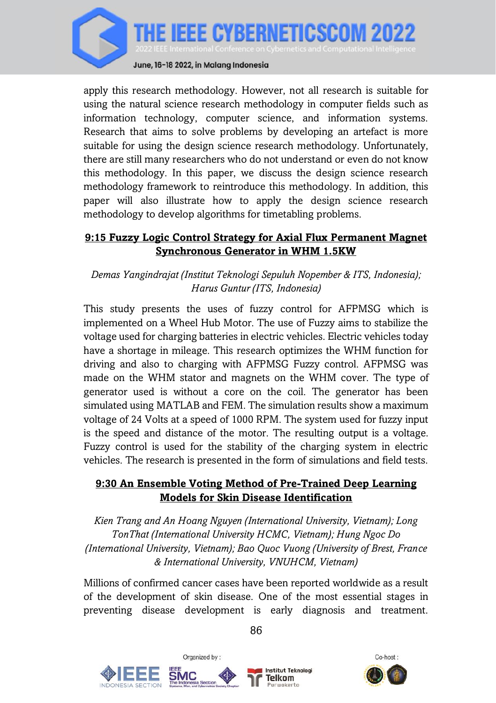

apply this research methodology. However, not all research is suitable for using the natural science research methodology in computer fields such as information technology, computer science, and information systems. Research that aims to solve problems by developing an artefact is more suitable for using the design science research methodology. Unfortunately, there are still many researchers who do not understand or even do not know this methodology. In this paper, we discuss the design science research methodology framework to reintroduce this methodology. In addition, this paper will also illustrate how to apply the design science research methodology to develop algorithms for timetabling problems.

# **9:15 Fuzzy Logic Control Strategy for Axial Flux Permanent Magnet Synchronous Generator in WHM 1.5KW**

### *Demas Yangindrajat (Institut Teknologi Sepuluh Nopember & ITS, Indonesia); Harus Guntur (ITS, Indonesia)*

This study presents the uses of fuzzy control for AFPMSG which is implemented on a Wheel Hub Motor. The use of Fuzzy aims to stabilize the voltage used for charging batteries in electric vehicles. Electric vehicles today have a shortage in mileage. This research optimizes the WHM function for driving and also to charging with AFPMSG Fuzzy control. AFPMSG was made on the WHM stator and magnets on the WHM cover. The type of generator used is without a core on the coil. The generator has been simulated using MATLAB and FEM. The simulation results show a maximum voltage of 24 Volts at a speed of 1000 RPM. The system used for fuzzy input is the speed and distance of the motor. The resulting output is a voltage. Fuzzy control is used for the stability of the charging system in electric vehicles. The research is presented in the form of simulations and field tests.

#### **9:30 An Ensemble Voting Method of Pre-Trained Deep Learning Models for Skin Disease Identification**

*Kien Trang and An Hoang Nguyen (International University, Vietnam); Long TonThat (International University HCMC, Vietnam); Hung Ngoc Do (International University, Vietnam); Bao Quoc Vuong (University of Brest, France & International University, VNUHCM, Vietnam)*

Millions of confirmed cancer cases have been reported worldwide as a result of the development of skin disease. One of the most essential stages in preventing disease development is early diagnosis and treatment.







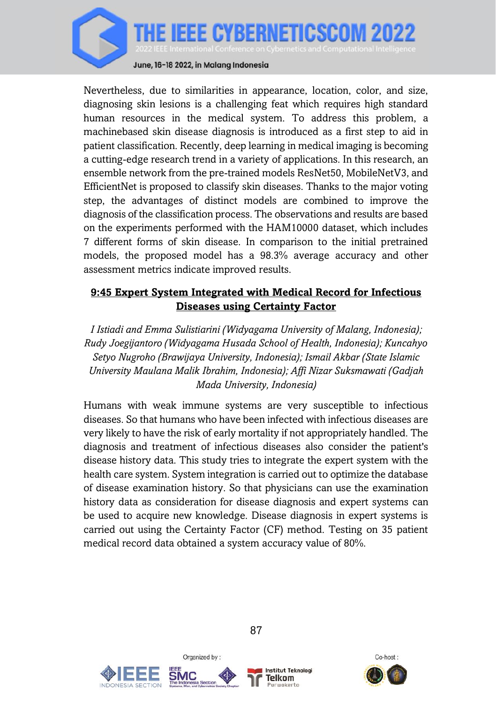

June, 16-18 2022, in Malang Indonesia

Nevertheless, due to similarities in appearance, location, color, and size, diagnosing skin lesions is a challenging feat which requires high standard human resources in the medical system. To address this problem, a machinebased skin disease diagnosis is introduced as a first step to aid in patient classification. Recently, deep learning in medical imaging is becoming a cutting-edge research trend in a variety of applications. In this research, an ensemble network from the pre-trained models ResNet50, MobileNetV3, and EfficientNet is proposed to classify skin diseases. Thanks to the major voting step, the advantages of distinct models are combined to improve the diagnosis of the classification process. The observations and results are based on the experiments performed with the HAM10000 dataset, which includes 7 different forms of skin disease. In comparison to the initial pretrained models, the proposed model has a 98.3% average accuracy and other assessment metrics indicate improved results.

## **9:45 Expert System Integrated with Medical Record for Infectious Diseases using Certainty Factor**

*I Istiadi and Emma Sulistiarini (Widyagama University of Malang, Indonesia); Rudy Joegijantoro (Widyagama Husada School of Health, Indonesia); Kuncahyo Setyo Nugroho (Brawijaya University, Indonesia); Ismail Akbar (State Islamic University Maulana Malik Ibrahim, Indonesia); Affi Nizar Suksmawati (Gadjah Mada University, Indonesia)*

Humans with weak immune systems are very susceptible to infectious diseases. So that humans who have been infected with infectious diseases are very likely to have the risk of early mortality if not appropriately handled. The diagnosis and treatment of infectious diseases also consider the patient's disease history data. This study tries to integrate the expert system with the health care system. System integration is carried out to optimize the database of disease examination history. So that physicians can use the examination history data as consideration for disease diagnosis and expert systems can be used to acquire new knowledge. Disease diagnosis in expert systems is carried out using the Certainty Factor (CF) method. Testing on 35 patient medical record data obtained a system accuracy value of 80%.





Organized by:



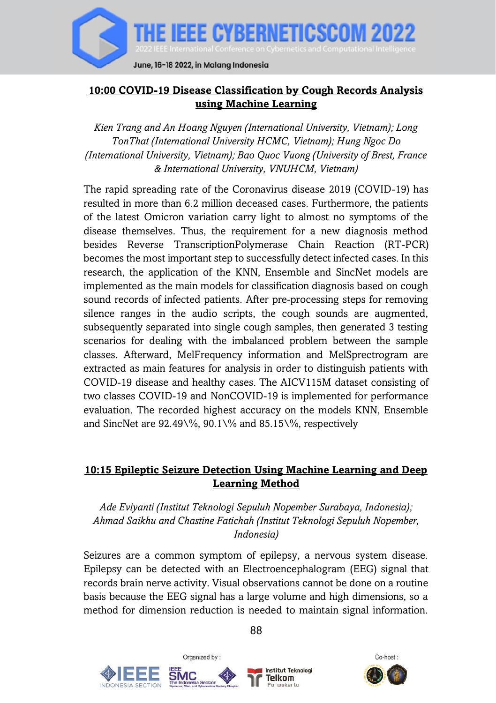

## **10:00 COVID-19 Disease Classification by Cough Records Analysis using Machine Learning**

*Kien Trang and An Hoang Nguyen (International University, Vietnam); Long TonThat (International University HCMC, Vietnam); Hung Ngoc Do (International University, Vietnam); Bao Quoc Vuong (University of Brest, France & International University, VNUHCM, Vietnam)*

The rapid spreading rate of the Coronavirus disease 2019 (COVID-19) has resulted in more than 6.2 million deceased cases. Furthermore, the patients of the latest Omicron variation carry light to almost no symptoms of the disease themselves. Thus, the requirement for a new diagnosis method besides Reverse TranscriptionPolymerase Chain Reaction (RT-PCR) becomes the most important step to successfully detect infected cases. In this research, the application of the KNN, Ensemble and SincNet models are implemented as the main models for classification diagnosis based on cough sound records of infected patients. After pre-processing steps for removing silence ranges in the audio scripts, the cough sounds are augmented, subsequently separated into single cough samples, then generated 3 testing scenarios for dealing with the imbalanced problem between the sample classes. Afterward, MelFrequency information and MelSprectrogram are extracted as main features for analysis in order to distinguish patients with COVID-19 disease and healthy cases. The AICV115M dataset consisting of two classes COVID-19 and NonCOVID-19 is implemented for performance evaluation. The recorded highest accuracy on the models KNN, Ensemble and SincNet are  $92.49\%$ ,  $90.1\%$  and  $85.15\%$ , respectively

#### **10:15 Epileptic Seizure Detection Using Machine Learning and Deep Learning Method**

*Ade Eviyanti (Institut Teknologi Sepuluh Nopember Surabaya, Indonesia); Ahmad Saikhu and Chastine Fatichah (Institut Teknologi Sepuluh Nopember, Indonesia)*

Seizures are a common symptom of epilepsy, a nervous system disease. Epilepsy can be detected with an Electroencephalogram (EEG) signal that records brain nerve activity. Visual observations cannot be done on a routine basis because the EEG signal has a large volume and high dimensions, so a method for dimension reduction is needed to maintain signal information.







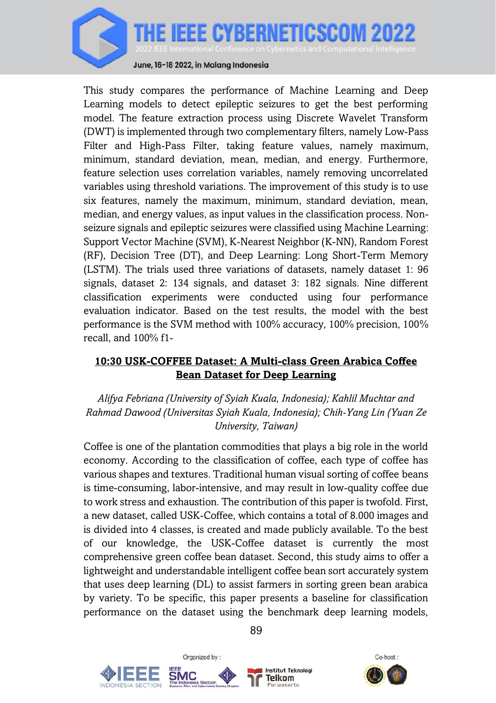

June, 16-18 2022, in Malang Indonesia

This study compares the performance of Machine Learning and Deep Learning models to detect epileptic seizures to get the best performing model. The feature extraction process using Discrete Wavelet Transform (DWT) is implemented through two complementary filters, namely Low-Pass Filter and High-Pass Filter, taking feature values, namely maximum, minimum, standard deviation, mean, median, and energy. Furthermore, feature selection uses correlation variables, namely removing uncorrelated variables using threshold variations. The improvement of this study is to use six features, namely the maximum, minimum, standard deviation, mean, median, and energy values, as input values in the classification process. Nonseizure signals and epileptic seizures were classified using Machine Learning: Support Vector Machine (SVM), K-Nearest Neighbor (K-NN), Random Forest (RF), Decision Tree (DT), and Deep Learning: Long Short-Term Memory (LSTM). The trials used three variations of datasets, namely dataset 1: 96 signals, dataset 2: 134 signals, and dataset 3: 182 signals. Nine different classification experiments were conducted using four performance evaluation indicator. Based on the test results, the model with the best performance is the SVM method with 100% accuracy, 100% precision, 100% recall, and 100% f1-

#### **10:30 USK-COFFEE Dataset: A Multi-class Green Arabica Coffee Bean Dataset for Deep Learning**

*Alifya Febriana (University of Syiah Kuala, Indonesia); Kahlil Muchtar and Rahmad Dawood (Universitas Syiah Kuala, Indonesia); Chih-Yang Lin (Yuan Ze University, Taiwan)*

Coffee is one of the plantation commodities that plays a big role in the world economy. According to the classification of coffee, each type of coffee has various shapes and textures. Traditional human visual sorting of coffee beans is time-consuming, labor-intensive, and may result in low-quality coffee due to work stress and exhaustion. The contribution of this paper is twofold. First, a new dataset, called USK-Coffee, which contains a total of 8.000 images and is divided into 4 classes, is created and made publicly available. To the best of our knowledge, the USK-Coffee dataset is currently the most comprehensive green coffee bean dataset. Second, this study aims to offer a lightweight and understandable intelligent coffee bean sort accurately system that uses deep learning (DL) to assist farmers in sorting green bean arabica by variety. To be specific, this paper presents a baseline for classification performance on the dataset using the benchmark deep learning models,



Organized by:



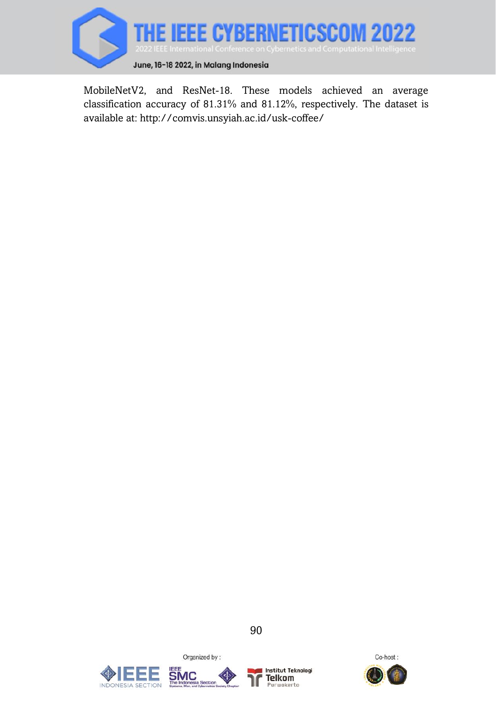

MobileNetV2, and ResNet-18. These models achieved an average classification accuracy of 81.31% and 81.12%, respectively. The dataset is available at: http://comvis.unsyiah.ac.id/usk-coffee/

90







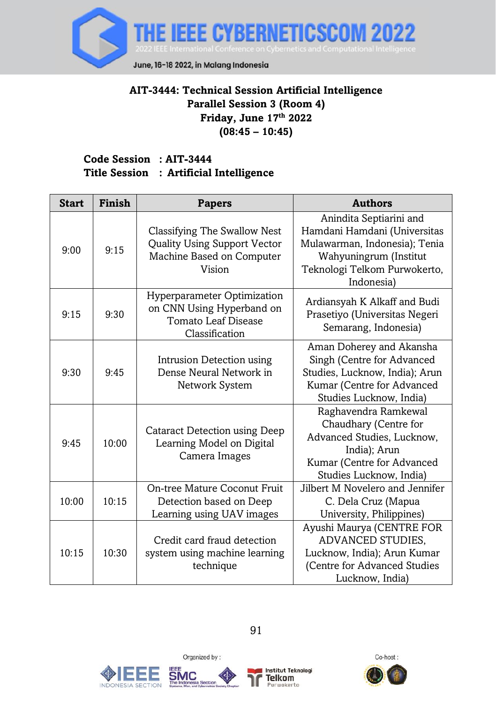

## **AIT-3444: Technical Session Artificial Intelligence Parallel Session 3 (Room 4) Friday, June 17 th 2022 (08:45 – 10:45)**

#### **Code Session : AIT-3444 Title Session : Artificial Intelligence**

| <b>Start</b> | Finish | <b>Papers</b>                                                                                              | <b>Authors</b>                                                                                                                                                   |
|--------------|--------|------------------------------------------------------------------------------------------------------------|------------------------------------------------------------------------------------------------------------------------------------------------------------------|
| 9:00         | 9:15   | Classifying The Swallow Nest<br><b>Quality Using Support Vector</b><br>Machine Based on Computer<br>Vision | Anindita Septiarini and<br>Hamdani Hamdani (Universitas<br>Mulawarman, Indonesia); Tenia<br>Wahyuningrum (Institut<br>Teknologi Telkom Purwokerto,<br>Indonesia) |
| 9:15         | 9:30   | Hyperparameter Optimization<br>on CNN Using Hyperband on<br>Tomato Leaf Disease<br>Classification          | Ardiansyah K Alkaff and Budi<br>Prasetiyo (Universitas Negeri<br>Semarang, Indonesia)                                                                            |
| 9:30         | 9:45   | Intrusion Detection using<br>Dense Neural Network in<br>Network System                                     | Aman Doherey and Akansha<br>Singh (Centre for Advanced<br>Studies, Lucknow, India); Arun<br>Kumar (Centre for Advanced<br>Studies Lucknow, India)                |
| 9:45         | 10:00  | Cataract Detection using Deep<br>Learning Model on Digital<br>Camera Images                                | Raghavendra Ramkewal<br>Chaudhary (Centre for<br>Advanced Studies, Lucknow,<br>India); Arun<br>Kumar (Centre for Advanced<br>Studies Lucknow, India)             |
| 10:00        | 10:15  | On-tree Mature Coconut Fruit<br>Detection based on Deep<br>Learning using UAV images                       | Jilbert M Novelero and Jennifer<br>C. Dela Cruz (Mapua<br>University, Philippines)                                                                               |
| 10:15        | 10:30  | Credit card fraud detection<br>system using machine learning<br>technique                                  | Ayushi Maurya (CENTRE FOR<br>ADVANCED STUDIES,<br>Lucknow, India); Arun Kumar<br>(Centre for Advanced Studies<br>Lucknow, India)                                 |







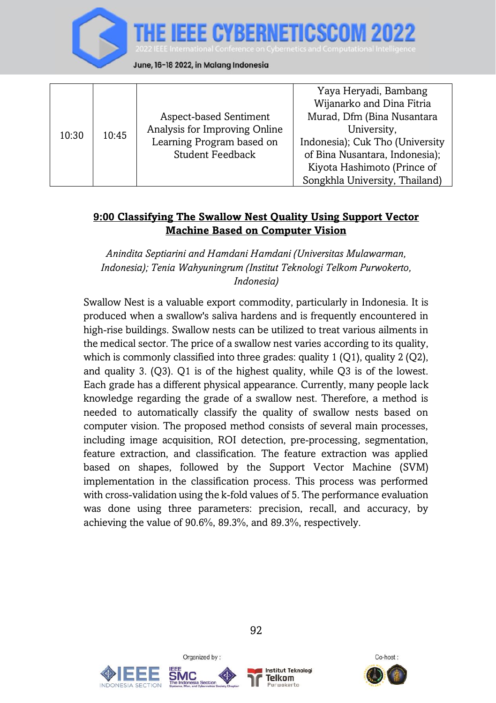

|       |       |                               | Yaya Heryadi, Bambang           |
|-------|-------|-------------------------------|---------------------------------|
| 10:30 | 10:45 |                               | Wijanarko and Dina Fitria       |
|       |       | Aspect-based Sentiment        | Murad, Dfm (Bina Nusantara      |
|       |       | Analysis for Improving Online | University,                     |
|       |       | Learning Program based on     | Indonesia); Cuk Tho (University |
|       |       | <b>Student Feedback</b>       | of Bina Nusantara, Indonesia);  |
|       |       |                               | Kiyota Hashimoto (Prince of     |
|       |       |                               | Songkhla University, Thailand)  |

#### **9:00 Classifying The Swallow Nest Quality Using Support Vector Machine Based on Computer Vision**

*Anindita Septiarini and Hamdani Hamdani (Universitas Mulawarman, Indonesia); Tenia Wahyuningrum (Institut Teknologi Telkom Purwokerto, Indonesia)*

Swallow Nest is a valuable export commodity, particularly in Indonesia. It is produced when a swallow's saliva hardens and is frequently encountered in high-rise buildings. Swallow nests can be utilized to treat various ailments in the medical sector. The price of a swallow nest varies according to its quality, which is commonly classified into three grades: quality  $1 (O1)$ , quality  $2 (O2)$ , and quality 3. (Q3). Q1 is of the highest quality, while Q3 is of the lowest. Each grade has a different physical appearance. Currently, many people lack knowledge regarding the grade of a swallow nest. Therefore, a method is needed to automatically classify the quality of swallow nests based on computer vision. The proposed method consists of several main processes, including image acquisition, ROI detection, pre-processing, segmentation, feature extraction, and classification. The feature extraction was applied based on shapes, followed by the Support Vector Machine (SVM) implementation in the classification process. This process was performed with cross-validation using the k-fold values of 5. The performance evaluation was done using three parameters: precision, recall, and accuracy, by achieving the value of 90.6%, 89.3%, and 89.3%, respectively.





Organized by:



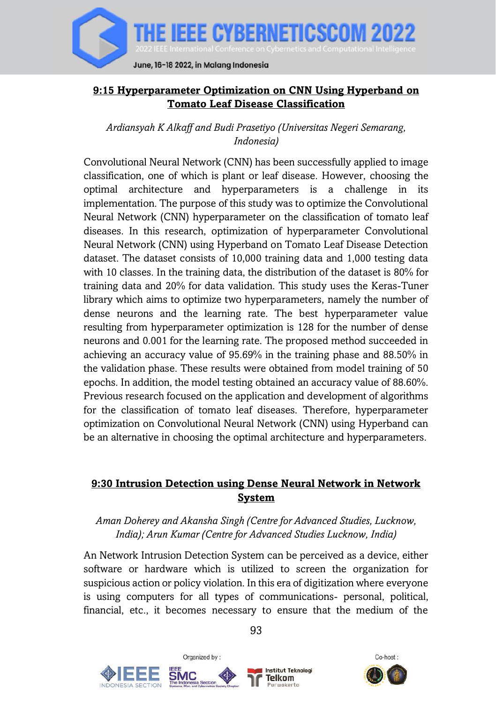

#### **9:15 Hyperparameter Optimization on CNN Using Hyperband on Tomato Leaf Disease Classification**

*Ardiansyah K Alkaff and Budi Prasetiyo (Universitas Negeri Semarang, Indonesia)*

Convolutional Neural Network (CNN) has been successfully applied to image classification, one of which is plant or leaf disease. However, choosing the optimal architecture and hyperparameters is a challenge in its implementation. The purpose of this study was to optimize the Convolutional Neural Network (CNN) hyperparameter on the classification of tomato leaf diseases. In this research, optimization of hyperparameter Convolutional Neural Network (CNN) using Hyperband on Tomato Leaf Disease Detection dataset. The dataset consists of 10,000 training data and 1,000 testing data with 10 classes. In the training data, the distribution of the dataset is 80% for training data and 20% for data validation. This study uses the Keras-Tuner library which aims to optimize two hyperparameters, namely the number of dense neurons and the learning rate. The best hyperparameter value resulting from hyperparameter optimization is 128 for the number of dense neurons and 0.001 for the learning rate. The proposed method succeeded in achieving an accuracy value of 95.69% in the training phase and 88.50% in the validation phase. These results were obtained from model training of 50 epochs. In addition, the model testing obtained an accuracy value of 88.60%. Previous research focused on the application and development of algorithms for the classification of tomato leaf diseases. Therefore, hyperparameter optimization on Convolutional Neural Network (CNN) using Hyperband can be an alternative in choosing the optimal architecture and hyperparameters.

## **9:30 Intrusion Detection using Dense Neural Network in Network System**

#### *Aman Doherey and Akansha Singh (Centre for Advanced Studies, Lucknow, India); Arun Kumar (Centre for Advanced Studies Lucknow, India)*

An Network Intrusion Detection System can be perceived as a device, either software or hardware which is utilized to screen the organization for suspicious action or policy violation. In this era of digitization where everyone is using computers for all types of communications- personal, political, financial, etc., it becomes necessary to ensure that the medium of the







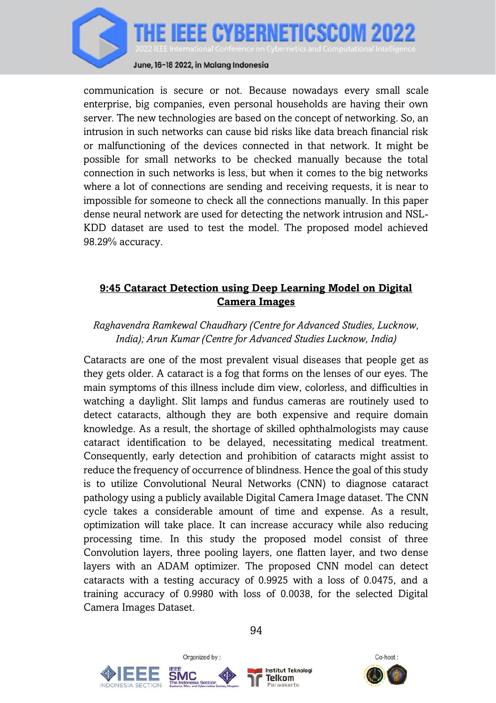

communication is secure or not. Because nowadays every small scale enterprise, big companies, even personal households are having their own server. The new technologies are based on the concept of networking. So, an intrusion in such networks can cause bid risks like data breach financial risk or malfunctioning of the devices connected in that network. It might be possible for small networks to be checked manually because the total connection in such networks is less, but when it comes to the big networks where a lot of connections are sending and receiving requests, it is near to impossible for someone to check all the connections manually. In this paper dense neural network are used for detecting the network intrusion and NSL-KDD dataset are used to test the model. The proposed model achieved 98.29% accuracy.

# **9:45 Cataract Detection using Deep Learning Model on Digital Camera Images**

## *Raghavendra Ramkewal Chaudhary (Centre for Advanced Studies, Lucknow, India); Arun Kumar (Centre for Advanced Studies Lucknow, India)*

Cataracts are one of the most prevalent visual diseases that people get as they gets older. A cataract is a fog that forms on the lenses of our eyes. The main symptoms of this illness include dim view, colorless, and difficulties in watching a daylight. Slit lamps and fundus cameras are routinely used to detect cataracts, although they are both expensive and require domain knowledge. As a result, the shortage of skilled ophthalmologists may cause cataract identification to be delayed, necessitating medical treatment. Consequently, early detection and prohibition of cataracts might assist to reduce the frequency of occurrence of blindness. Hence the goal of this study is to utilize Convolutional Neural Networks (CNN) to diagnose cataract pathology using a publicly available Digital Camera Image dataset. The CNN cycle takes a considerable amount of time and expense. As a result, optimization will take place. It can increase accuracy while also reducing processing time. In this study the proposed model consist of three Convolution layers, three pooling layers, one flatten layer, and two dense layers with an ADAM optimizer. The proposed CNN model can detect cataracts with a testing accuracy of 0.9925 with a loss of 0.0475, and a training accuracy of 0.9980 with loss of 0.0038, for the selected Digital Camera Images Dataset.







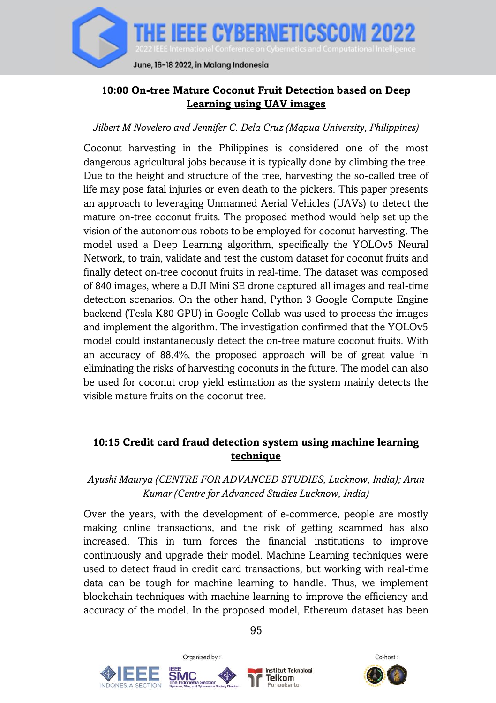

## **10:00 On-tree Mature Coconut Fruit Detection based on Deep Learning using UAV images**

#### *Jilbert M Novelero and Jennifer C. Dela Cruz (Mapua University, Philippines)*

Coconut harvesting in the Philippines is considered one of the most dangerous agricultural jobs because it is typically done by climbing the tree. Due to the height and structure of the tree, harvesting the so-called tree of life may pose fatal injuries or even death to the pickers. This paper presents an approach to leveraging Unmanned Aerial Vehicles (UAVs) to detect the mature on-tree coconut fruits. The proposed method would help set up the vision of the autonomous robots to be employed for coconut harvesting. The model used a Deep Learning algorithm, specifically the YOLOv5 Neural Network, to train, validate and test the custom dataset for coconut fruits and finally detect on-tree coconut fruits in real-time. The dataset was composed of 840 images, where a DJI Mini SE drone captured all images and real-time detection scenarios. On the other hand, Python 3 Google Compute Engine backend (Tesla K80 GPU) in Google Collab was used to process the images and implement the algorithm. The investigation confirmed that the YOLOv5 model could instantaneously detect the on-tree mature coconut fruits. With an accuracy of 88.4%, the proposed approach will be of great value in eliminating the risks of harvesting coconuts in the future. The model can also be used for coconut crop yield estimation as the system mainly detects the visible mature fruits on the coconut tree.

#### **10:15 Credit card fraud detection system using machine learning technique**

## *Ayushi Maurya (CENTRE FOR ADVANCED STUDIES, Lucknow, India); Arun Kumar (Centre for Advanced Studies Lucknow, India)*

Over the years, with the development of e-commerce, people are mostly making online transactions, and the risk of getting scammed has also increased. This in turn forces the financial institutions to improve continuously and upgrade their model. Machine Learning techniques were used to detect fraud in credit card transactions, but working with real-time data can be tough for machine learning to handle. Thus, we implement blockchain techniques with machine learning to improve the efficiency and accuracy of the model. In the proposed model, Ethereum dataset has been





95

**Institut Teknologi** Telkom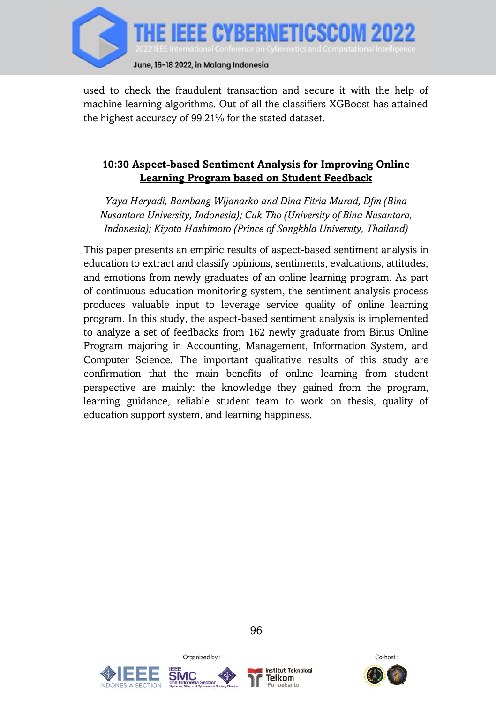

used to check the fraudulent transaction and secure it with the help of machine learning algorithms. Out of all the classifiers XGBoost has attained the highest accuracy of 99.21% for the stated dataset.

#### **10:30 Aspect-based Sentiment Analysis for Improving Online Learning Program based on Student Feedback**

*Yaya Heryadi, Bambang Wijanarko and Dina Fitria Murad, Dfm (Bina Nusantara University, Indonesia); Cuk Tho (University of Bina Nusantara, Indonesia); Kiyota Hashimoto (Prince of Songkhla University, Thailand)*

This paper presents an empiric results of aspect-based sentiment analysis in education to extract and classify opinions, sentiments, evaluations, attitudes, and emotions from newly graduates of an online learning program. As part of continuous education monitoring system, the sentiment analysis process produces valuable input to leverage service quality of online learning program. In this study, the aspect-based sentiment analysis is implemented to analyze a set of feedbacks from 162 newly graduate from Binus Online Program majoring in Accounting, Management, Information System, and Computer Science. The important qualitative results of this study are confirmation that the main benefits of online learning from student perspective are mainly: the knowledge they gained from the program, learning guidance, reliable student team to work on thesis, quality of education support system, and learning happiness.





Organized by:



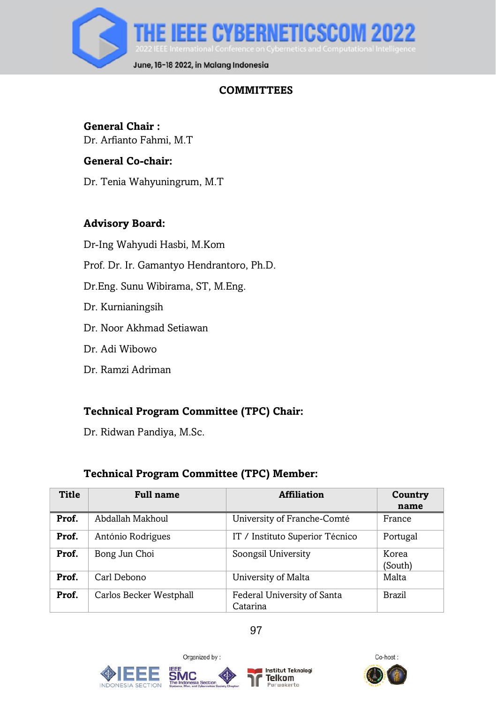

# **COMMITTEES**

# **General Chair :**

Dr. Arfianto Fahmi, M.T

#### **General Co-chair:**

Dr. Tenia Wahyuningrum, M.T

#### **Advisory Board:**

Dr-Ing Wahyudi Hasbi, M.Kom

Prof. Dr. Ir. Gamantyo Hendrantoro, Ph.D.

Dr.Eng. Sunu Wibirama, ST, M.Eng.

- Dr. Kurnianingsih
- Dr. Noor Akhmad Setiawan
- Dr. Adi Wibowo
- Dr. Ramzi Adriman

## **Technical Program Committee (TPC) Chair:**

Dr. Ridwan Pandiya, M.Sc.

## **Technical Program Committee (TPC) Member:**

| <b>Title</b> | <b>Full name</b>        | <b>Affiliation</b>                      | Country<br>name  |
|--------------|-------------------------|-----------------------------------------|------------------|
| Prof.        | Abdallah Makhoul        | University of Franche-Comté             | France           |
| Prof.        | António Rodrigues       | IT / Instituto Superior Técnico         | Portugal         |
| Prof.        | Bong Jun Choi           | Soongsil University                     | Korea<br>(South) |
| Prof.        | Carl Debono             | University of Malta                     | Malta            |
| Prof.        | Carlos Becker Westphall | Federal University of Santa<br>Catarina | Brazil           |









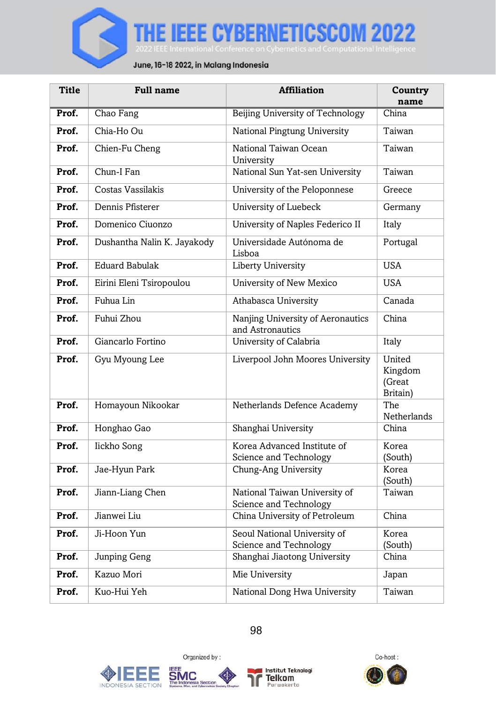

| <b>Title</b> | <b>Full name</b>            | <b>Affiliation</b>                                      | Country<br>name                         |
|--------------|-----------------------------|---------------------------------------------------------|-----------------------------------------|
| Prof.        | Chao Fang                   | Beijing University of Technology                        | China                                   |
| Prof.        | Chia-Ho Ou                  | National Pingtung University                            | Taiwan                                  |
| Prof.        | Chien-Fu Cheng              | National Taiwan Ocean<br>University                     | Taiwan                                  |
| Prof.        | Chun-I Fan                  | National Sun Yat-sen University                         | Taiwan                                  |
| Prof.        | Costas Vassilakis           | University of the Peloponnese                           | Greece                                  |
| Prof.        | Dennis Pfisterer            | University of Luebeck                                   | Germany                                 |
| Prof.        | Domenico Ciuonzo            | University of Naples Federico II                        | Italy                                   |
| Prof.        | Dushantha Nalin K. Jayakody | Universidade Autónoma de<br>Lisboa                      | Portugal                                |
| Prof.        | <b>Eduard Babulak</b>       | Liberty University                                      | <b>USA</b>                              |
| Prof.        | Eirini Eleni Tsiropoulou    | University of New Mexico                                | USA                                     |
| Prof.        | Fuhua Lin                   | Athabasca University                                    | Canada                                  |
| Prof.        | Fuhui Zhou                  | Nanjing University of Aeronautics<br>and Astronautics   | China                                   |
| Prof.        | Giancarlo Fortino           | University of Calabria                                  | Italy                                   |
| Prof.        | Gyu Myoung Lee              | Liverpool John Moores University                        | United<br>Kingdom<br>(Great<br>Britain) |
| Prof.        | Homayoun Nikookar           | Netherlands Defence Academy                             | The<br>Netherlands                      |
| Prof.        | Honghao Gao                 | Shanghai University                                     | China                                   |
| Prof.        | lickho Song                 | Korea Advanced Institute of<br>Science and Technology   | Korea<br>(South)                        |
| Prof.        | Jae-Hyun Park               | Chung-Ang University                                    | Korea<br>(South)                        |
| Prof.        | Jiann-Liang Chen            | National Taiwan University of<br>Science and Technology | Taiwan                                  |
| Prof.        | Jianwei Liu                 | China University of Petroleum                           | China                                   |
| Prof.        | Ji-Hoon Yun                 | Seoul National University of<br>Science and Technology  | Korea<br>(South)                        |
| Prof.        | Junping Geng                | Shanghai Jiaotong University                            | China                                   |
| Prof.        | Kazuo Mori                  | Mie University                                          | Japan                                   |
| Prof.        | Kuo-Hui Yeh                 | National Dong Hwa University                            | Taiwan                                  |







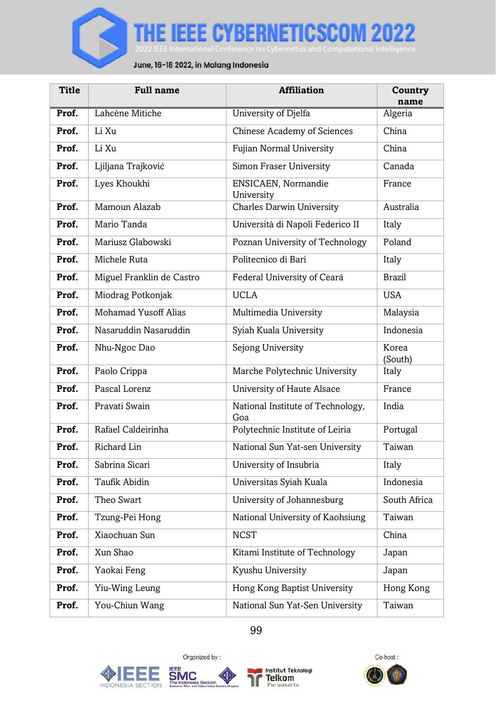

| Title | <b>Full name</b>          | <b>Affiliation</b>                       | Country<br>name  |
|-------|---------------------------|------------------------------------------|------------------|
| Prof. | Lahcène Mitiche           | University of Djelfa                     | Algeria          |
| Prof. | Li Xu                     | Chinese Academy of Sciences              | China            |
| Prof. | Li Xu                     | Fujian Normal University                 | China            |
| Prof. | Ljiljana Trajković        | Simon Fraser University                  | Canada           |
| Prof. | Lyes Khoukhi              | <b>ENSICAEN.</b> Normandie<br>University | France           |
| Prof. | Mamoun Alazab             | <b>Charles Darwin University</b>         | Australia        |
| Prof. | Mario Tanda               | Università di Napoli Federico II         | Italy            |
| Prof. | Mariusz Glabowski         | Poznan University of Technology          | Poland           |
| Prof. | Michele Ruta              | Politecnico di Bari                      | Italy            |
| Prof. | Miguel Franklin de Castro | Federal University of Ceará              | <b>Brazil</b>    |
| Prof. | Miodrag Potkonjak         | <b>UCLA</b>                              | <b>USA</b>       |
| Prof. | Mohamad Yusoff Alias      | Multimedia University                    | Malaysia         |
| Prof. | Nasaruddin Nasaruddin     | Syiah Kuala University                   | Indonesia        |
| Prof. | Nhu-Ngoc Dao              | Sejong University                        | Korea<br>(South) |
| Prof. | Paolo Crippa              | Marche Polytechnic University            | Italy            |
| Prof. | Pascal Lorenz             | University of Haute Alsace               | France           |
| Prof. | Pravati Swain             | National Institute of Technology,<br>Goa | India            |
| Prof. | Rafael Caldeirinha        | Polytechnic Institute of Leiria          | Portugal         |
| Prof. | Richard Lin               | National Sun Yat-sen University          | Taiwan           |
| Prof. | Sabrina Sicari            | University of Insubria                   | Italy            |
| Prof. | Taufik Abidin             | Universitas Syiah Kuala                  | Indonesia        |
| Prof. | Theo Swart                | University of Johannesburg               | South Africa     |
| Prof. | Tzung-Pei Hong            | National University of Kaohsiung         | Taiwan           |
| Prof. | Xiaochuan Sun             | <b>NCST</b>                              | China            |
| Prof. | Xun Shao                  | Kitami Institute of Technology           | Japan            |
| Prof. | Yaokai Feng               | Kyushu University                        | Japan            |
| Prof. | Yiu-Wing Leung            | Hong Kong Baptist University             | Hong Kong        |
| Prof. | You-Chiun Wang            | National Sun Yat-Sen University          | Taiwan           |









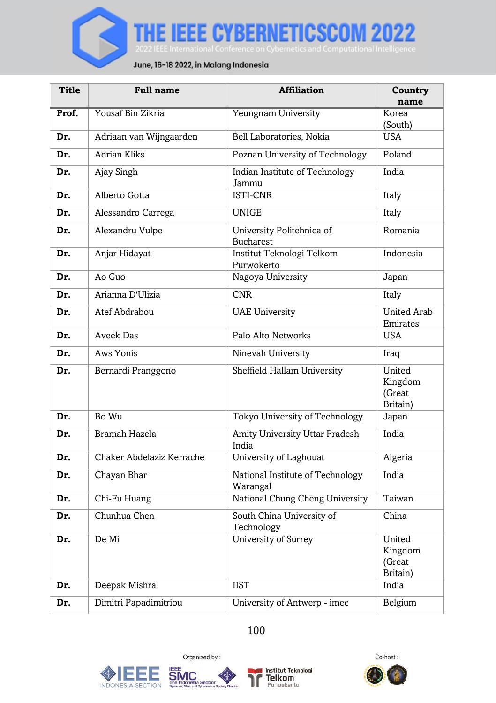

| <b>Title</b> | <b>Full name</b>          | <b>Affiliation</b>                            | Country<br>name                         |
|--------------|---------------------------|-----------------------------------------------|-----------------------------------------|
| Prof.        | Yousaf Bin Zikria         | Yeungnam University                           | Korea<br>(South)                        |
| Dr.          | Adriaan van Wijngaarden   | Bell Laboratories, Nokia                      | <b>USA</b>                              |
| Dr.          | <b>Adrian Kliks</b>       | Poznan University of Technology               | Poland                                  |
| Dr.          | Ajay Singh                | Indian Institute of Technology<br>Jammu       | India                                   |
| Dr.          | Alberto Gotta             | <b>ISTI-CNR</b>                               | Italy                                   |
| Dr.          | Alessandro Carrega        | <b>UNIGE</b>                                  | Italy                                   |
| Dr.          | Alexandru Vulpe           | University Politehnica of<br><b>Bucharest</b> | Romania                                 |
| Dr.          | Anjar Hidayat             | Institut Teknologi Telkom<br>Purwokerto       | Indonesia                               |
| Dr.          | Ao Guo                    | Nagoya University                             | Japan                                   |
| Dr.          | Arianna D'Ulizia          | <b>CNR</b>                                    | Italy                                   |
| Dr.          | Atef Abdrabou             | <b>UAE University</b>                         | <b>United Arab</b><br>Emirates          |
| Dr.          | Aveek Das                 | Palo Alto Networks                            | <b>USA</b>                              |
| Dr.          | Aws Yonis                 | Ninevah University                            | Iraq                                    |
| Dr.          | Bernardi Pranggono        | Sheffield Hallam University                   | United<br>Kingdom<br>(Great<br>Britain) |
| Dr.          | Bo Wu                     | Tokyo University of Technology                | Japan                                   |
| Dr.          | Bramah Hazela             | Amity University Uttar Pradesh<br>India       | India                                   |
| Dr.          | Chaker Abdelaziz Kerrache | University of Laghouat                        | Algeria                                 |
| Dr.          | Chayan Bhar               | National Institute of Technology<br>Warangal  | India                                   |
| Dr.          | Chi-Fu Huang              | National Chung Cheng University               | Taiwan                                  |
| Dr.          | Chunhua Chen              | South China University of<br>Technology       | China                                   |
| Dr.          | De Mi                     | University of Surrey                          | United<br>Kingdom<br>(Great<br>Britain) |
| Dr.          | Deepak Mishra             | <b>IIST</b>                                   | India                                   |
| Dr.          | Dimitri Papadimitriou     | University of Antwerp - imec                  | Belgium                                 |

100







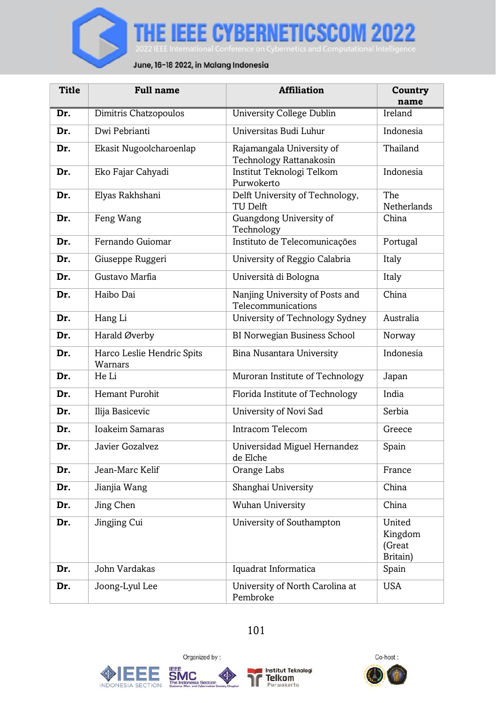

| <b>Title</b> | <b>Full name</b>                      | <b>Affiliation</b>                                    | Country<br>name                         |
|--------------|---------------------------------------|-------------------------------------------------------|-----------------------------------------|
| Dr.          | Dimitris Chatzopoulos                 | <b>University College Dublin</b>                      | Ireland                                 |
| Dr.          | Dwi Pebrianti                         | Universitas Budi Luhur                                | Indonesia                               |
| Dr.          | Ekasit Nugoolcharoenlap               | Rajamangala University of<br>Technology Rattanakosin  | Thailand                                |
| Dr.          | Eko Fajar Cahyadi                     | Institut Teknologi Telkom<br>Purwokerto               | Indonesia                               |
| Dr.          | Elyas Rakhshani                       | Delft University of Technology,<br>TU Delft           | The<br>Netherlands                      |
| Dr.          | Feng Wang                             | Guangdong University of<br>Technology                 | China                                   |
| Dr.          | Fernando Guiomar                      | Instituto de Telecomunicações                         | Portugal                                |
| Dr.          | Giuseppe Ruggeri                      | University of Reggio Calabria                         | Italy                                   |
| Dr.          | Gustavo Marfia                        | Università di Bologna                                 | Italy                                   |
| Dr.          | Haibo Dai                             | Nanjing University of Posts and<br>Telecommunications | China                                   |
| Dr.          | Hang Li                               | University of Technology Sydney                       | Australia                               |
| Dr.          | Harald Øverby                         | BI Norwegian Business School                          | Norway                                  |
| Dr.          | Harco Leslie Hendric Spits<br>Warnars | Bina Nusantara University                             | Indonesia                               |
| Dr.          | He Li                                 | Muroran Institute of Technology                       | Japan                                   |
| Dr.          | Hemant Purohit                        | Florida Institute of Technology                       | India                                   |
| Dr.          | Ilija Basicevic                       | University of Novi Sad                                | Serbia                                  |
| Dr.          | <b>Ioakeim Samaras</b>                | Intracom Telecom                                      | Greece                                  |
| Dr.          | Javier Gozalvez                       | Universidad Miguel Hernandez<br>de Elche              | Spain                                   |
| Dr.          | Jean-Marc Kelif                       | Orange Labs                                           | France                                  |
| Dr.          | Jianjia Wang                          | Shanghai University                                   | China                                   |
| Dr.          | Jing Chen                             | <b>Wuhan University</b>                               | China                                   |
| Dr.          | Jingjing Cui                          | University of Southampton                             | United<br>Kingdom<br>(Great<br>Britain) |
| Dr.          | John Vardakas                         | Iquadrat Informatica                                  | Spain                                   |
| Dr.          | Joong-Lyul Lee                        | University of North Carolina at<br>Pembroke           | <b>USA</b>                              |

# 101







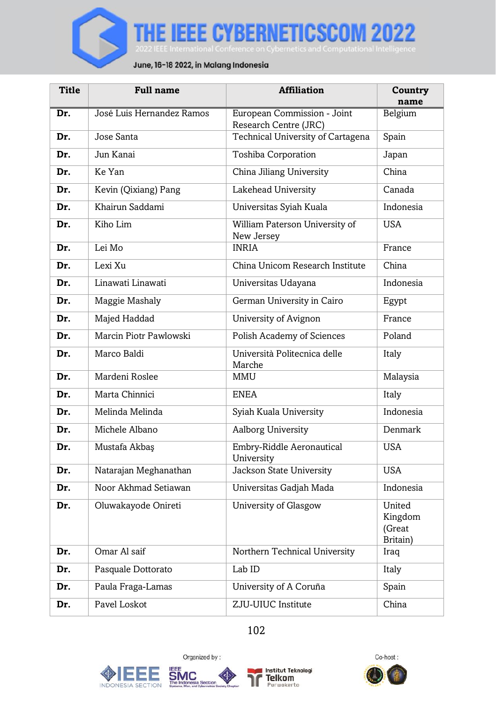

| <b>Title</b> | <b>Full name</b>          | <b>Affiliation</b>                                   | Country<br>name                         |
|--------------|---------------------------|------------------------------------------------------|-----------------------------------------|
| Dr.          | José Luis Hernandez Ramos | European Commission - Joint<br>Research Centre (JRC) | Belgium                                 |
| Dr.          | Jose Santa                | Technical University of Cartagena                    | Spain                                   |
| Dr.          | Jun Kanai                 | Toshiba Corporation                                  | Japan                                   |
| Dr.          | Ke Yan                    | China Jiliang University                             | China                                   |
| Dr.          | Kevin (Qixiang) Pang      | Lakehead University                                  | Canada                                  |
| Dr.          | Khairun Saddami           | Universitas Syiah Kuala                              | Indonesia                               |
| Dr.          | Kiho Lim                  | William Paterson University of<br>New Jersey         | USA                                     |
| Dr.          | Lei Mo                    | <b>INRIA</b>                                         | France                                  |
| Dr.          | Lexi Xu                   | China Unicom Research Institute                      | China                                   |
| Dr.          | Linawati Linawati         | Universitas Udayana                                  | Indonesia                               |
| Dr.          | Maggie Mashaly            | German University in Cairo                           | Egypt                                   |
| Dr.          | Majed Haddad              | University of Avignon                                | France                                  |
| Dr.          | Marcin Piotr Pawlowski    | Polish Academy of Sciences                           | Poland                                  |
| Dr.          | Marco Baldi               | Università Politecnica delle<br>Marche               | Italy                                   |
| Dr.          | Mardeni Roslee            | <b>MMU</b>                                           | Malaysia                                |
| Dr.          | Marta Chinnici            | <b>ENEA</b>                                          | Italy                                   |
| Dr.          | Melinda Melinda           | Syiah Kuala University                               | Indonesia                               |
| Dr.          | Michele Albano            | Aalborg University                                   | Denmark                                 |
| Dr.          | Mustafa Akbas             | Embry-Riddle Aeronautical<br>University              | USA                                     |
| Dr.          | Natarajan Meghanathan     | Jackson State University                             | <b>USA</b>                              |
| Dr.          | Noor Akhmad Setiawan      | Universitas Gadjah Mada                              | Indonesia                               |
| Dr.          | Oluwakayode Onireti       | University of Glasgow                                | United<br>Kingdom<br>(Great<br>Britain) |
| Dr.          | Omar Al saif              | Northern Technical University                        | Iraq                                    |
| Dr.          | Pasquale Dottorato        | Lab ID                                               | Italy                                   |
| Dr.          | Paula Fraga-Lamas         | University of A Coruña                               | Spain                                   |
| Dr.          | Pavel Loskot              | Z.JU-UIUC Institute                                  | China                                   |

102







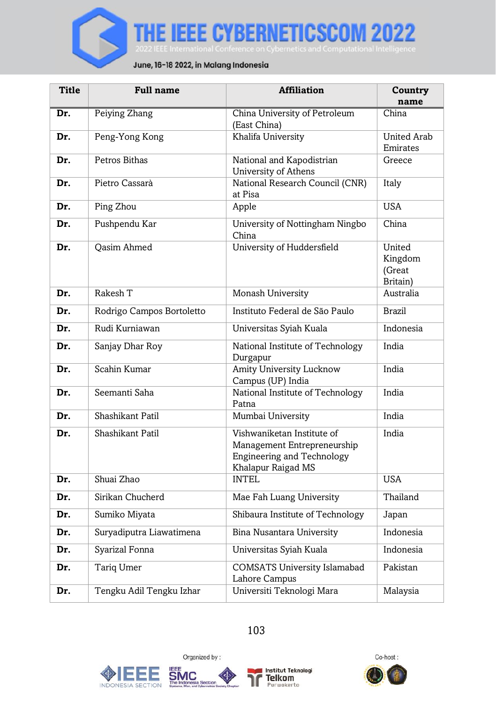

| <b>Title</b> | <b>Full name</b>          | <b>Affiliation</b>                                                                                                   | Country<br>name                         |
|--------------|---------------------------|----------------------------------------------------------------------------------------------------------------------|-----------------------------------------|
| Dr.          | Peiying Zhang             | China University of Petroleum<br>(East China)                                                                        | China                                   |
| Dr.          | Peng-Yong Kong            | Khalifa University                                                                                                   | <b>United Arab</b><br>Emirates          |
| Dr.          | Petros Bithas             | National and Kapodistrian<br>University of Athens                                                                    | Greece                                  |
| Dr.          | Pietro Cassarà            | National Research Council (CNR)<br>at Pisa                                                                           | Italy                                   |
| Dr.          | Ping Zhou                 | Apple                                                                                                                | <b>USA</b>                              |
| Dr.          | Pushpendu Kar             | University of Nottingham Ningbo<br>China                                                                             | China                                   |
| Dr.          | <b>Oasim Ahmed</b>        | University of Huddersfield                                                                                           | United<br>Kingdom<br>(Great<br>Britain) |
| Dr.          | Rakesh T                  | Monash University                                                                                                    | Australia                               |
| Dr.          | Rodrigo Campos Bortoletto | Instituto Federal de São Paulo                                                                                       | <b>Brazil</b>                           |
| Dr.          | Rudi Kurniawan            | Universitas Syiah Kuala                                                                                              | Indonesia                               |
| Dr.          | Sanjay Dhar Roy           | National Institute of Technology<br>Durgapur                                                                         | India                                   |
| Dr.          | Scahin Kumar              | Amity University Lucknow<br>Campus (UP) India                                                                        | India                                   |
| Dr.          | Seemanti Saha             | National Institute of Technology<br>Patna                                                                            | India                                   |
| Dr.          | Shashikant Patil          | Mumbai University                                                                                                    | India                                   |
| Dr.          | Shashikant Patil          | Vishwaniketan Institute of<br>Management Entrepreneurship<br><b>Engineering and Technology</b><br>Khalapur Raigad MS | India                                   |
| Dr.          | Shuai Zhao                | <b>INTEL</b>                                                                                                         | <b>USA</b>                              |
| Dr.          | Sirikan Chucherd          | Mae Fah Luang University                                                                                             | Thailand                                |
| Dr.          | Sumiko Miyata             | Shibaura Institute of Technology                                                                                     | Japan                                   |
| Dr.          | Suryadiputra Liawatimena  | Bina Nusantara University                                                                                            | Indonesia                               |
| Dr.          | Syarizal Fonna            | Universitas Syiah Kuala                                                                                              | Indonesia                               |
| Dr.          | <b>Tariq Umer</b>         | <b>COMSATS University Islamabad</b><br>Lahore Campus                                                                 | Pakistan                                |
| Dr.          | Tengku Adil Tengku Izhar  | Universiti Teknologi Mara                                                                                            | Malaysia                                |









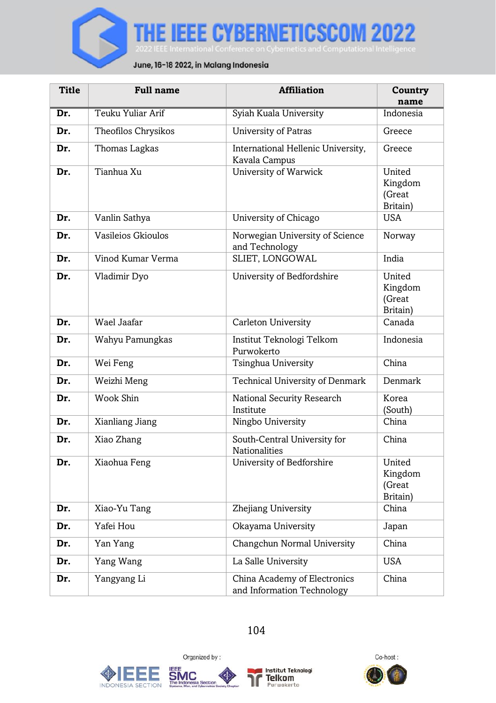

| Title | <b>Full name</b>    | <b>Affiliation</b>                                         | Country<br>name                         |
|-------|---------------------|------------------------------------------------------------|-----------------------------------------|
| Dr.   | Teuku Yuliar Arif   | Syiah Kuala University                                     | Indonesia                               |
| Dr.   | Theofilos Chrysikos | <b>University of Patras</b>                                | Greece                                  |
| Dr.   | Thomas Lagkas       | International Hellenic University,<br>Kavala Campus        | Greece                                  |
| Dr.   | Tianhua Xu          | University of Warwick                                      | United<br>Kingdom<br>(Great<br>Britain) |
| Dr.   | Vanlin Sathya       | University of Chicago                                      | <b>USA</b>                              |
| Dr.   | Vasileios Gkioulos  | Norwegian University of Science<br>and Technology          | Norway                                  |
| Dr.   | Vinod Kumar Verma   | SLIET, LONGOWAL                                            | India                                   |
| Dr.   | Vladimir Dyo        | University of Bedfordshire                                 | United<br>Kingdom<br>(Great<br>Britain) |
| Dr.   | Wael Jaafar         | Carleton University                                        | Canada                                  |
| Dr.   | Wahyu Pamungkas     | Institut Teknologi Telkom<br>Purwokerto                    | Indonesia                               |
| Dr.   | Wei Feng            | Tsinghua University                                        | China                                   |
| Dr.   | Weizhi Meng         | Technical University of Denmark                            | Denmark                                 |
| Dr.   | Wook Shin           | National Security Research<br>Institute                    | Korea<br>(South)                        |
| Dr.   | Xianliang Jiang     | Ningbo University                                          | China                                   |
| Dr.   | Xiao Zhang          | South-Central University for<br>Nationalities              | China                                   |
| Dr.   | Xiaohua Feng        | University of Bedforshire                                  | United<br>Kingdom<br>(Great<br>Britain) |
| Dr.   | Xiao-Yu Tang        | Zhejiang University                                        | China                                   |
| Dr.   | Yafei Hou           | Okayama University                                         | Japan                                   |
| Dr.   | Yan Yang            | Changchun Normal University                                | China                                   |
| Dr.   | Yang Wang           | La Salle University                                        | <b>USA</b>                              |
| Dr.   | Yangyang Li         | China Academy of Electronics<br>and Information Technology | China                                   |